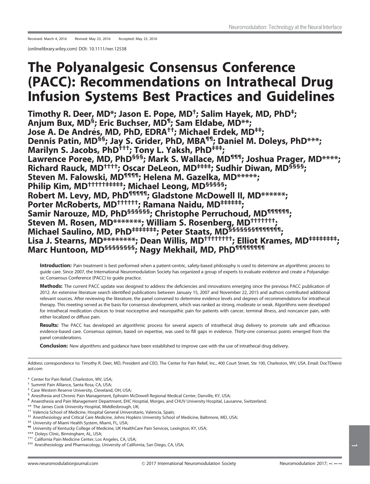Received: March 4, 2016 Revised: May 23, 2016 Accepted: May 23, 2016

(onlinelibrary.wiley.com) DOI: 10.1111/ner.12538

# The Polyanalgesic Consensus Conference (PACC): Recommendations on Intrathecal Drug Infusion Systems Best Practices and Guidelines

Timothy R. Deer, MD\*; Jason E. Pope, MD†; Salim Hayek, MD, PhD‡; Anjum Bux, MD<sup>§</sup>; Eric Buchser, MD<sup>¶</sup>; Sam Eldabe, MD<sup>\*\*</sup>; Jose A. De Andrés, MD, PhD, EDRA<sup>††</sup>; Michael Erdek, MD<sup>‡‡</sup>; Dennis Patin, MD<sup>ss</sup>; Jay S. Grider, PhD, MBA<sup>11</sup>, Daniel M. Doleys, PhD\*\*\*; Marilyn S. Jacobs, PhD<sup>1++</sup>; Tony L. Yaksh, PhD<sup>‡‡‡</sup>; Lawrence Poree, MD, PhD<sup>§§§</sup>; Mark S. Wallace, MD<sup>¶¶¶</sup>; Joshua Prager, MD<sup>\*\*\*\*</sup>; Richard Rauck, MD<sup>††††</sup>; Oscar DeLeon, MD<sup>‡‡‡‡</sup>; Sudhir Diwan, MD<sup>§§§§</sup>; Steven M. Falowski, MD<sup>¶¶¶¶</sup>; Helena M. Gazelka, MD\*\*\*\*\*; Philip Kim, MD<sup>†††††‡‡‡‡</sup>; Michael Leong, MD<sup>§§§§§</sup>; Robert M. Levy, MD, PhD<sup>11111</sup>, Gladstone McDowell II, MD\*\*\*\*\*\*; Porter McRoberts, MD<sup>††††††</sup>; Ramana Naidu, MD<sup>‡‡‡‡‡‡</sup>; Samir Narouze, MD, PhD<sup>§§§§§§</sup>; Christophe Perruchoud, MD<sup>¶¶¶¶¶</sup>; Steven M. Rosen, MD\*\*\*\*\*\*\*; William S. Rosenberg, MD†††††††; Michael Saulino, MD, PhD<sup>‡‡‡‡‡‡‡</sup>; Peter Staats, MD<sup>§§§§§§§</sup>§§¶¶¶¶¶¶ Lisa J. Stearns, MD\*\*\*\*\*\*\*\*; Dean Willis, MD<sup>†††††††</sup>; Elliot Krames, MD<sup>‡‡‡‡‡‡‡</sup>; Marc Huntoon, MD<sup>§§§§§§§§</sup>; Nagy Mekhail, MD, PhD<sup>¶¶¶¶¶¶¶</sup>

Introduction: Pain treatment is best performed when a patient-centric, safety-based philosophy is used to determine an algorithmic process to guide care. Since 2007, the International Neuromodulation Society has organized a group of experts to evaluate evidence and create a Polyanalgesic Consensus Conference (PACC) to guide practice.

Methods: The current PACC update was designed to address the deficiencies and innovations emerging since the previous PACC publication of 2012. An extensive literature search identified publications between January 15, 2007 and November 22, 2015 and authors contributed additional relevant sources. After reviewing the literature, the panel convened to determine evidence levels and degrees of recommendations for intrathecal therapy. This meeting served as the basis for consensus development, which was ranked as strong, moderate or weak. Algorithms were developed for intrathecal medication choices to treat nociceptive and neuropathic pain for patients with cancer, terminal illness, and noncancer pain, with either localized or diffuse pain.

Results: The PACC has developed an algorithmic process for several aspects of intrathecal drug delivery to promote safe and efficacious evidence-based care. Consensus opinion, based on expertise, was used to fill gaps in evidence. Thirty-one consensus points emerged from the panel considerations.

Conclusion: New algorithms and guidance have been established to improve care with the use of intrathecal drug delivery.

Address correspondence to: Timothy R. Deer, MD, President and CEO, The Center for Pain Relief, Inc., 400 Court Street, Ste 100, Charleston, WV, USA. Email: DocTDeer@ aol.com

- \* Center for Pain Relief, Charleston, WV, USA;
- † Summit Pain Alliance, Santa Rosa, CA, USA;
- Case Western Reserve University, Cleveland, OH, USA;
- § Anesthesia and Chronic Pain Management, Ephraim McDowell Regional Medical Center, Danville, KY, USA;
- ¶ Anaesthesia and Pain Management Department, EHC Hosptial, Morges, and CHUV University Hospital, Lausanne, Switzerland;
- 
- \*\* The James Cook University Hospital, Middlesbrough, UK;
- <sup>##</sup> Anesthesiology and Critical Care Medicine, Johns Hopkins University School of Medicine, Baltimore, MD, USA;<br><sup>§§</sup> University of Miami Health System, Miami, FL, USA;<br><sup>¶¶</sup> University of Kentucky College of Medicine, UK H
- 
- 
- 
- \*\*\* Doleys Clinic, Birmingham, AL, USA;

 $^{***}$  Anesthesiology and Pharmacology, University of California, San Diego, CA, USA;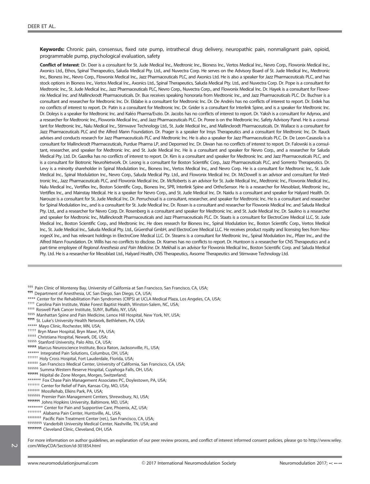Keywords: Chronic pain, consensus, fixed rate pump, intrathecal drug delivery, neuropathic pain, nonmalignant pain, opioid, programmable pump, psychological evaluation, safety

Conflict of Interest: Dr. Deer is a consultant for St. Jude Medical Inc., Medtronic Inc., Bioness Inc., Vertos Medical Inc., Nevro Corp., Flowonix Medical Inc., Axonics Ltd., Ethos, Spinal Therapeutics, Saluda Medical Pty. Ltd., and Nuvectra Corp. He serves on the Advisory Board of St. Jude Medical Inc., Medtronic Inc., Bioness Inc., Nevro Corp., Flowonix Medical Inc., Jazz Pharmaceuticals PLC, and Axonics Ltd. He is also a speaker for Jazz Pharmaceuticals PLC, and has stock options in Bioness Inc., Vertos Medical Inc., Axonics Ltd., Spinal Therapeutics, Saluda Medical Pty. Ltd., and Nuvectra Corp. Dr. Pope is a consultant for Medtronic Inc., St. Jude Medical Inc., Jazz Pharmaceuticals PLC, Nevro Corp., Nuvectra Corp., and Flowonix Medical Inc. Dr. Hayek is a consultant for Flowonix Medical Inc. and Mallinckrodt Pharmaceuticals. Dr. Bux receives speaking honoraria from Medtronic Inc., and Jazz Pharmaceuticals PLC. Dr. Buchser is a consultant and researcher for Medtronic Inc. Dr. Eldabe is a consultant for Medtronic Inc. Dr. De Andrés has no conflicts of interest to report. Dr. Erdek has no conflicts of interest to report. Dr. Patin is a consultant for Medtronic Inc. Dr. Grider is a consultant for Interlink Spine, and is a speaker for Medtronic Inc. Dr. Doleys is a speaker for Medtronic Inc. and Kaléo Pharma/Evzio. Dr. Jacobs has no conflicts of interest to report. Dr. Yaksh is a consultant for Adynxx, and a researcher for Medtronic Inc., Flowonix Medical Inc., and Jazz Pharmaceuticals PLC. Dr. Poree is on the Medtronic Inc. Safety Advisory Panel. He is a consultant for Medtronic Inc., Nalu Medical Inc., Stimwave Technology Ltd., St. Jude Medical Inc., and Mallinckrodt Pharmaceuticals. Dr. Wallace is a consultant for Jazz Pharmaceuticals PLC and the Alfred Mann Foundation. Dr. Prager is a speaker for Insys Therapeutics and a consultant for Medtronic Inc. Dr. Rauck advises and conducts research for Jazz Pharmaceuticals PLC and Medtronic Inc. He is also a speaker for Jazz Pharmaceuticals PLC. Dr. De Leon-Casasola is a consultant for Mallinckrodt Pharmaceuticals, Purdue Pharma LP, and Depomed Inc. Dr. Diwan has no conflicts of interest to report. Dr. Falowski is a consultant, researcher, and speaker for Medtronic Inc. and St. Jude Medical Inc. He is a consultant and speaker for Nevro Corp., and a researcher for Saluda Medical Pty. Ltd. Dr. Gazelka has no conflicts of interest to report. Dr. Kim is a consultant and speaker for Medtronic Inc. and Jazz Pharmaceuticals PLC, and is a consultant for Biotronic NeuroNetwork. Dr. Leong is a consultant for Boston Scientific Corp., Jazz Pharmaceuticals PLC, and Sorrento Therapeutics. Dr. Levy is a minority shareholder in Spinal Modulation Inc., Bioness Inc., Vertos Medical Inc., and Nevro Corp. He is a consultant for Medtronic Inc., St. Jude Medical Inc., Spinal Modulation Inc., Nevro Corp., Saluda Medical Pty. Ltd., and Flowonix Medical Inc. Dr. McDowell is an advisor and consultant for Medtronic Inc., Jazz Pharmaceuticals PLC, and Flowonix Medical Inc. Dr. McRoberts is an advisor for St. Jude Medical Inc., Medtronic Inc., Flowonix Medical Inc., Nalu Medical Inc., Vertiflex Inc., Boston Scientific Corp., Bioness Inc, SPR, Interlink Spine and OrthoSensor. He is a researcher for Mesoblast, Medtronic Inc., Vertiflex Inc., and Mainstay Medical. He is a speaker for Nevro Corp., and St. Jude Medical Inc. Dr. Naidu is a consultant and speaker for Halyard Health. Dr. Narouze is a consultant for St. Jude Medical Inc. Dr. Perruchoud is a consultant, researcher, and speaker for Medtronic Inc. He is a consultant and researcher for Spinal Modulation Inc., and is a consultant for St. Jude Medical Inc. Dr. Rosen is a consultant and researcher for Flowonix Medical Inc. and Saluda Medical Pty. Ltd., and a researcher for Nevro Corp. Dr. Rosenberg is a consultant and speaker for Medtronic Inc. and St. Jude Medical Inc. Dr. Saulino is a researcher and speaker for Medtronic Inc., Mallinckrodt Pharmaceuticals and Jazz Pharmaceuticals PLC. Dr. Staats is a consultant for ElectroCore Medical LLC, St. Jude Medical Inc., Boston Scientific Corp., and Medtronic Inc. He does research for Bioness Inc., Spinal Modulation Inc., Boston Scientific Corp., Vertos Medical Inc., St. Jude Medical Inc., Saluda Medical Pty. Ltd., Grüenthal GmbH, and ElectroCore Medical LLC. He receives product royalty and licensing fees from NeurogesX Inc., and has relevant holdings in ElectroCore Medical LLC. Dr. Stearns is a consultant for Medtronic Inc., Spinal Modulation Inc., Pfizer Inc., and the Alfred Mann Foundation. Dr. Willis has no conflicts to disclose. Dr. Krames has no conflicts to report. Dr. Huntoon is a researcher for CNS Therapeutics and a part-time employee of Regional Anesthesia and Pain Medicine. Dr. Mekhail is an advisor for Flowonix Medical Inc., Boston Scientific Corp. and Saluda Medical Pty. Ltd. He is a researcher for Mesoblast Ltd., Halyard Health, CNS Therapeutics, Axsome Therapeutics and Stimwave Technology Ltd.

§§§® Pain Clinic of Monterey Bay, University of California at San Francisco, San Francisco, CA, USA;<br>¶¶¶ Department of Anesthesia, UC San Diego, San Diego, CA, USA;

- \*\*\*\* Center for the Rehabilitation Pain Syndromes (CRPS) at UCLA Medical Plaza, Los Angeles, CA, USA;
- 
- 
- \*\*\*\* Roswell Park Cancer Institute, SUNY, Buffalo, NY, USA;<br><sup>5555</sup> Manhattan Spine and Pain Medicine, Lenox Hill Hospital, New York, NY, USA;<br><sup>¶¶¶</sup> St. Luke's University Health Network, Bethlehem, PA, USA;
- 
- 
- \*\*\*\*\* Mayo Clinic, Rochester, MN, USA;<br><sup>†††††</sup> Bryn Mawr Hospital, Bryn Mawr, PA, USA;
- 
- 
- †††††† Christiana Hospital, Newark, DE, USA;<br><sup>§§§§§</sup> Stanford University, Palo Alto, CA, USA;<br><sup>¶¶¶¶¶</sup> Marcus Neuroscience Institute, Boca Raton, Jacksonville, FL, USA;
- \*\*\*\*\*\* Integrated Pain Solutions, Columbus, OH, USA;<br><sup>††††††</sup>† Holy Cross Hospital, Fort Lauderdale, Florida, USA;
- 
- \*\*\*\*\*\*\* San Francisco Medical Center, University of California, San Francisco, CA, USA;<br><sup>§§§§§§</sup> Summa Western Reserve Hospital, Cuyahoga Falls, OH, USA;<br>¶¶¶¶ Hôpital de Zone Morges, Morges, Switzerland;
- 
- 
- \*\*\*\*\*\*\* Fox Chase Pain Management Associates PC, Doylestown, PA, USA;<br>\*\*\*\*\*\*\* Center for Relief of Pain, Kansas City, MO, USA;
- 
- 
- 
- ††††††† MossRehab, Elkins Park, PA, USA;<br>§§§§§§§§ Premier Pain Management Centers, Shrewsbury, NJ, USA;<br>¶¶¶¶¶¶ Johns Hopkins University, Baltimore, MD, USA;
- \*\*\*\*\*\*\*\* Center for Pain and Supportive Care, Phoenix, AZ, USA;<br><sup>††††††††</sup>† Alabama Pain Center, Huntsville, AL, USA;
- 
- **\*\*\*\*\*\*\*\*\*** Pacific Pain Treatment Center (ret.), San Francisco, CA, USA;<br><sup>555555555</sup> Vanderbilt University Medical Center, Nashville, TN, USA; and<br>**111111111** Cleveland Clinic, Cleveland, OH, USA
- 
- 

For more information on author guidelines, an explanation of our peer review process, and conflict of interest informed consent policies, please go to [http://www.wiley.](http://www.wiley.com/WileyCDA/Section/id-301854.html) [com/WileyCDA/Section/id-301854.html](http://www.wiley.com/WileyCDA/Section/id-301854.html)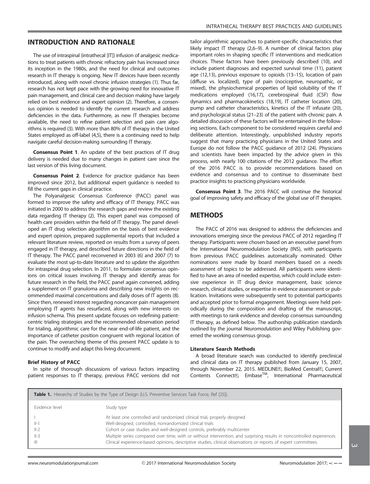# INTRODUCTION AND RATIONALE

The use of intraspinal (intrathecal [IT]) infusion of analgesic medications to treat patients with chronic refractory pain has increased since its inception in the 1980s, and the need for clinical and outcomes research in IT therapy is ongoing. New IT devices have been recently introduced, along with novel chronic infusion strategies (1). Thus far, research has not kept pace with the growing need for innovative IT pain management, and clinical care and decision making have largely relied on best evidence and expert opinion (2). Therefore, a consensus opinion is needed to identify the current research and address deficiencies in the data. Furthermore, as new IT therapies become available, the need to refine patient selection and pain care algorithms is required (3). With more than 80% of IT therapy in the United States employed as off-label (4,5), there is a continuing need to help navigate careful decision-making surrounding IT therapy.

Consensus Point 1. An update of the best practices of IT drug delivery is needed due to many changes in patient care since the last version of this living document.

Consensus Point 2. Evidence for practice quidance has been improved since 2012, but additional expert guidance is needed to fill the current gaps in clinical practice.

The Polyanalgesic Consensus Conference (PACC) panel was formed to improve the safety and efficacy of IT therapy. PACC was initiated in 2000 to address the research gaps and review the existing data regarding IT therapy (2). This expert panel was composed of health care providers within the field of IT therapy. The panel developed an IT drug selection algorithm on the basis of best evidence and expert opinion, prepared supplemental reports that included a relevant literature review, reported on results from a survey of peers engaged in IT therapy, and described future directions in the field of IT therapy. The PACC panel reconvened in 2003 (6) and 2007 (7) to evaluate the most up-to-date literature and to update the algorithm for intraspinal drug selection. In 2011, to formulate consensus opinions on critical issues involving IT therapy and identify areas for future research in the field, the PACC panel again convened, adding a supplement on IT granuloma and describing new insights on recommended maximal concentrations and daily doses of IT agents (8). Since then, renewed interest regarding noncancer pain management employing IT agents has resurfaced, along with new interests on infusion schema. This present update focuses on redefining patientcentric trialing strategies and the recommended observation period for trialing, algorithmic care for the near end-of-life patient, and the importance of catheter position congruent with regional location of the pain. The overarching theme of this present PACC update is to continue to modify and adapt this living document.

#### Brief History of PACC

In spite of thorough discussions of various factors impacting patient responses to IT therapy, previous PACC versions did not tailor algorithmic approaches to patient-specific characteristics that likely impact IT therapy (2,6–9). A number of clinical factors play important roles in shaping specific IT interventions and medication choices. These factors have been previously described (10), and include patient diagnoses and expected survival time (11), patient age (12,13), previous exposure to opioids (13–15), location of pain (diffuse vs. localized), type of pain (nociceptive, neuropathic, or mixed), the physiochemical properties of lipid solubility of the IT medications employed (16,17), cerebrospinal fluid (CSF) flow dynamics and pharmacokinetics (18,19), IT catheter location (20), pump and catheter characteristics, kinetics of the IT infusate (20), and psychological status (21–23) of the patient with chronic pain. A detailed discussion of these factors will be entertained in the following sections. Each component to be considered requires careful and deliberate attention. Interestingly, unpublished industry reports suggest that many practicing physicians in the United States and Europe do not follow the PACC guidance of 2012 (24). Physicians and scientists have been impacted by the advice given in this process, with nearly 100 citations of the 2012 guidance. The effort of the 2016 PACC is to provide recommendations based on evidence and consensus and to continue to disseminate best practice insights to practicing physicians worldwide.

Consensus Point 3. The 2016 PACC will continue the historical goal of improving safety and efficacy of the global use of IT therapies.

# **METHODS**

The PACC of 2016 was designed to address the deficiencies and innovations emerging since the previous PACC of 2012 regarding IT therapy. Participants were chosen based on an executive panel from the International Neuromodulation Society (INS), with participants from previous PACC guidelines automatically nominated. Other nominations were made by board members based on a needs assessment of topics to be addressed. All participants were identified to have an area of needed expertise, which could include extensive experience in IT drug device management, basic science research, clinical studies, or expertise in evidence assessment or publication. Invitations were subsequently sent to potential participants and accepted prior to formal engagement. Meetings were held periodically during the composition and drafting of the manuscript, with meetings to rank evidence and develop consensus surrounding IT therapy, as defined below. The authorship publication standards outlined by the journal Neuromodulation and Wiley Publishing governed the working consensus group.

#### Literature Search Methods

A broad literature search was conducted to identify preclinical and clinical data on IT therapy published from January 15, 2007, through November 22, 2015. MEDLINE®, BioMed Central®, Current  $Contents$  Connect®, Embase<sup>TM</sup>, International Pharmaceutical

| Table 1. Hierarchy of Studies by the Type of Design (U.S. Preventive Services Task Force, Ref [25]). |                                                                                                                                                                                                                                                                                                                                                                                                                                                               |  |  |  |
|------------------------------------------------------------------------------------------------------|---------------------------------------------------------------------------------------------------------------------------------------------------------------------------------------------------------------------------------------------------------------------------------------------------------------------------------------------------------------------------------------------------------------------------------------------------------------|--|--|--|
| Fvidence level                                                                                       | Study type                                                                                                                                                                                                                                                                                                                                                                                                                                                    |  |  |  |
| $  -$<br>$  -2$<br>$II-3$<br>Ш                                                                       | At least one controlled and randomized clinical trial, properly designed<br>Well-designed, controlled, nonrandomized clinical trials<br>Cohort or case studies and well-designed controls, preferably multicenter<br>Multiple series compared over time, with or without intervention, and surprising results in noncontrolled experiences<br>Clinical experience-based opinions, descriptive studies, clinical observations or reports of expert committees. |  |  |  |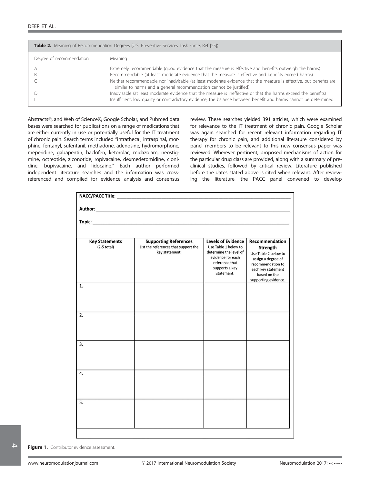## DEER ET AL.

| <b>Table 2.</b> Meaning of Recommendation Degrees (U.S. Preventive Services Task Force, Ref [25]). |                                                                                                                                                                                                                                                                                                                                                                                                         |  |  |  |
|----------------------------------------------------------------------------------------------------|---------------------------------------------------------------------------------------------------------------------------------------------------------------------------------------------------------------------------------------------------------------------------------------------------------------------------------------------------------------------------------------------------------|--|--|--|
| Degree of recommendation                                                                           | Meaning                                                                                                                                                                                                                                                                                                                                                                                                 |  |  |  |
|                                                                                                    | Extremely recommendable (good evidence that the measure is effective and benefits outweigh the harms)<br>Recommendable (at least, moderate evidence that the measure is effective and benefits exceed harms)<br>Neither recommendable nor inadvisable (at least moderate evidence that the measure is effective, but benefits are<br>similar to harms and a general recommendation cannot be justified) |  |  |  |
|                                                                                                    | Inadvisable (at least moderate evidence that the measure is ineffective or that the harms exceed the benefits)<br>Insufficient, low quality or contradictory evidence; the balance between benefit and harms cannot be determined.                                                                                                                                                                      |  |  |  |

Abstracts®, and Web of Science®, Google Scholar, and Pubmed data bases were searched for publications on a range of medications that are either currently in use or potentially useful for the IT treatment of chronic pain. Search terms included "intrathecal, intraspinal, morphine, fentanyl, sufentanil, methadone, adenosine, hydromorphone, meperidine, gabapentin, baclofen, ketorolac, midazolam, neostigmine, octreotide, ziconotide, ropivacaine, dexmedetomidine, clonidine, bupivacaine, and lidocaine." Each author performed independent literature searches and the information was crossreferenced and compiled for evidence analysis and consensus

review. These searches yielded 391 articles, which were examined for relevance to the IT treatment of chronic pain. Google Scholar was again searched for recent relevant information regarding IT therapy for chronic pain, and additional literature considered by panel members to be relevant to this new consensus paper was reviewed. Wherever pertinent, proposed mechanisms of action for the particular drug class are provided, along with a summary of preclinical studies, followed by critical review. Literature published before the dates stated above is cited when relevant. After reviewing the literature, the PACC panel convened to develop

| <b>Key Statements</b><br>$(2-5 total)$ | <b>Supporting References</b><br>List the references that support the<br>key statement. | <b>Levels of Evidence</b><br>Use Table 1 below to<br>determine the level of<br>evidence for each<br>reference that<br>supports a key<br>statement. | Recommendation<br>Strength<br>Use Table 2 below to<br>assign a degree of<br>recommendation to<br>each key statement<br>based on the<br>supporting evidence. |
|----------------------------------------|----------------------------------------------------------------------------------------|----------------------------------------------------------------------------------------------------------------------------------------------------|-------------------------------------------------------------------------------------------------------------------------------------------------------------|
| 1.                                     |                                                                                        |                                                                                                                                                    |                                                                                                                                                             |
| 2.                                     |                                                                                        |                                                                                                                                                    |                                                                                                                                                             |
| 3.                                     |                                                                                        |                                                                                                                                                    |                                                                                                                                                             |
| 4.                                     |                                                                                        |                                                                                                                                                    |                                                                                                                                                             |
| 5.                                     |                                                                                        |                                                                                                                                                    |                                                                                                                                                             |
|                                        |                                                                                        |                                                                                                                                                    |                                                                                                                                                             |

Figure 1. Contributor evidence assessment.

 $\overline{A}$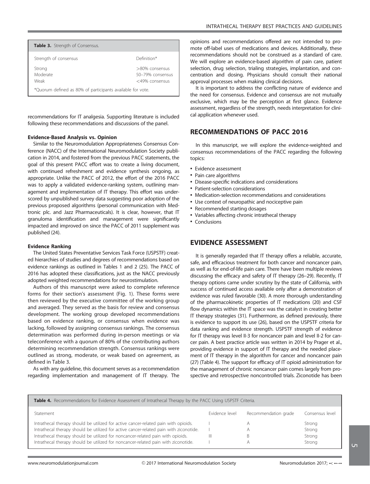| Table 3. Strength of Consensus.                            |                                                      |
|------------------------------------------------------------|------------------------------------------------------|
| Strength of consensus                                      | Definition*                                          |
| Strong<br>Moderate<br>Weak                                 | >80% consensus<br>50-79% consensus<br><49% consensus |
| *Quorum defined as 80% of participants available for vote. |                                                      |

recommendations for IT analgesia. Supporting literature is included following these recommendations and discussions of the panel.

#### Evidence-Based Analysis vs. Opinion

Similar to the Neuromodulation Appropriateness Consensus Conference (NACC) of the International Neuromodulation Society publication in 2014, and fostered from the previous PACC statements, the goal of this present PACC effort was to create a living document, with continued refreshment and evidence synthesis ongoing, as appropriate. Unlike the PACC of 2012, the effort of the 2016 PACC was to apply a validated evidence-ranking system, outlining management and implementation of IT therapy. This effort was underscored by unpublished survey data suggesting poor adoption of the previous proposed algorithms (personal communication with Medtronic plc. and Jazz Pharmaceuticals). It is clear, however, that IT granuloma identification and management were significantly impacted and improved on since the PACC of 2011 supplement was published (24).

#### Evidence Ranking

The United States Preventative Services Task Force (USPSTF) created hierarchies of studies and degrees of recommendations based on evidence rankings as outlined in Tables 1 and 2 (25). The PACC of 2016 has adopted these classifications, just as the NACC previously adopted weighted recommendations for neurostimulation.

Authors of this manuscript were asked to complete reference forms for their section's assessment (Fig. 1). These forms were then reviewed by the executive committee of the working group and averaged. They served as the basis for review and consensus development. The working group developed recommendations based on evidence ranking, or consensus when evidence was lacking, followed by assigning consensus rankings. The consensus determination was performed during in-person meetings or via teleconference with a quorum of 80% of the contributing authors determining recommendation strength. Consensus rankings were outlined as strong, moderate, or weak based on agreement, as defined in Table 3.

As with any guideline, this document serves as a recommendation regarding implementation and management of IT therapy. The

opinions and recommendations offered are not intended to promote off-label uses of medications and devices. Additionally, these recommendations should not be construed as a standard of care. We will explore an evidence-based algorithm of pain care, patient selection, drug selection, trialing strategies, implantation, and concentration and dosing. Physicians should consult their national approval processes when making clinical decisions.

It is important to address the conflicting nature of evidence and the need for consensus. Evidence and consensus are not mutually exclusive, which may be the perception at first glance. Evidence assessment, regardless of the strength, needs interpretation for clinical application whenever used.

# RECOMMENDATIONS OF PACC 2016

In this manuscript, we will explore the evidence-weighted and consensus recommendations of the PACC regarding the following topics:

- Evidence assessment
- Pain care algorithms
- Disease-specific indications and considerations
- Patient-selection considerations
- Medication-selection recommendations and considerations
- Use context of neuropathic and nociceptive pain
- Recommended starting dosages
- Variables affecting chronic intrathecal therapy
- Conclusions

## EVIDENCE ASSESSMENT

It is generally regarded that IT therapy offers a reliable, accurate, safe, and efficacious treatment for both cancer and noncancer pain, as well as for end-of-life pain care. There have been multiple reviews discussing the efficacy and safety of IT therapy (26–29). Recently, IT therapy options came under scrutiny by the state of California, with success of continued access available only after a demonstration of evidence was ruled favorable (30). A more thorough understanding of the pharmacokinetic properties of IT medications (20) and CSF flow dynamics within the IT space was the catalyst in creating better IT therapy strategies (31). Furthermore, as defined previously, there is evidence to support its use (26), based on the USPSTF criteria for data ranking and evidence strength. USPSTF strength of evidence for IT therapy was level II-3 for noncancer pain and level II-2 for cancer pain. A best practice article was written in 2014 by Prager et al., providing evidence in support of IT therapy and the needed placement of IT therapy in the algorithm for cancer and noncancer pain (27) (Table 4). The support for efficacy of IT opioid administration for the management of chronic noncancer pain comes largely from prospective and retrospective noncontrolled trials. Ziconotide has been

Table 4. Recommendations for Evidence Assessment of Intrathecal Therapy by the PACC Using USPSTF Criteria.

| Statement                                                                                                                                                                                                                                                                                                                                              | Evidence level | Recommendation grade | Consensus level                      |
|--------------------------------------------------------------------------------------------------------------------------------------------------------------------------------------------------------------------------------------------------------------------------------------------------------------------------------------------------------|----------------|----------------------|--------------------------------------|
| Intrathecal therapy should be utilized for active cancer-related pain with opioids.<br>Intrathecal therapy should be utilized for active cancer-related pain with ziconotide.<br>Intrathecal therapy should be utilized for noncancer-related pain with opioids.<br>Intrathecal therapy should be utilized for noncancer-related pain with ziconotide. |                |                      | Strong<br>Strong<br>Strong<br>Strong |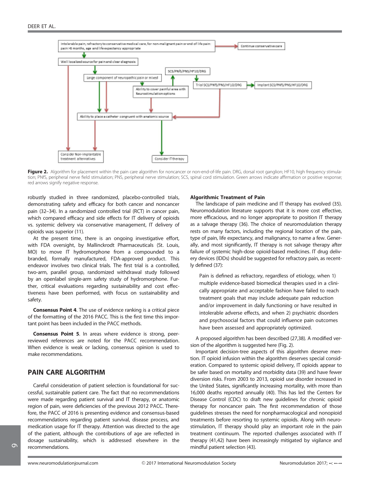

Figure 2. Algorithm for placement within the pain care algorithm for noncancer or non-end-of-life pain. DRG, dorsal root ganglion; HF10, high frequency stimulation; PNfS, peripheral nerve field stimulation; PNS, peripheral nerve stimulation; SCS, spinal cord stimulation. Green arrows indicate affirmation or positive response; red arrows signify negative response.

robustly studied in three randomized, placebo-controlled trials, demonstrating safety and efficacy for both cancer and noncancer pain (32–34). In a randomized controlled trial (RCT) in cancer pain, which compared efficacy and side effects for IT delivery of opioids vs. systemic delivery via conservative management, IT delivery of opioids was superior (11).

At the present time, there is an ongoing investigative effort, with FDA oversight, by Mallinckrodt Pharmaceuticals (St. Louis, MO) to move IT hydromorphone from a compounded to a branded, formally manufactured, FDA-approved product. This endeavor involves two clinical trials. The first trial is a controlled, two-arm, parallel group, randomized withdrawal study followed by an openlabel single-arm safety study of hydromorphone. Further, critical evaluations regarding sustainability and cost effectiveness have been performed, with focus on sustainability and safety.

Consensus Point 4. The use of evidence ranking is a critical piece of the formatting of the 2016 PACC. This is the first time this important point has been included in the PACC methods.

**Consensus Point 5.** In areas where evidence is strong, peerreviewed references are noted for the PACC recommendation. When evidence is weak or lacking, consensus opinion is used to make recommendations.

# PAIN CARE ALGORITHM

Careful consideration of patient selection is foundational for successful, sustainable patient care. The fact that no recommendations were made regarding patient survival and IT therapy, or anatomic region of pain, were deficiencies of the previous 2012 PACC. Therefore, the PACC of 2016 is presenting evidence and consensus-based recommendations regarding patient survival, disease process, and medication usage for IT therapy. Attention was directed to the age of the patient, although the contributions of age are reflected in dosage sustainability, which is addressed elsewhere in the recommendations.

#### Algorithmic Treatment of Pain

The landscape of pain medicine and IT therapy has evolved (35). Neuromodulation literature supports that it is more cost effective, more efficacious, and no longer appropriate to position IT therapy as a salvage therapy (36). The choice of neuromodulation therapy rests on many factors, including the regional location of the pain, type of pain, life expectancy, and malignancy, to name a few. Generally, and most significantly, IT therapy is not salvage therapy after failure of systemic high-dose opioid-based medicines. IT drug delivery devices (IDDs) should be suggested for refractory pain, as recently defined (37):

Pain is defined as refractory, regardless of etiology, when 1) multiple evidence-based biomedical therapies used in a clinically appropriate and acceptable fashion have failed to reach treatment goals that may include adequate pain reduction and/or improvement in daily functioning or have resulted in intolerable adverse effects, and when 2) psychiatric disorders and psychosocial factors that could influence pain outcomes have been assessed and appropriately optimized.

A proposed algorithm has been described (27,38). A modified version of the algorithm is suggested here (Fig. 2).

Important decision-tree aspects of this algorithm deserve mention. IT opioid infusion within the algorithm deserves special consideration. Compared to systemic opioid delivery, IT opioids appear to be safer based on mortality and morbidity data (39) and have fewer diversion risks. From 2003 to 2013, opioid use disorder increased in the United States, significantly increasing mortality, with more than 16,000 deaths reported annually (40). This has led the Centers for Disease Control (CDC) to draft new guidelines for chronic opioid therapy for noncancer pain. The first recommendation of those guidelines stresses the need for nonpharmacological and nonopioid treatments before resorting to systemic opioids. Along with neurostimulation, IT therapy should play an important role in the pain treatment continuum. The reported challenges associated with IT therapy (41,42) have been increasingly mitigated by vigilance and mindful patient selection (43).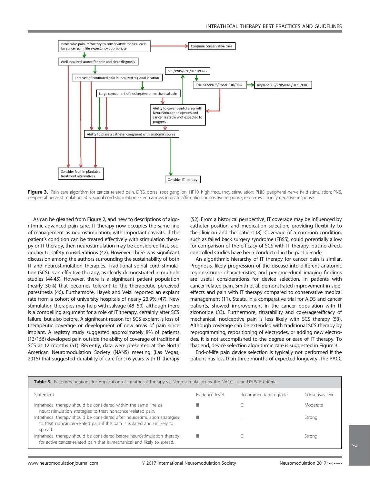

Figure 3. Pain care algorithm for cancer-related pain. DRG, dorsal root ganglion; HF10, high frequency stimulation; PNfS, peripheral nerve field stimulation; PNS, peripheral nerve stimulation; SCS, spinal cord stimulation. Green arrows indicate affirmation or positive response; red arrows signify negative response.

As can be gleaned from Figure 2, and new to descriptions of algorithmic advanced pain care, IT therapy now occupies the same line of management as neurostimulation, with important caveats. If the patient's condition can be treated effectively with stimulation therapy or IT therapy, then neurostimulation may be considered first, secondary to safety considerations (42). However, there was significant discussion among the authors surrounding the sustainability of both IT and neurostimulation therapies. Traditional spinal cord stimulation (SCS) is an effective therapy, as clearly demonstrated in multiple studies (44,45). However, there is a significant patient population (nearly 30%) that becomes tolerant to the therapeutic perceived paresthesia (46). Furthermore, Hayek and Veizi reported an explant rate from a cohort of university hospitals of nearly 23.9% (47). New stimulation therapies may help with salvage (48–50), although there is a compelling argument for a role of IT therapy, certainly after SCS failure, but also before. A significant reason for SCS explant is loss of therapeutic coverage or development of new areas of pain since implant. A registry study suggested approximately 8% of patients (13/156) developed pain outside the ability of coverage of traditional SCS at 12 months (51). Recently, data were presented at the North American Neuromodulation Society (NANS) meeting (Las Vegas, 2015) that suggested durability of care for  $>6$  years with IT therapy

(52). From a historical perspective, IT coverage may be influenced by catheter position and medication selection, providing flexibility to the clinician and the patient (8). Coverage of a common condition, such as failed back surgery syndrome (FBSS), could potentially allow for comparison of the efficacy of SCS with IT therapy, but no direct, controlled studies have been conducted in the past decade.

An algorithmic hierarchy of IT therapy for cancer pain is similar. Prognosis, likely progression of the disease into different anatomic regions/tumor characteristics, and periprocedural imaging findings are useful considerations for device selection. In patients with cancer-related pain, Smith et al. demonstrated improvement in sideeffects and pain with IT therapy compared to conservative medical management (11). Staats, in a comparative trial for AIDS and cancer patients, showed improvement in the cancer population with IT ziconotide (33). Furthermore, titratability and coverage/efficacy of mechanical, nociceptive pain is less likely with SCS therapy (53). Although coverage can be extended with traditional SCS therapy by reprogramming, repositioning of electrodes, or adding new electrodes, it is not accomplished to the degree or ease of IT therapy. To that end, device selection algorithmic care is suggested in Figure 3.

End-of-life pain device selection is typically not performed if the patient has less than three months of expected longevity. The PACC

| Table 5. Recommendations for Application of Intrathecal Therapy vs. Neurostimulation by the NACC Using USPSTF Criteria.                                        |                |                      |                 |  |  |
|----------------------------------------------------------------------------------------------------------------------------------------------------------------|----------------|----------------------|-----------------|--|--|
| Statement                                                                                                                                                      | Fvidence level | Recommendation grade | Consensus level |  |  |
| Intrathecal therapy should be considered within the same line as<br>neurostimulation strategies to treat noncancer-related pain.                               | Ш              |                      | Moderate        |  |  |
| Intrathecal therapy should be considered after neurostimulation strategies<br>to treat noncancer-related pain if the pain is isolated and unlikely to          | Ш              |                      | Strong          |  |  |
| spread.<br>Intrathecal therapy should be considered before neurostimulation therapy<br>for active cancer-related pain that is mechanical and likely to spread. | Ш              |                      | Strong          |  |  |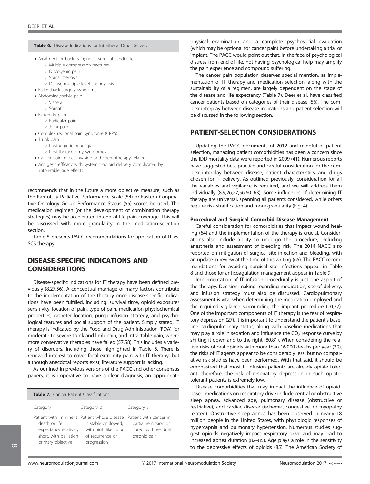|                                          | Table 6. Disease Indications for Intrathecal Drug Delivery.                                                                                                                                                                                                                                                                                                                  |
|------------------------------------------|------------------------------------------------------------------------------------------------------------------------------------------------------------------------------------------------------------------------------------------------------------------------------------------------------------------------------------------------------------------------------|
| • Extremity pain<br>$\bullet$ Trunk pain | • Axial neck or back pain; not a surgical candidate<br>o Multiple compression fractures<br>o Discogenic pain<br>o Spinal stenosis<br>o Diffuse multiple-level spondylosis<br>• Failed back surgery syndrome<br>• Abdominal/pelvic pain<br>o Visceral<br>∩ Somatic<br>o Radicular pain<br>o Joint pain<br>• Complex regional pain syndrome (CRPS)<br>o Postherpetic neuralgia |
|                                          | • Post-thoracotomy syndromes<br>• Cancer pain, direct invasion and chemotherapy related                                                                                                                                                                                                                                                                                      |
|                                          | • Analgesic efficacy with systemic opioid delivery complicated by<br>intolerable side effects                                                                                                                                                                                                                                                                                |

recommends that in the future a more objective measure, such as the Karnofsky Palliative Performance Scale (54) or Eastern Cooperative Oncology Group Performance Status (55) scores be used. The medication regimen (or the development of combination therapy strategies) may be accelerated in end-of-life pain coverage. This will be discussed with more granularity in the medication-selection section.

Table 5 presents PACC recommendations for application of IT vs. SCS therapy.

# DISEASE-SPECIFIC INDICATIONS AND CONSIDERATIONS

Disease-specific indications for IT therapy have been defined previously (8,27,56). A conceptual marriage of many factors contribute to the implementation of the therapy once disease-specific indications have been fulfilled, including: survival time, opioid exposure/ sensitivity, location of pain, type of pain, medication physiochemical properties, catheter location, pump infusion strategy, and psychological features and social support of the patient. Simply stated, IT therapy is indicated by the Food and Drug Administration (FDA) for moderate to severe trunk and limb pain, and intractable pain, where more conservative therapies have failed (57,58). This includes a variety of disorders, including those highlighted in Table 6. There is renewed interest to cover focal extremity pain with IT therapy, but although anecdotal reports exist, literature support is lacking.

As outlined in previous versions of the PACC and other consensus papers, it is imperative to have a clear diagnosis, an appropriate

| <b>Table 7.</b> Cancer Patient Classifications.                                       |                                                                                                                                                       |                                                              |  |  |  |
|---------------------------------------------------------------------------------------|-------------------------------------------------------------------------------------------------------------------------------------------------------|--------------------------------------------------------------|--|--|--|
| Category 1                                                                            | Category 2                                                                                                                                            | Category 3                                                   |  |  |  |
| death or life<br>expectancy relatively<br>short, with palliation<br>primary objective | Patient with imminent Patient whose disease Patient with cancer in<br>is stable or slowed,<br>with high likelihood<br>of recurrence or<br>progression | partial remission or<br>cured, with residual<br>chronic pain |  |  |  |

physical examination and a complete psychosocial evaluation (which may be optional for cancer pain) before undertaking a trial or implant. The PACC would point out that, in the face of psychological distress from end-of-life, not having psychological help may amplify the pain experience and compound suffering.

The cancer pain population deserves special mention, as implementation of IT therapy and medication selection, along with the sustainability of a regimen, are largely dependent on the stage of the disease and life expectancy (Table 7). Deer et al. have classified cancer patients based on categories of their disease (56). The complex interplay between disease indications and patient selection will be discussed in the following section.

# PATIENT-SELECTION CONSIDERATIONS

Updating the PACC documents of 2012 and mindful of patient selection, managing patient comorbidities has been a concern since the IDD mortality data were reported in 2009 (41). Numerous reports have suggested best practice and careful consideration for the complex interplay between disease, patient characteristics, and drugs chosen for IT delivery. As outlined previously, consideration for all the variables and vigilance is required, and we will address them individually (8,9,26,27,56,60–63). Some influences of determining IT therapy are universal, spanning all patients considered, while others require risk stratification and more granularity (Fig. 4).

## Procedural and Surgical Comorbid Disease Management

Careful consideration for comorbidities that impact wound healing (64) and the implementation of the therapy is crucial. Considerations also include ability to undergo the procedure, including anesthesia and assessment of bleeding risk. The 2014 NACC also reported on mitigation of surgical site infection and bleeding, with an update in review at the time of this writing (65). The PACC recommendations for avoiding surgical site infections appear in Table 8 and those for anticoagulation management appear in Table 9.

Implementation of IT infusion procedurally is just one aspect of the therapy. Decision-making regarding medication, site of delivery, and infusion strategy must also be discussed. Cardiopulmonary assessment is vital when determining the medication employed and the required vigilance surrounding the implant procedure (10,27). One of the important components of IT therapy is the fear of respiratory depression (27). It is important to understand the patient's baseline cardiopulmonary status, along with baseline medications that may play a role in sedation and influence the  $CO<sub>2</sub>$  response curve by shifting it down and to the right (80,81). When considering the relative risks of oral opioids with more than 16,000 deaths per year (39), the risks of IT agents appear to be considerably less, but no comparative risk studies have been performed. With that said, it should be emphasized that most IT infusion patients are already opiate tolerant, therefore, the risk of respiratory depression in such opiatetolerant patients is extremely low.

Disease comorbidities that may impact the influence of opioidbased medications on respiratory drive include central or obstructive sleep apnea, advanced age, pulmonary disease (obstructive or restrictive), and cardiac disease (ischemic, congestive, or myopathy related). Obstructive sleep apnea has been observed in nearly 18 million people in the United States, with physiologic responses of hypercapnia and pulmonary hypertension. Numerous studies suggest opioids negatively impact respiratory drive and may lead to increased apnea duration (82–85). Age plays a role in the sensitivity to the depressive effects of opioids (85). The American Society of

 $\infty$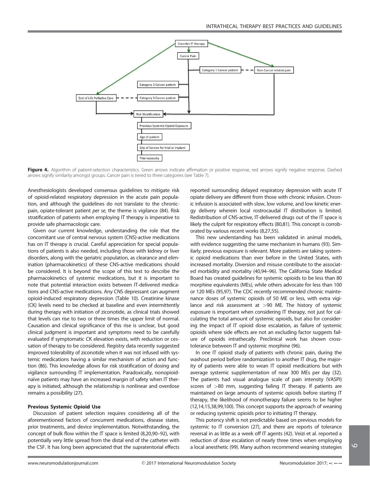

Figure 4. Algorithm of patient-selection characteristics. Green arrows indicate affirmation or positive response, red arrows signify negative response. Dashed arrows signify similarity amongst groups. Cancer pain is tiered to three categories (see Table 7).

Anesthesiologists developed consensus guidelines to mitigate risk of opioid-related respiratory depression in the acute pain population, and although the guidelines do not translate to the chronicpain, opiate-tolerant patient per se, the theme is vigilance (84). Risk stratification of patients when employing IT therapy is imperative to provide safe pharmacologic care.

Given our current knowledge, understanding the role that the concomitant use of central nervous system (CNS)-active medications has on IT therapy is crucial. Careful appreciation for special populations of patients is also needed, including those with kidney or liver disorders, along with the geriatric population, as clearance and elimination (pharmacokinetics) of these CNS-active medications should be considered. It is beyond the scope of this text to describe the pharmacokinetics of systemic medications, but it is important to note that potential interaction exists between IT-delivered medications and CNS-active medications. Any CNS depressant can augment opioid-induced respiratory depression (Table 10). Creatinine kinase (CK) levels need to be checked at baseline and even intermittently during therapy with initiation of ziconotide, as clinical trials showed that levels can rise to two or three times the upper limit of normal. Causation and clinical significance of this rise is unclear, but good clinical judgment is important and symptoms need to be carefully evaluated if symptomatic CK elevation exists, with reduction or cessation of therapy to be considered. Registry data recently suggested improved tolerability of ziconotide when it was not infused with systemic medications having a similar mechanism of action and function (86). This knowledge allows for risk stratification of dosing and vigilance surrounding IT implementation. Paradoxically, nonopioidnaïve patients may have an increased margin of safety when IT therapy is initiated, although the relationship is nonlinear and overdose remains a possibility (27).

### Previous Systemic Opioid Use

Discussion of patient selection requires considering all of the aforementioned factors of concurrent medications, disease states, prior treatments, and device implementation. Notwithstanding, the concept of bulk flow within the IT space is limited (8,20,90–92), with potentially very little spread from the distal end of the catheter with the CSF. It has long been appreciated that the supratentorial effects

reported surrounding delayed respiratory depression with acute IT opiate delivery are different from those with chronic infusion. Chronic infusion is associated with slow, low volume, and low kinetic energy delivery wherein local rostrocaudal IT distribution is limited. Redistribution of CNS-active, IT-delivered drugs out of the IT space is likely the culprit for respiratory effects (80,81). This concept is corroborated by various recent works (8,27,55).

This new understanding has been validated in animal models, with evidence suggesting the same mechanism in humans (93). Similarly, previous exposure is relevant. More patients are taking systemic opioid medications than ever before in the United States, with increased mortality. Diversion and misuse contribute to the associated morbidity and mortality (40,94–96). The California State Medical Board has created guidelines for systemic opioids to be less than 80 morphine equivalents (MEs), while others advocate for less than 100 or 120 MEs (95,97). The CDC recently recommended chronic maintenance doses of systemic opioids of 50 ME or less, with extra vigilance and risk assessment at >90 ME. The history of systemic exposure is important when considering IT therapy, not just for calculating the total amount of systemic opioids, but also for considering the impact of IT opioid dose escalation, as failure of systemic opioids where side effects are not an excluding factor suggests failure of opioids intrathecally. Preclinical work has shown crosstolerance between IT and systemic morphine (96).

In one IT opioid study of patients with chronic pain, during the washout period before randomization to another IT drug, the majority of patients were able to wean IT opioid medications but with average systemic supplementation of near 300 MEs per day (32). The patients had visual analogue scale of pain intensity (VASPI) scores of >80 mm, suggesting failing IT therapy. If patients are maintained on large amounts of systemic opioids before starting IT therapy, the likelihood of monotherapy failure seems to be higher (12,14,15,38,99,100). This concept supports the approach of weaning or reducing systemic opioids prior to initiating IT therapy.

This potency shift is not predictable based on previous models for systemic to IT conversion (27), and there are reports of tolerance reversal in as little as a week off IT agents (42). Veizi et al. reported a reduction of dose escalation of nearly three times when employing a local anesthetic (99). Many authors recommend weaning strategies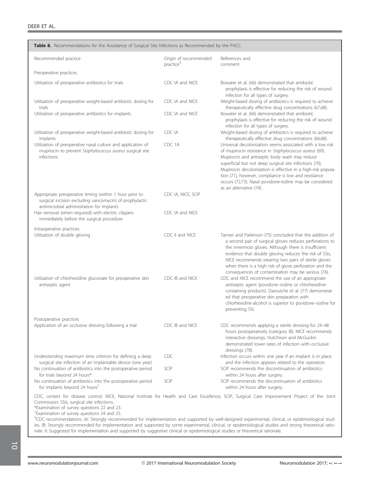| Table 8. Recommendations for the Avoidance of Surgical Site Infections as Recommended by the PACC.                                                                                                                                                                                                      |                                                |                                                                                                                                                                                                                                                                                                                                                                                                                                               |  |  |  |
|---------------------------------------------------------------------------------------------------------------------------------------------------------------------------------------------------------------------------------------------------------------------------------------------------------|------------------------------------------------|-----------------------------------------------------------------------------------------------------------------------------------------------------------------------------------------------------------------------------------------------------------------------------------------------------------------------------------------------------------------------------------------------------------------------------------------------|--|--|--|
| Recommended practice                                                                                                                                                                                                                                                                                    | Origin of recommended<br>practice <sup>5</sup> | References and<br>comment                                                                                                                                                                                                                                                                                                                                                                                                                     |  |  |  |
| Preoperative practices                                                                                                                                                                                                                                                                                  |                                                |                                                                                                                                                                                                                                                                                                                                                                                                                                               |  |  |  |
| Utilization of preoperative antibiotics for trials                                                                                                                                                                                                                                                      | CDC IA and NICE                                | Bowater et al. (66) demonstrated that antibiotic<br>prophylaxis is effective for reducing the risk of wound<br>infection for all types of surgery.                                                                                                                                                                                                                                                                                            |  |  |  |
| Utilization of preoperative weight-based antibiotic dosing for<br>trials                                                                                                                                                                                                                                | CDC IA and NICE                                | Weight-based dosing of antibiotics is required to achieve<br>therapeutically effective drug concentrations (67,68).                                                                                                                                                                                                                                                                                                                           |  |  |  |
| Utilization of preoperative antibiotics for implants                                                                                                                                                                                                                                                    | CDC IA and NICE                                | Bowater et al. (66) demonstrated that antibiotic<br>prophylaxis is effective for reducing the risk of wound<br>infection for all types of surgery.                                                                                                                                                                                                                                                                                            |  |  |  |
| Utilization of preoperative weight-based antibiotic dosing for<br>implants                                                                                                                                                                                                                              | CDC IA                                         | Weight-based dosing of antibiotics is required to achieve<br>therapeutically effective drug concentrations (66,68).                                                                                                                                                                                                                                                                                                                           |  |  |  |
| Utilization of preoperative nasal culture and application of<br>mupirocin to prevent Staphylococcus aureus surgical site<br>infections                                                                                                                                                                  | CDC 1A                                         | Universal decolonization seems associated with a low risk<br>of mupirocin resistance in Staphylococcus aureus (69).<br>Mupirocin and antiseptic body wash may reduce<br>superficial but not deep surgical site infections (70).<br>Mupirocin decolonization is effective in a high-risk popula-<br>tion (71), however, compliance is low and resistance<br>occurs (72,73). Nasal povidone-iodine may be considered<br>as an alternative (74). |  |  |  |
| Appropriate preoperative timing (within 1 hour prior to<br>surgical incision excluding vancomycin) of prophylactic<br>antimicrobial administration for implants                                                                                                                                         | CDC IA, NICE, SCIP                             |                                                                                                                                                                                                                                                                                                                                                                                                                                               |  |  |  |
| Hair removal (when required) with electric clippers<br>immediately before the surgical procedure                                                                                                                                                                                                        | CDC IA and NICE                                |                                                                                                                                                                                                                                                                                                                                                                                                                                               |  |  |  |
| Intraoperative practices<br>Utilization of double gloving                                                                                                                                                                                                                                               | CDC II and NICE                                | Tanner and Parkinson (75) concluded that the addition of<br>a second pair of surgical gloves reduces perforations to<br>the innermost gloves. Although there is insufficient<br>evidence that double gloving reduces the risk of SSIs,<br>NICE recommends wearing two pairs of sterile gloves<br>when there is a high risk of glove perforation and the<br>consequences of contamination may be serious (76).                                 |  |  |  |
| Utilization of chlorhexidine gluconate for preoperative skin<br>antiseptic agent                                                                                                                                                                                                                        | CDC IB and NICE                                | CDC and NICE recommend the use of an appropriate<br>antiseptic agent (povidone-iodine or chlorhexidine-<br>containing products). Darouiche et al. (77) demonstrat-<br>ed that preoperative skin preparation with<br>chlorhexidine-alcohol is superior to povidone-iodine for<br>preventing SSI.                                                                                                                                               |  |  |  |
| Postoperative practices                                                                                                                                                                                                                                                                                 |                                                |                                                                                                                                                                                                                                                                                                                                                                                                                                               |  |  |  |
| Application of an occlusive dressing following a trial                                                                                                                                                                                                                                                  | CDC IB and NICE                                | CDC recommends applying a sterile dressing for 24-48<br>hours postoperatively (category IB). NICE recommends<br>interactive dressings. Hutchison and McGuckin<br>demonstrated lower rates of infection with occlusive<br>dressings (78).                                                                                                                                                                                                      |  |  |  |
| Understanding maximum time criterion for defining a deep<br>surgical site infection of an implantable device (one year)                                                                                                                                                                                 | <b>CDC</b>                                     | Infection occurs within one year if an implant is in place<br>and the infection appears related to the operation.                                                                                                                                                                                                                                                                                                                             |  |  |  |
| No continuation of antibiotics into the postoperative period<br>for trials beyond 24 hours*                                                                                                                                                                                                             | <b>SCIP</b>                                    | SCIP recommends the discontinuation of antibiotics<br>within 24 hours after surgery.                                                                                                                                                                                                                                                                                                                                                          |  |  |  |
| No continuation of antibiotics into the postoperative period<br>for implants beyond 24 hours <sup>t</sup>                                                                                                                                                                                               | SCIP                                           | SCIP recommends the discontinuation of antibiotics<br>within 24 hours after surgery.                                                                                                                                                                                                                                                                                                                                                          |  |  |  |
| CDC, centers for disease control; NICE, National Institute for Health and Care Excellence; SCIP, Surgical Care Improvement Project of the Joint<br>Commission; SSIs, surgical site infections.<br>*Examination of survey questions 22 and 23.<br><sup>†</sup> Examination of survey questions 24 and 25 |                                                |                                                                                                                                                                                                                                                                                                                                                                                                                                               |  |  |  |

<sup>†</sup>Examination of survey questions 24 and 25.<br><sup>§</sup>CDC recommendations. IA: Strongly recommended for implementation and supported by well-designed experimental, clinical, or epidemiological studies. IB: Strongly recommended for implementation and supported by some experimental, clinical, or epidemiological studies and strong theoretical rationale. II: Suggested for implementation and supported by suggestive clinical or epidemiological studies or theoretical rationale.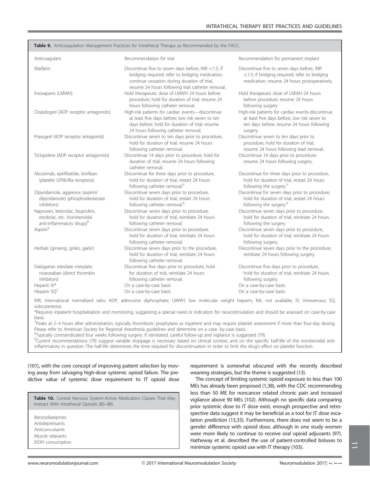| Table 9. Anticoagulation Management Practices for Intrathecal Therapy as Recommended by the PACC.        |                                                                                                                                                                                                                 |                                                                                                                                                             |  |  |
|----------------------------------------------------------------------------------------------------------|-----------------------------------------------------------------------------------------------------------------------------------------------------------------------------------------------------------------|-------------------------------------------------------------------------------------------------------------------------------------------------------------|--|--|
| Anticoagulant                                                                                            | Recommendation for trial                                                                                                                                                                                        | Recommendation for permanent implant                                                                                                                        |  |  |
| Warfarin                                                                                                 | Discontinue five to seven days before, INR $<$ 1.5; if<br>bridging required, refer to bridging medication;<br>continue cessation during duration of trial,<br>resume 24 hours following trial catheter removal. | Discontinue five to seven days before, INR<br><1.5; if bridging required, refer to bridging<br>medication; resume 24 hours postoperatively.                 |  |  |
| Enoxaparin (LMWH)                                                                                        | Hold therapeutic dose of LMWH 24 hours before<br>procedure; hold for duration of trial; resume 24<br>hours following catheter removal.                                                                          | Hold therapeutic dose of LMWH 24 hours<br>before procedure; resume 24 hours<br>following surgery                                                            |  |  |
| Clopidogrel (ADP receptor antagonists)                                                                   | High-risk patients for cardiac events-discontinue<br>at least five days before; low risk seven to ten<br>days before; hold for duration of trial; resume<br>24 hours following catheter removal.                | High-risk patients for cardiac events-discontinue<br>at least five days before; low risk seven to<br>ten days before; resume 24 hours following<br>surgery. |  |  |
| Prasugrel (ADP receptor antagonist)                                                                      | Discontinue seven to ten days prior to procedure,<br>hold for duration of trial, resume 24 hours<br>following catheter removal.                                                                                 | Discontinue seven to ten days prior to<br>procedure, hold for duration of trial,<br>resume 24 hours following lead removal.                                 |  |  |
| Ticlopidine (ADP receptor antagonists)                                                                   | Discontinue 14 days prior to procedure, hold for<br>duration of trial, resume 24 hours following<br>catheter removal.                                                                                           | Discontinue 14 days prior to procedure;<br>resume 24 hours following surgery.                                                                               |  |  |
| Abciximab, eptifibatide, tirofiban<br>(platelet GPIIb/IIIa receptors)                                    | Discontinue for three days prior to procedure,<br>hold for duration of trial, restart 24 hours<br>following catheter removal. <sup>#</sup>                                                                      | Discontinue for three days prior to procedure,<br>hold for duration of trial, restart 24 hours<br>following the surgery. <sup>#</sup>                       |  |  |
| Dipyridamole, aggrenox (aspirin/<br>dipyridamole) (phosphodiesterase<br>inhibitors)                      | Discontinue seven days prior to procedure,<br>hold for duration of trial, restart 24 hours<br>following catheter removal. <sup>5</sup>                                                                          | Discontinue for seven days prior to procedure,<br>hold for duration of trial, restart 24 hours<br>following the surgery. <sup>5</sup>                       |  |  |
| Naproxen, ketorolac, ibuprofen,<br>etodolac, etc. (nonsteroidal<br>anti-inflammatory drugs) <sup>§</sup> | Discontinue seven days prior to procedure,<br>hold for duration of trial, reinitiate 24 hours<br>following catheter removal.                                                                                    | Discontinue seven days prior to procedure,<br>hold for duration of trial, reinitiate 24 hours<br>following the surgery                                      |  |  |
| Aspirin <sup>§</sup>                                                                                     | Discontinue seven days prior to procedure,<br>hold for duration of trial, reinitiate 24 hours<br>following catheter removal.                                                                                    | Discontinue seven days prior to procedure,<br>hold for duration of trial, reinitiate 24 hours<br>following surgery.                                         |  |  |
| Herbals (ginseng, ginko, garlic)                                                                         | Discontinue seven days prior to the procedure,<br>hold for duration of trial, reinitiate 24 hours<br>following catheter removal.                                                                                | Discontinue seven days prior to the procedure;<br>reinitiate 24 hours following surgery.                                                                    |  |  |
| Dabigatran etexilate mesylate,<br>rivaroxaban (direct thrombin<br>inhibitors)                            | Discontinue five days prior to procedure, hold<br>for duration of trial, reinitiate 24 hours<br>following catheter removal.                                                                                     | Discontinue five days prior to procedure,<br>hold for duration of trial, reinitiate 24 hours<br>following surgery.                                          |  |  |
| Heparin IV*<br>Heparin $SQ†$                                                                             | On a case-by-case basis<br>On a case-by-case basis                                                                                                                                                              | On a case-by-case basis<br>On a case-by-case basis                                                                                                          |  |  |
|                                                                                                          | INR, international normalized ratio; ADP, adenosine diphosphate; LMWH, low molecular weight heparin; NA, not available; IV, intravenous; SQ,                                                                    |                                                                                                                                                             |  |  |

subcutaneous.

\*Requires inpatient hospitalization and monitoring, suggesting a special need or indication for neurostimulation and should be assessed on case-by-case basis.

† Peaks at 2–4 hours after administration, typically thrombotic prophylaxis as inpatient and may require platelet assessment if more than four-day dosing. Please refer to American Society for Regional Anesthesia guidelines and determine on a case- by-case basis.

‡ Typically contraindicated four weeks following surgery. If reinitiated, careful follow-up and vigilance is suggested (79).

<sup>§</sup>Current recommendations (79) suggest variable stoppage is necessary based on clinical context, and on the specific half-life of the nonsteroidal antiinflammatory in question. The half-life determines the time required for discontinuation in order to limit the drug's effect on platelet function.

(101), with the core concept of improving patient selection by moving away from salvaging high-dose systemic opioid failure. The predictive value of systemic dose requirement to IT opioid dose

Table 10. Central Nervous System-Active Medication Classes That May Interact With Intrathecal Opioids (86–88).

Benzodiazepines Antidepressants Anticonvulsants Muscle relaxants EtOH consumption requirement is somewhat obscured with the recently described weaning strategies, but the theme is suggested (13).

The concept of limiting systemic opioid exposure to less than 100 MEs has already been proposed (1,38), with the CDC recommending less than 50 ME for noncancer related chronic pain and increased vigilance above 90 MEs (102). Although no specific data comparing prior systemic dose to IT dose exist, enough prospective and retrospective data suggest it may be beneficial as a tool for IT dose escalation prediction (13,35). Furthermore, there does not seem to be a gender difference with opioid dose, although in one study women were more likely to continue to receive oral opioid adjuvants (97). Hatheway et al. described the use of patient-controlled boluses to minimize systemic opioid use with IT therapy (103).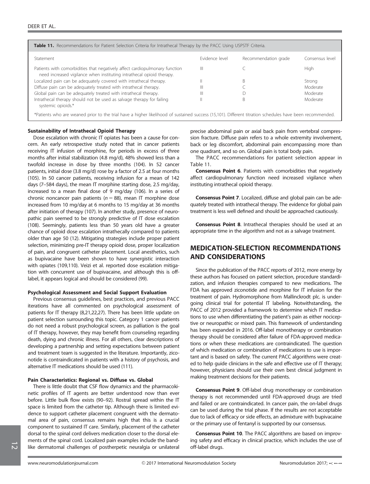| <b>Table 11.</b> Recommendations for Patient Selection Criteria for Intrathecal Therapy by the PACC Using USPSTF Criteria.                               |                |                      |                 |  |  |
|----------------------------------------------------------------------------------------------------------------------------------------------------------|----------------|----------------------|-----------------|--|--|
| Statement                                                                                                                                                | Fvidence level | Recommendation grade | Consensus level |  |  |
| Patients with comorbidities that negatively affect cardiopulmonary function<br>need increased vigilance when instituting intrathecal opioid therapy.     | Ш              |                      | High            |  |  |
| Localized pain can be adequately covered with intrathecal therapy.                                                                                       |                | B                    | Strong          |  |  |
| Diffuse pain can be adequately treated with intrathecal therapy.                                                                                         | Ш              |                      | Moderate        |  |  |
| Global pain can be adequately treated with intrathecal therapy.                                                                                          | Ш              |                      | Moderate        |  |  |
| Intrathecal therapy should not be used as salvage therapy for failing<br>systemic opioids.*                                                              |                | B                    | Moderate        |  |  |
| *Patients who are weaned prior to the trial have a higher likelihood of sustained success (15,101). Different titration schedules have been recommended. |                |                      |                 |  |  |

#### Sustainability of Intrathecal Opioid Therapy

Dose escalation with chronic IT opiates has been a cause for concern. An early retrospective study noted that in cancer patients receiving IT infusion of morphine, for periods in excess of three months after initial stabilization (4.8 mg/d), 48% showed less than a twofold increase in dose by three months (104). In 52 cancer patients, initial dose (3.8 mg/d) rose by a factor of 2.5 at four months (105). In 50 cancer patients, receiving infusion for a mean of 142 days (7–584 days), the mean IT morphine starting dose, 2.5 mg/day, increased to a mean final dose of 9 mg/day (106). In a series of chronic noncancer pain patients ( $n = 88$ ), mean IT morphine dose increased from 10 mg/day at 6 months to 15 mg/day at 36 months after initiation of therapy (107). In another study, presence of neuropathic pain seemed to be strongly predictive of IT dose escalation (108). Seemingly, patients less than 50 years old have a greater chance of opioid dose escalation intrathecally compared to patients older than age 50 (12). Mitigating strategies include proper patient selection, minimizing pre-IT therapy opioid dose, proper localization of pain, and congruent catheter placement. Local anesthetics, such as bupivacaine have been shown to have synergistic interaction with opiates (109,110). Veizi et al. reported dose escalation mitigation with concurrent use of bupivacaine, and although this is offlabel, it appears logical and should be considered (99).

#### Psychological Assessment and Social Support Evaluation

Previous consensus guidelines, best practices, and previous PACC iterations have all commented on psychological assessment of patients for IT therapy (8,21,22,27). There has been little update on patient selection surrounding this topic. Category 1 cancer patients do not need a robust psychological screen, as palliation is the goal of IT therapy, however, they may benefit from counseling regarding death, dying and chronic illness. For all others, clear descriptions of developing a partnership and setting expectations between patient and treatment team is suggested in the literature. Importantly, ziconotide is contraindicated in patients with a history of psychosis, and alternative IT medications should be used (111).

## Pain Characteristics: Regional vs. Diffuse vs. Global

There is little doubt that CSF flow dynamics and the pharmacokinetic profiles of IT agents are better understood now than ever before. Little bulk flow exists (90–92). Rostral spread within the IT space is limited from the catheter tip. Although there is limited evidence to support catheter placement congruent with the dermatomal area of pain, consensus remains high that this is a crucial component to sustained IT care. Similarly, placement of the catheter dorsal to the spinal cord delivers medication closer to the dorsal elements of the spinal cord. Localized pain examples include the bandlike dermatomal challenges of postherpetic neuralgia or unilateral

precise abdominal pain or axial back pain from vertebral compression fracture. Diffuse pain refers to a whole extremity involvement, back or leg discomfort, abdominal pain encompassing more than one quadrant, and so on. Global pain is total body pain.

The PACC recommendations for patient selection appear in Table 11.

Consensus Point 6. Patients with comorbidities that negatively affect cardiopulmonary function need increased vigilance when instituting intrathecal opioid therapy.

Consensus Point 7. Localized, diffuse and global pain can be adequately treated with intrathecal therapy. The evidence for global pain treatment is less well defined and should be approached cautiously.

Consensus Point 8. Intrathecal therapies should be used at an appropriate time in the algorithm and not as a salvage treatment.

# MEDICATION-SELECTION RECOMMENDATIONS AND CONSIDERATIONS

Since the publication of the PACC reports of 2012, more energy by these authors has focused on patient selection, procedure standardization, and infusion therapies compared to new medications. The FDA has approved ziconotide and morphine for IT infusion for the treatment of pain. Hydromorphone from Mallinckrodt plc. is undergoing clinical trial for potential IT labeling. Notwithstanding, the PACC of 2012 provided a framework to determine which IT medications to use when differentiating the patient's pain as either nociceptive or neuropathic or mixed pain. This framework of understanding has been expanded in 2016. Off-label monotherapy or combination therapy should be considered after failure of FDA-approved medications or when these medications are contraindicated. The question of which medication or combination of medications to use is important and is based on safety. The current PACC algorithms were created to help guide clinicians in the safe and effective use of IT therapy; however, physicians should use their own best clinical judgment in making treatment decisions for their patients.

Consensus Point 9. Off-label drug monotherapy or combination therapy is not recommended until FDA-approved drugs are tried and failed or are contraindicated. In cancer pain, the on-label drugs can be used during the trial phase. If the results are not acceptable due to lack of efficacy or side effects, an admixture with bupivacaine or the primary use of fentanyl is supported by our consensus.

Consensus Point 10. The PACC algorithms are based on improving safety and efficacy in clinical practice, which includes the use of off-label drugs.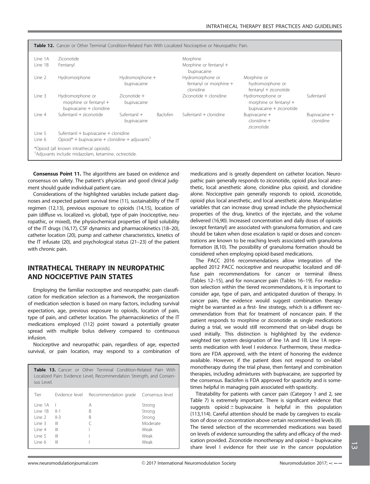| Table 12. Cancer or Other Terminal Condition-Related Pain With Localized Nociceptive or Neuropathic Pain.              |                                                                       |                                |                 |                                                         |                                                                        |                            |
|------------------------------------------------------------------------------------------------------------------------|-----------------------------------------------------------------------|--------------------------------|-----------------|---------------------------------------------------------|------------------------------------------------------------------------|----------------------------|
| Line 1A<br>Line 1B                                                                                                     | <b>Ziconotide</b><br>Fentanyl                                         |                                |                 | Morphine<br>Morphine or fentanyl +<br>bupivacaine       |                                                                        |                            |
| Line 2                                                                                                                 | Hydromorphone                                                         | Hydromorphone +<br>bupivacaine |                 | Hydromorphone or<br>fentanyl or morphine +<br>clonidine | Morphine or<br>hydromorphone or<br>$f$ entanyl + ziconotide            |                            |
| Line 3                                                                                                                 | Hydromorphone or<br>morphine or fentanyl +<br>bupivacaine + clonidine | $Ziconotide +$<br>bupivacaine  |                 | Ziconotide + clonidine                                  | Hydromorphone or<br>morphine or fentanyl +<br>bupivacaine + ziconotide | Sufentanil                 |
| line 4                                                                                                                 | Sufentanil + ziconotide                                               | Sufentani $ +$<br>bupivacaine  | <b>Baclofen</b> | Sufentanil + clonidine                                  | Bupivacaine +<br>$clonidine +$<br>ziconotide                           | Bupivacaine +<br>clonidine |
| Sufentanil + bupivacaine + clonidine<br>Line 5<br>Opioid* + bupivacaine + clonidine + adjuvants <sup>†</sup><br>Line 6 |                                                                       |                                |                 |                                                         |                                                                        |                            |
| *Opioid (all known intrathecal opioids).<br><sup>†</sup> Adjuvants include midazolam, ketamine, octreotide.            |                                                                       |                                |                 |                                                         |                                                                        |                            |

Consensus Point 11. The algorithms are based on evidence and consensus on safety. The patient's physician and good clinical judgment should guide individual patient care.

Considerations of the highlighted variables include patient diagnoses and expected patient survival time (11), sustainability of the IT regimen (12,13), previous exposure to opioids (14,15), location of pain (diffuse vs. localized vs. global), type of pain (nociceptive, neuropathic, or mixed), the physiochemical properties of lipid solubility of the IT drugs (16,17), CSF dynamics and pharmacokinetics (18–20), catheter location (20), pump and catheter characteristics, kinetics of the IT infusate (20), and psychological status (21–23) of the patient with chronic pain.

# INTRATHECAL THERAPY IN NEUROPATHIC AND NOCICEPTIVE PAIN STATES

Employing the familiar nociceptive and neuropathic pain classification for medication selection as a framework, the reorganization of medication selection is based on many factors, including survival expectation, age, previous exposure to opioids, location of pain, type of pain, and catheter location. The pharmacokinetics of the IT medications employed (112) point toward a potentially greater spread with multiple bolus delivery compared to continuous infusion.

Nociceptive and neuropathic pain, regardless of age, expected survival, or pain location, may respond to a combination of

| <b>Table 13.</b> Cancer or Other Terminal Condition-Related Pain With<br>Localized Pain: Evidence Level, Recommendation Strength, and Consen-<br>sus Level. |                                                      |                                                     |                                                                |  |  |  |
|-------------------------------------------------------------------------------------------------------------------------------------------------------------|------------------------------------------------------|-----------------------------------------------------|----------------------------------------------------------------|--|--|--|
| Tier                                                                                                                                                        |                                                      | Evidence level Recommendation grade Consensus level |                                                                |  |  |  |
| l ine 1A<br>Line 1B<br>line 2<br>line 3<br>line 4<br>line 5<br>line 6                                                                                       | I<br>$  -1$<br>$II-3$<br>$\mathbb{H}$<br>Ш<br>Ш<br>Ш | А<br>B<br>B                                         | Strong<br>Strong<br>Strong<br>Moderate<br>Weak<br>Weak<br>Weak |  |  |  |

medications and is greatly dependent on catheter location. Neuropathic pain generally responds to ziconotide, opioid plus local anesthetic, local anesthetic alone, clonidine plus opioid, and clonidine alone. Nociceptive pain generally responds to opioid, ziconotide, opioid plus local anesthetic, and local anesthetic alone. Manipulative variables that can increase drug spread include the physiochemical properties of the drug, kinetics of the injectate, and the volume delivered (16,90). Increased concentration and daily doses of opioids (except fentanyl) are associated with granuloma formation, and care should be taken when dose escalation is rapid or doses and concentrations are known to be reaching levels associated with granuloma formation (8,10). The possibility of granuloma formation should be considered when employing opioid-based medications.

The PACC 2016 recommendations allow integration of the applied 2012 PACC nociceptive and neuropathic localized and diffuse pain recommendations for cancer or terminal illness (Tables 12–15), and for noncancer pain (Tables 16–19). For medication selection within the tiered recommendations, it is important to consider age, type of pain, and anticipated duration of therapy. In cancer pain, the evidence would suggest combination therapy might be warranted as a first- line strategy, which is a different recommendation from that for treatment of noncancer pain. If the patient responds to morphine or ziconotide as single medications during a trial, we would still recommend that on-label drugs be used initially. This distinction is highlighted by the evidenceweighted tier system designation of line 1A and 1B. Line 1A represents medication with level I evidence. Furthermore, these medications are FDA approved, with the intent of honoring the evidence available. However, if the patient does not respond to on-label monotherapy during the trial phase, then fentanyl and combination therapies, including admixtures with bupivacaine, are supported by the consensus. Baclofen is FDA approved for spasticity and is sometimes helpful in managing pain associated with spasticity.

Titratability for patients with cancer pain (Category 1 and 2, see Table 7) is extremely important. There is significant evidence that suggests opioid  $\pm$  bupivacaine is helpful in this population (113,114). Careful attention should be made by caregivers to escalation of dose or concentration above certain recommended levels (8). The tiered selection of the recommended medications was based on levels of evidence surrounding the safety and efficacy of the medication provided. Ziconotide monotherapy and opioid  $+$  bupivacaine share level I evidence for their use in the cancer population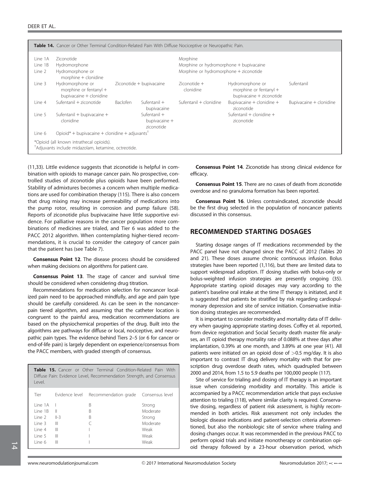|         | Table 14. Cancer or Other Terminal Condition-Related Pain With Diffuse Nociceptive or Neuropathic Pain.     |                 |                                                 |                                         |                                                                        |                         |
|---------|-------------------------------------------------------------------------------------------------------------|-----------------|-------------------------------------------------|-----------------------------------------|------------------------------------------------------------------------|-------------------------|
| Line 1A | Ziconotide                                                                                                  |                 |                                                 | Morphine                                |                                                                        |                         |
| Line 1B | Hydromorphone                                                                                               |                 |                                                 | Morphine or hydromorphone + bupivacaine |                                                                        |                         |
| Line 2  | Hydromorphone or<br>morphine + clonidine                                                                    |                 |                                                 | Morphine or hydromorphone + ziconotide  |                                                                        |                         |
| Line 3  | Hydromorphone or<br>morphine or fentanyl +<br>bupivacaine + clonidine                                       |                 | Ziconotide + bupivacaine                        | $Z$ iconotide +<br>clonidine            | Hydromorphone or<br>morphine or fentanyl +<br>bupivacaine + ziconotide | Sufentanil              |
| Line 4  | Sufentanil + ziconotide                                                                                     | <b>Baclofen</b> | Sufentani $ +$<br>bupivacaine                   | Sufentanil + clonidine                  | Bupivacaine + clonidine +<br>ziconotide                                | Bupivacaine + clonidine |
| Line 5  | Sufentanil + bupivacaine +<br>clonidine                                                                     |                 | Sufentani $ +$<br>bupivacaine $+$<br>ziconotide |                                         | Sufentanil + clonidine +<br>ziconotide                                 |                         |
| Line 6  | Opioid* + bupivacaine + clonidine + adjuvants                                                               |                 |                                                 |                                         |                                                                        |                         |
|         | *Opioid (all known intrathecal opioids).<br><sup>†</sup> Adjuvants include midazolam, ketamine, octreotide. |                 |                                                 |                                         |                                                                        |                         |

(11,33). Little evidence suggests that ziconotide is helpful in combination with opioids to manage cancer pain. No prospective, controlled studies of ziconotide plus opioids have been performed. Stability of admixtures becomes a concern when multiple medications are used for combination therapy (115). There is also concern that drug mixing may increase permeability of medications into the pump rotor, resulting in corrosion and pump failure (58). Reports of ziconotide plus bupivacaine have little supportive evidence. For palliative reasons in the cancer population more combinations of medicines are trialed, and Tier 6 was added to the PACC 2012 algorithm. When contemplating higher-tiered recommendations, it is crucial to consider the category of cancer pain that the patient has (see Table 7).

Consensus Point 12. The disease process should be considered when making decisions on algorithms for patient care.

Consensus Point 13. The stage of cancer and survival time should be considered when considering drug titration.

Recommendations for medication selection for noncancer localized pain need to be approached mindfully, and age and pain type should be carefully considered. As can be seen in the noncancerpain tiered algorithm, and assuming that the catheter location is congruent to the painful area, medication recommendations are based on the physiochemical properties of the drug. Built into the algorithms are pathways for diffuse or local, nociceptive, and neuropathic pain types. The evidence behind Tiers 2–5 (or 6 for cancer or end-of-life pain) is largely dependent on experience/consensus from the PACC members, with graded strength of consensus.

| Table 15. Cancer or Other Terminal Condition-Related Pain With<br>Diffuse Pain: Evidence Level, Recommendation Strength, and Consensus<br>Level. |                                                         |                                      |                                                                  |  |  |  |  |
|--------------------------------------------------------------------------------------------------------------------------------------------------|---------------------------------------------------------|--------------------------------------|------------------------------------------------------------------|--|--|--|--|
| Tier                                                                                                                                             | Fvidence level                                          | Recommendation grade Consensus level |                                                                  |  |  |  |  |
| l ine 1A<br>line 1R<br>line 2<br>line 3<br>line 4<br>line 5<br>l ine 6                                                                           | $\mathbf{H}$<br>$  -3$<br>$\mathbf{III}$<br>Ш<br>Ш<br>Ш | R<br>R<br>R                          | Strong<br>Moderate<br>Strong<br>Moderate<br>Weak<br>Weak<br>Weak |  |  |  |  |

Consensus Point 14. Ziconotide has strong clinical evidence for efficacy.

Consensus Point 15. There are no cases of death from ziconotide overdose and no granuloma formation has been reported.

Consensus Point 16. Unless contraindicated, ziconotide should be the first drug selected in the population of noncancer patients discussed in this consensus.

# RECOMMENDED STARTING DOSAGES

Starting dosage ranges of IT medications recommended by the PACC panel have not changed since the PACC of 2012 (Tables 20 and 21). These doses assume chronic continuous infusion. Bolus strategies have been reported (1,116), but there are limited data to support widespread adoption. IT dosing studies with bolus-only or bolus-weighted infusion strategies are presently ongoing (35). Appropriate starting opioid dosages may vary according to the patient's baseline oral intake at the time IT therapy is initiated, and it is suggested that patients be stratified by risk regarding cardiopulmonary depression and site of service initiation. Conservative initiation dosing strategies are recommended.

It is important to consider morbidity and mortality data of IT delivery when gauging appropriate starting doses. Coffey et al. reported, from device registration and Social Security death master file analyses, an IT opioid therapy mortality rate of 0.088% at three days after implantation, 0.39% at one month, and 3.89% at one year (41). All patients were initiated on an opioid dose of  $>0.5$  mg/day. It is also important to contrast IT drug delivery mortality with that for prescription drug overdose death rates, which quadrupled between 2000 and 2014, from 1.5 to 5.9 deaths per 100,000 people (117).

Site of service for trialing and dosing of IT therapy is an important issue when considering morbidity and mortality. This article is accompanied by a PACC recommendation article that pays exclusive attention to trialing (118), where similar clarity is required. Conservative dosing, regardless of patient risk assessment, is highly recommended in both articles. Risk assessment not only includes the biologic disease indications and patient-selection criteria aforementioned, but also the nonbiologic site of service where trialing and dosing changes occur. It was recommended in the previous PACC to perform opioid trials and initiate monotherapy or combination opioid therapy followed by a 23-hour observation period, which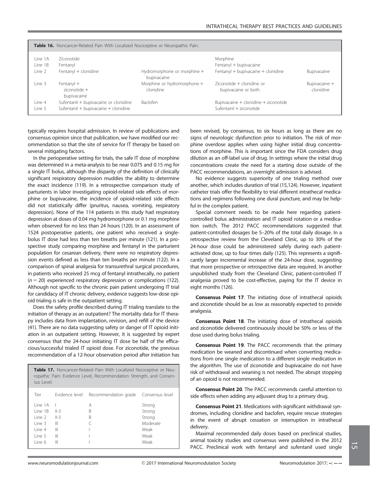|                    | <b>Table 16.</b> Noncancer-Related Pain With Localized Nociceptive or Neuropathic Pain. |                                            |                                                                 |                            |
|--------------------|-----------------------------------------------------------------------------------------|--------------------------------------------|-----------------------------------------------------------------|----------------------------|
| Line 1A<br>Line 1B | <b>Ziconotide</b><br>Fentanyl                                                           |                                            | Morphine<br>Fentanyl + bupivacaine                              |                            |
| Line 2             | Fentanyl + clonidine                                                                    | Hydromorphone or morphine +<br>bupivacaine | Fentanyl + bupivacaine + clonidine                              | Bupivacaine                |
| Line 3             | Fentanyl $+$<br>$ziconotide +$<br>bupivacaine                                           | Morphine or hydromorphone +<br>clonidine   | Ziconotide + clonidine or<br>bupivacaine or both                | Bupivacaine +<br>clonidine |
| Line 4<br>Line 5   | Sufentanil + bupivacaine or clonidine<br>Sufentanil + bupivacaine + clonidine           | Baclofen                                   | Bupivacaine + clonidine + ziconotide<br>Sufentanil + ziconotide |                            |

typically requires hospital admission. In review of publications and consensus opinion since that publication, we have modified our recommendation so that the site of service for IT therapy be based on several mitigating factors.

In the perioperative setting for trials, the safe IT dose of morphine was determined in a meta-analysis to be near 0.075 and 0.15 mg for a single IT bolus, although the disparity of the definition of clinically significant respiratory depression muddies the ability to determine the exact incidence (119). In a retrospective comparison study of parturients in labor investigating opioid-related side effects of morphine or bupivacaine, the incidence of opioid-related side effects did not statistically differ (pruritus, nausea, vomiting, respiratory depression). None of the 114 patients in this study had respiratory depression at doses of 0.04 mg hydromorphone or 0.1 mg morphine when observed for no less than 24 hours (120). In an assessment of 1524 postoperative patients, one patient who received a singlebolus IT dose had less than ten breaths per minute (121). In a prospective study comparing morphine and fentanyl in the parturient population for cesarean delivery, there were no respiratory depression events defined as less than ten breaths per minute (122). In a comparison of spinal analgesia for transurethral surgical procedures, in patients who received 25 mcg of fentanyl intrathecally, no patient  $(n = 20)$  experienced respiratory depression or complications (122). Although not specific to the chronic pain patient undergoing IT trial for candidacy of IT chronic delivery, evidence suggests low-dose opioid trialing is safe in the outpatient setting.

Does the safety profile described during IT trialing translate to the initiation of therapy as an outpatient? The mortality data for IT therapy includes data from implantation, revision, and refill of the device (41). There are no data suggesting safety or danger of IT opioid initiation in an outpatient setting. However, it is suggested by expert consensus that the 24-hour initiating IT dose be half of the efficacious/successful trialed IT opioid dose. For ziconotide, the previous recommendation of a 12-hour observation period after initiation has

Table 17. Noncancer-Related Pain With Localized Nociceptive or Neuropathic Pain: Evidence Level, Recommendation Strength, and Consensus Level. Tier Evidence level Recommendation grade Consensus level Line 1A I A A Strong Line 1B II-3 B Strong<br>
Line 2 II-3 B Strong Line 2 II-3 B Strong Line 3 III C C Moderate Line 4 III I I Weak Line 5 III I I Weak Line 6 III I I Weak

been revised, by consensus, to six hours as long as there are no signs of neurologic dysfunction prior to initiation. The risk of morphine overdose applies when using higher initial drug concentrations of morphine. This is important since the FDA considers drug dilution as an off-label use of drug. In settings where the initial drug concentrations create the need for a starting dose outside of the PACC recommendations, an overnight admission is advised.

No evidence suggests superiority of one trialing method over another, which includes duration of trial (15,124). However, inpatient catheter trials offer the flexibility to trial different intrathecal medications and regimens following one dural puncture, and may be helpful in the complex patient.

Special comment needs to be made here regarding patientcontrolled bolus administration and IT opioid rotation or a medication switch. The 2012 PACC recommendations suggested that patient-controlled dosages be 5–20% of the total daily dosage. In a retrospective review from the Cleveland Clinic, up to 30% of the 24-hour dose could be administered safely during each patientactivated dose, up to four times daily (125). This represents a significantly larger incremental increase of the 24-hour dose, suggesting that more prospective or retrospective data are required. In another unpublished study from the Cleveland Clinic, patient-controlled IT analgesia proved to be cost-effective, paying for the IT device in eight months (126).

Consensus Point 17. The initiating dose of intrathecal opioids and ziconotide should be as low as reasonably expected to provide analgesia.

Consensus Point 18. The initiating dose of intrathecal opioids and ziconotide delivered continuously should be 50% or less of the dose used during bolus trialing.

Consensus Point 19. The PACC recommends that the primary medication be weaned and discontinued when converting medications from one single medication to a different single medication in the algorithm. The use of ziconotide and bupivacaine do not have risk of withdrawal and weaning is not needed. The abrupt stopping of an opioid is not recommended.

Consensus Point 20. The PACC recommends careful attention to side effects when adding any adjuvant drug to a primary drug.

Consensus Point 21. Medications with significant withdrawal syndromes, including clonidine and baclofen, require rescue strategies in the event of abrupt cessation or interruption in intrathecal delivery.

Maximal recommended daily doses based on preclinical studies, animal toxicity studies and consensus were published in the 2012 PACC. Preclinical work with fentanyl and sufentanil used single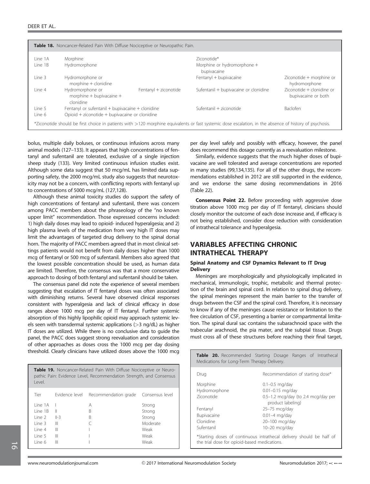## DEER ET AL.

| line 1A | Morphine                                                  |                       | 7iconotide*                                |                                                  |
|---------|-----------------------------------------------------------|-----------------------|--------------------------------------------|--------------------------------------------------|
| Line 1B | Hydromorphone                                             |                       | Morphine or hydromorphone +<br>bupivacaine |                                                  |
| l ine 3 | Hydromorphone or<br>morphine + clonidine                  |                       | Fentanyl + bupivacaine                     | Ziconotide + morphine or<br>hydromorphone        |
| l ine 4 | Hydromorphone or<br>morphine + bupivacaine +<br>clonidine | Fentanyl + ziconotide | Sufentanil + bupivacaine or clonidine      | Ziconotide + clonidine or<br>bupivacaine or both |
| Line 5  | Fentanyl or sufentanil + bupivacaine + clonidine          |                       | Sufentanil + ziconotide                    | Baclofen                                         |
| Line 6  | Opioid + ziconotide + bupivacaine or clonidine            |                       |                                            |                                                  |

bolus, multiple daily boluses, or continuous infusions across many animal models (127–133). It appears that high concentrations of fentanyl and sufentanil are tolerated, exclusive of a single injection sheep study (133). Very limited continuous infusion studies exist. Although some data suggest that 50 mcg/mL has limited data supporting safety, the 2000 mcg/mL study also suggests that neurotoxicity may not be a concern, with conflicting reports with fentanyl up to concentrations of 5000 mcg/mL (127,128).

Although these animal toxicity studies do support the safety of high concentrations of fentanyl and sufentanil, there was concern among PACC members about the phraseology of the "no known upper limit" recommendation. Those expressed concerns included: 1) high daily doses may lead to opioid- induced hyperalgesia; and 2) high plasma levels of the medication from very high IT doses may limit the advantages of targeted drug delivery to the spinal dorsal horn. The majority of PACC members agreed that in most clinical settings patients would not benefit from daily doses higher than 1000 mcg of fentanyl or 500 mcg of sufentanil. Members also agreed that the lowest possible concentration should be used, as human data are limited. Therefore, the consensus was that a more conservative approach to dosing of both fentanyl and sufentanil should be taken.

The consensus panel did note the experience of several members suggesting that escalation of IT fentanyl doses was often associated with diminishing returns. Several have observed clinical responses consistent with hyperalgesia and lack of clinical efficacy in dose ranges above 1000 mcg per day of IT fentanyl. Further systemic absorption of this highly lipophilic opioid may approach systemic levels seen with transdermal systemic applications (>3 ng/dL) as higher IT doses are utilized. While there is no conclusive data to guide the panel, the PACC does suggest strong reevaluation and consideration of other approaches as doses cross the 1000 mcg per day dosing threshold. Clearly clinicians have utilized doses above the 1000 mcg

per day level safely and possibly with efficacy, however, the panel does recommend this dosage currently as a reevaluation milestone.

Similarly, evidence suggests that the much higher doses of bupivacaine are well tolerated and average concentrations are reported in many studies (99,134,135). For all of the other drugs, the recommendations established in 2012 are still supported in the evidence, and we endorse the same dosing recommendations in 2016 (Table 22).

Consensus Point 22. Before proceeding with aggressive dose titration above 1000 mcg per day of IT fentanyl, clinicians should closely monitor the outcome of each dose increase and, if efficacy is not being established, consider dose reduction with consideration of intrathecal tolerance and hyperalgesia.

# VARIABLES AFFECTING CHRONIC INTRATHECAL THERAPY

#### Spinal Anatomy and CSF Dynamics Relevant to IT Drug **Delivery**

Meninges are morphologically and physiologically implicated in mechanical, immunologic, trophic, metabolic and thermal protection of the brain and spinal cord. In relation to spinal drug delivery, the spinal meninges represent the main barrier to the transfer of drugs between the CSF and the spinal cord. Therefore, it is necessary to know if any of the meninges cause resistance or limitation to the free circulation of CSF, presenting a barrier or compartmental limitation. The spinal dural sac contains the subarachnoid space with the trabecular arachnoid, the pia mater, and the subpial tissue. Drugs must cross all of these structures before reaching their final target,

| Medications for Long-Term Therapy Delivery.                                                                                 | <b>Table 20.</b> Recommended Starting Dosage Ranges of Intrathecal                                     |  |  |  |  |
|-----------------------------------------------------------------------------------------------------------------------------|--------------------------------------------------------------------------------------------------------|--|--|--|--|
| Drug                                                                                                                        | Recommendation of starting dose*                                                                       |  |  |  |  |
| Morphine<br>Hydromorphone<br><b>Ziconotide</b>                                                                              | $0.1 - 0.5$ mg/day<br>$0.01 - 0.15$ mg/day<br>0.5-1.2 mcg/day (to 2.4 mcg/day per<br>product labeling) |  |  |  |  |
| Fentanyl<br>$25-75$ mcg/day<br>$0.01-4$ mg/day<br>Bupivacaine<br>Clonidine<br>20-100 mcg/day<br>Sufentanil<br>10-20 mcg/day |                                                                                                        |  |  |  |  |
| *Starting doses of continuous intrathecal delivery should be half of<br>the trial dose for opioid-based medications.        |                                                                                                        |  |  |  |  |

Table 19. Noncancer-Related Pain With Diffuse Nociceptive or Neuropathic Pain: Evidence Level, Recommendation Strength, and Consensus Level. Tier Evidence level Recommendation grade Consensus level Line 1A I A Strong Line 1B II B<br>
Line 2 II-3 B<br>
B Strong Line 2 II-3 B Strong Line 3 III C C Moderate Line 4 III I I Weak Line 5 III I I Weak

Line 6 III I I Weak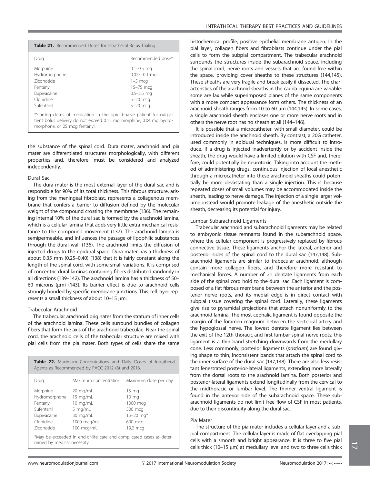| <b>Table 21.</b> Recommended Doses for Intrathecal Bolus Trialing.                                                                                                           |                                                                                                              |
|------------------------------------------------------------------------------------------------------------------------------------------------------------------------------|--------------------------------------------------------------------------------------------------------------|
| Drug                                                                                                                                                                         | Recommended dose*                                                                                            |
| Morphine<br>Hydromorphone<br><b>Ziconotide</b><br>Fentanyl<br>Bupivacaine<br>Clonidine<br>Sufentanil                                                                         | $0.1 - 0.5$ mg<br>$0.025 - 0.1$ mg<br>$1-5$ mcg<br>$15-75$ mcg<br>$0.5 - 2.5$ mg<br>$5-20$ mcg<br>$5-20$ mcg |
| *Starting doses of medication in the opioid-naive patient for outpa-<br>tient bolus delivery do not exceed 0.15 mg morphine, 0.04 mg hydro-<br>morphone, or 25 mcg fentanyl. |                                                                                                              |

the substance of the spinal cord. Dura mater, arachnoid and pia mater are differentiated structures morphologically, with different properties and, therefore, must be considered and analyzed independently.

#### Dural Sac

The dura mater is the most external layer of the dural sac and is responsible for 90% of its total thickness. This fibrous structure, arising from the meningeal fibroblast, represents a collagenous membrane that confers a barrier to diffusion defined by the molecular weight of the compound crossing the membrane (136). The remaining internal 10% of the dural sac is formed by the arachnoid lamina, which is a cellular lamina that adds very little extra mechanical resistance to the compound movement (137). The arachnoid lamina is semipermeable, and influences the passage of lipophilic substances through the dural wall (136). The arachnoid limits the diffusion of injected drugs to the epidural space. Dura mater has a thickness of about 0.35 mm (0.25–0.40) (138) that it is fairly constant along the length of the spinal cord, with some small variations. It is comprised of concentric dural laminas containing fibers distributed randomly in all directions (139–142). The arachnoid lamina has a thickness of 50– 60 microns ( $\mu$ m) (143). Its barrier effect is due to arachnoid cells strongly bonded by specific membrane junctions. This cell layer represents a small thickness of about 10-15 µm.

#### Trabecular Arachnoid

The trabecular arachnoid originates from the stratum of inner cells of the arachnoid lamina. These cells surround bundles of collagen fibers that form the axis of the arachnoid trabeculae. Near the spinal cord, the arachnoid cells of the trabecular structure are mixed with pial cells from the pia mater. Both types of cells share the same

|                                                                                                      | Table 22. Maximum Concentrations and Daily Doses of Intrathecal<br>Agents as Recommended by PACC 2012 (8) and 2016. |                                                                                                               |
|------------------------------------------------------------------------------------------------------|---------------------------------------------------------------------------------------------------------------------|---------------------------------------------------------------------------------------------------------------|
| Drug                                                                                                 | Maximum concentration                                                                                               | Maximum dose per day                                                                                          |
| Morphine<br>Hydromorphone<br>Fentanyl<br>Sufentanil<br>Bupivacaine<br>Clonidine<br><b>Ziconotide</b> | $20 \text{ mg/mL}$<br>15 mg/mL<br>$10$ mg/mL<br>$5$ mg/mL<br>30 mg/mL<br>1000 mcg/mL<br>100 mcg/mL                  | $15 \text{ mg}$<br>$10 \text{ mg}$<br>1000 mcg<br>500 mcg<br>$15 - 20$ mg <sup>*</sup><br>600 mcg<br>19.2 mcg |
|                                                                                                      | *May be exceeded in end-of-life care and complicated cases as deter-                                                |                                                                                                               |

\*May be exceeded in end-of-life care and complicated cases as determined by medical necessity.

histochemical profile, positive epithelial membrane antigen. In the pial layer, collagen fibers and fibroblasts continue under the pial cells to form the subpial compartment. The trabecular arachnoid surrounds the structures inside the subarachnoid space, including the spinal cord, nerve roots and vessels that are found free within the space, providing cover sheaths to these structures (144,145). These sheaths are very fragile and break easily if dissected. The characteristics of the arachnoid sheaths in the cauda equina are variable; some are lax while superimposed planes of the same components with a more compact appearance form others. The thickness of an arachnoid sheath ranges from 10 to 60  $\mu$ m (144,145). In some cases, a single arachnoid sheath encloses one or more nerve roots and in others the nerve root has no sheath at all (144–146).

It is possible that a microcatheter, with small diameter, could be introduced inside the arachnoid sheath. By contrast, a 20G catheter, used commonly in epidural techniques, is more difficult to introduce. If a drug is injected inadvertently or by accident inside the sheath, the drug would have a limited dilution with CSF and, therefore, could potentially be neurotoxic. Taking into account the method of administering drugs, continuous injection of local anesthetic through a microcatheter into these arachnoid sheaths could potentially be more devastating than a single injection. This is because repeated doses of small volumes may be accommodated inside the sheath, leading to nerve damage. The injection of a single larger volume instead would promote leakage of the anesthetic outside the sheath, decreasing its potential for injury.

Lumbar Subarachnoid Ligaments

Trabecular arachnoid and subarachnoid ligaments may be related to embryonic tissue remnants found in the subarachnoid space, where the cellular component is progressively replaced by fibrous connective tissue. These ligaments anchor the lateral, anterior and posterior sides of the spinal cord to the dural sac (147,148). Subarachnoid ligaments are similar to trabecular arachnoid, although contain more collagen fibers, and therefore more resistant to mechanical forces. A number of 21 dentate ligaments from each side of the spinal cord hold to the dural sac. Each ligament is composed of a flat fibrous membrane between the anterior and the posterior nerve roots, and its medial edge is in direct contact with subpial tissue covering the spinal cord. Laterally, these ligaments give rise to pyramidal projections that attach nonuniformly to the arachnoid lamina. The most cephalic ligament is found opposite the margin of the foramen magnum between the vertebral artery and the hypoglossal nerve. The lowest dentate ligament lies between the exit of the 12th thoracic and first lumbar spinal nerve roots; this ligament is a thin band stretching downwards from the medullary cone. Less commonly, posterior ligaments (posticum) are found giving shape to thin, inconsistent bands that attach the spinal cord to the inner surface of the dural sac (147,148). There are also less resistant fenestrated posterior-lateral ligaments, extending more laterally from the dorsal roots to the arachnoid lamina. Both posterior and posterior-lateral ligaments extend longitudinally from the cervical to the midthoracic or lumbar level. The thinner ventral ligament is found in the anterior side of the subarachnoid space. These subarachnoid ligaments do not limit free flow of CSF in most patients, due to their discontinuity along the dural sac.

#### Pia Mater

The structure of the pia mater includes a cellular layer and a subpial compartment. The cellular layer is made of flat overlapping pial cells with a smooth and bright appearance. It is three to five pial cells thick (10-15  $\mu$ m) at medullary level and two to three cells thick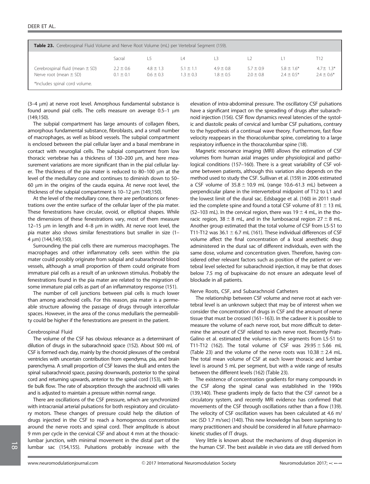| Table 23. Cerebrospinal Fluid Volume and Nerve Root Volume (mL) per Vertebral Segment (159). |                                |                                |                                |                                |                                |                                    |                                   |
|----------------------------------------------------------------------------------------------|--------------------------------|--------------------------------|--------------------------------|--------------------------------|--------------------------------|------------------------------------|-----------------------------------|
|                                                                                              | Sacral                         | 15.                            | 14                             | 13.                            |                                |                                    | T12                               |
| Cerebrospinal fluid (mean $\pm$ SD)<br>Nerve root (mean $\pm$ SD)                            | $2.2 \pm 0.6$<br>$0.1 \pm 0.1$ | $4.8 \pm 1.3$<br>$0.6 \pm 0.3$ | $5.1 \pm 1.1$<br>$1.3 \pm 0.3$ | $4.9 \pm 0.8$<br>$1.8 \pm 0.5$ | $5.7 \pm 0.9$<br>$2.0 \pm 0.8$ | $5.8 \pm 1.6^*$<br>$2.4 \pm 0.5^*$ | $4.7 \pm 1.3*$<br>$2.4 \pm 0.6^*$ |
| *Includes spinal cord volume.                                                                |                                |                                |                                |                                |                                |                                    |                                   |

 $(3-4 \mu m)$  at nerve root level. Amorphous fundamental substance is found around pial cells. The cells measure on average  $0.5-1$  µm (149,150).

The subpial compartment has large amounts of collagen fibers, amorphous fundamental substance, fibroblasts, and a small number of macrophages, as well as blood vessels. The subpial compartment is enclosed between the pial cellular layer and a basal membrane in contact with neuroglial cells. The subpial compartment from low thoracic vertebrae has a thickness of  $130-200$   $\mu$ m, and here measurement variations are more significant than in the pial cellular layer. The thickness of the pia mater is reduced to  $80-100$   $\mu$ m at the level of the medullary cone and continues to diminish down to 50– 60  $\mu$ m in the origins of the cauda equina. At nerve root level, the thickness of the subpial compartment is  $10-12 \mu m$  (149,150).

At the level of the medullary cone, there are perforations or fenestrations over the entire surface of the cellular layer of the pia mater. These fenestrations have circular, ovoid, or elliptical shapes. While the dimensions of these fenestrations vary, most of them measure 12–15  $\mu$ m in length and 4–8  $\mu$ m in width. At nerve root level, the pia mater also shows similar fenestrations but smaller in size (1– 4 um) (144,149,150).

Surrounding the pial cells there are numerous macrophages. The macrophages and other inflammatory cells seen within the pia mater could possibly originate from subpial and subarachnoid blood vessels, although a small proportion of them could originate from immature pial cells as a result of an unknown stimulus. Probably the fenestrations found in the pia mater are related to the migration of some immature pial cells as part of an inflammatory response (151).

The number of cell junctions between pial cells is much lower than among arachnoid cells. For this reason, pia mater is a permeable structure allowing the passage of drugs through intercellular spaces. However, in the area of the conus medullaris the permeability could be higher if the fenestrations are present in the patient.

#### Cerebrospinal Fluid

The volume of the CSF has obvious relevance as a determinant of dilution of drugs in the subarachnoid space (152). About 500 mL of CSF is formed each day, mainly by the choroid plexuses of the cerebral ventricles with uncertain contribution from ependyma, pia, and brain parenchyma. A small proportion of CSF leaves the skull and enters the spinal subarachnoid space, passing downwards, posterior to the spinal cord and returning upwards, anterior to the spinal cord (153), with little bulk flow. The rate of absorption through the arachnoid villi varies and is adjusted to maintain a pressure within normal range.

There are oscillations of the CSF pressure, which are synchronized with intracranial arterial pulsations for both respiratory and circulatory motors. These changes of pressure could help the dilution of drugs injected in the CSF to reach a homogenous concentration around the nerve roots and spinal cord. Their amplitude is about 9 mm per cycle in the cervical CSF and about 4 mm at the thoraciclumbar junction, with minimal movement in the distal part of the lumbar sac (154,155). Pulsations probably increase with the

elevation of intra-abdominal pressure. The oscillatory CSF pulsations have a significant impact on the spreading of drugs after subarachnoid injection (156). CSF flow dynamics reveal latencies of the systolic and diastolic peaks of cervical and lumbar CSF pulsations, contrary to the hypothesis of a continual wave theory. Furthermore, fast flow velocity reappears in the thoracolumbar spine, correlating to a large respiratory influence in the thoracolumbar spine (18).

Magnetic resonance imaging (MRI) allows the estimation of CSF volumes from human axial images under physiological and pathological conditions (157–160). There is a great variability of CSF volume between patients, although this variation also depends on the method used to study the CSF. Sullivan et al. (159) in 2006 estimated a CSF volume of  $35.8 \pm 10.9$  mL (range 10.6-61.3 mL) between a perpendicular plane in the intervertebral midpoint of T12 to L1 and the lowest limit of the dural sac. Edsbagge et al. (160) in 2011 studied the complete spine and found a total CSF volume of 81  $\pm$  13 mL (52–103 mL). In the cervical region, there was  $19 \pm 4$  mL, in the thoracic region,  $38 \pm 8$  mL, and in the lumbosacral region  $27 \pm 8$  mL. Another group estimated that the total volume of CSF from L5-S1 to T11-T12 was 36.1  $\pm$  6.7 mL (161). These individual differences of CSF volume affect the final concentration of a local anesthetic drug administered in the dural sac of different individuals, even with the same dose, volume and concentration given. Therefore, having considered other relevant factors such as position of the patient or vertebral level selected for subarachnoid injection, it may be that doses below 7.5 mg of bupivacaine do not ensure an adequate level of blockade in all patients.

#### Nerve Roots, CSF, and Subarachnoid Catheters

The relationship between CSF volume and nerve root at each vertebral level is an unknown subject that may be of interest when we consider the concentration of drugs in CSF and the amount of nerve tissue that must be crossed (161–163). In the cadaver it is possible to measure the volume of each nerve root, but more difficult to determine the amount of CSF related to each nerve root. Recently Prats-Galino et al. estimated the volumes in the segments from L5-S1 to T11-T12 (162). The total volume of CSF was  $29.95 \pm 5.66$  mL (Table 23) and the volume of the nerve roots was  $10.38 \pm 2.4$  mL. The total mean volume of CSF at each lower thoracic and lumbar level is around 5 mL per segment, but with a wide range of results between the different levels (162) (Table 23).

The existence of concentration gradients for many compounds in the CSF along the spinal canal was established in the 1990s (139,140). These gradients imply de facto that the CSF cannot be a circulatory system, and recently MRI evidence has confirmed that movements of the CSF through oscillations rather than a flow (139). The velocity of CSF oscillation waves has been calculated at 4.6 m/ sec (SD 1.7 m/sec) (140). This new knowledge has been surprising to many practitioners and should be considered in all future pharmacokinetic studies of IT drugs.

Very little is known about the mechanisms of drug dispersion in the human CSF. The best available in vivo data are still derived from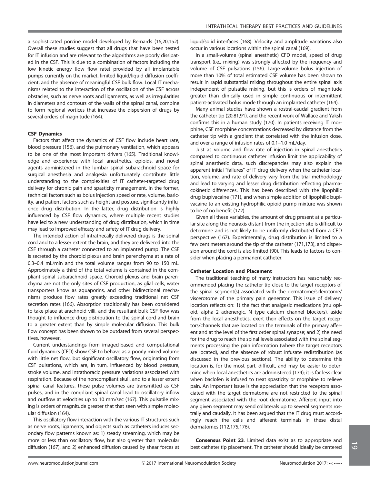a sophisticated porcine model developed by Bernards (16,20,152). Overall these studies suggest that all drugs that have been tested for IT infusion and are relevant to the algorithms are poorly dissipated in the CSF. This is due to a combination of factors including the low kinetic energy (low flow rate) provided by all implantable pumps currently on the market, limited liquid/liquid diffusion coefficient, and the absence of meaningful CSF bulk flow. Local IT mechanisms related to the interaction of the oscillation of the CSF across obstacles, such as nerve roots and ligaments, as well as irregularities in diameters and contours of the walls of the spinal canal, combine to form regional vortices that increase the dispersion of drugs by several orders of magnitude (164).

#### CSF Dynamics

Factors that affect the dynamics of CSF flow include heart rate, blood pressure (156), and the pulmonary ventilation, which appears to be one of the most important drivers (165). Traditional knowledge and experience with local anesthetics, opioids, and novel agents administered in the lumbar spinal subarachnoid space for surgical anesthesia and analgesia unfortunately contribute little understanding to the complexities of IT catheter-targeted drug delivery for chronic pain and spasticity management. In the former, technical factors such as bolus injection speed or rate, volume, baricity, and patient factors such as height and posture, significantly influence drug distribution. In the latter, drug distribution is highly influenced by CSF flow dynamics, where multiple recent studies have led to a new understanding of drug distribution, which in time may lead to improved efficacy and safety of IT drug delivery.

The intended action of intrathecally delivered drugs is the spinal cord and to a lesser extent the brain, and they are delivered into the CSF through a catheter connected to an implanted pump. The CSF is secreted by the choroid plexus and brain parenchyma at a rate of 0.3–0.4 mL/min and the total volume ranges from 90 to 150 mL. Approximately a third of the total volume is contained in the compliant spinal subarachnoid space. Choroid plexus and brain parenchyma are not the only sites of CSF production, as glial cells, water transporters know as aquaporins, and other bidirectional mechanisms produce flow rates greatly exceeding traditional net CSF secretion rates (166). Absorption traditionally has been considered to take place at arachnoid villi, and the resultant bulk CSF flow was thought to influence drug distribution to the spinal cord and brain to a greater extent than by simple molecular diffusion. This bulk flow concept has been shown to be outdated from several perspectives, however.

Current understandings from imaged-based and computational fluid dynamics (CFD) show CSF to behave as a poorly mixed volume with little net flow, but significant oscillatory flow, originating from CSF pulsations, which are, in turn, influenced by blood pressure, stroke volume, and intrathoracic pressure variations associated with respiration. Because of the noncompliant skull, and to a lesser extent spinal canal features, these pulse volumes are transmitted as CSF pulses, and in the compliant spinal canal lead to oscillatory inflow and outflow at velocities up to 10 mm/sec (167). This pulsatile mixing is orders of magnitude greater that that seen with simple molecular diffusion (164).

This oscillatory flow interaction with the various IT structures such as nerve roots, ligaments, and objects such as catheters induces secondary flow patterns known as: 1) steady streaming, which may be more or less than oscillatory flow, but also greater than molecular diffusion (167), and 2) enhanced diffusion caused by shear forces at

liquid/solid interfaces (168). Velocity and amplitude variations also occur in various locations within the spinal canal (169).

In a small-volume (spinal anesthetic) CFD model, speed of drug transport (i.e., mixing) was strongly affected by the frequency and volume of CSF pulsations (156). Large-volume bolus injection of more than 10% of total estimated CSF volume has been shown to result in rapid substantial mixing throughout the entire spinal axis independent of pulsatile mixing, but this is orders of magnitude greater than clinically used in simple continuous or intermittent patient-activated bolus mode through an implanted catheter (164).

Many animal studies have shown a rostral-caudal gradient from the catheter tip (20,81,91), and the recent work of Wallace and Yaksh confirms this in a human study (170). In patients receiving IT morphine, CSF morphine concentrations decreased by distance from the catheter tip with a gradient that correlated with the infusion dose, and over a range of infusion rates of 0.1–1.0 mL/day.

Just as volume and flow rate of injection in spinal anesthetics compared to continuous catheter infusion limit the applicability of spinal anesthetic data, such discrepancies may also explain the apparent initial "failures" of IT drug delivery when the catheter location, volume, and rate of delivery vary from the trial methodology and lead to varying and lesser drug distribution reflecting pharmacokinetic differences. This has been described with the lipophilic drug bupivacaine (171), and when simple addition of lipophilic bupivacaine to an existing hydrophilic opioid pump mixture was shown to be of no benefit (172).

Given all these variables, the amount of drug present at a particular site along the neuraxis distant from the injection site is difficult to determine and is not likely to be uniformly distributed from a CFD perspective (167). Experimentally, drug distribution is limited to a few centimeters around the tip of the catheter (171,173), and dispersion around the cord is also limited (90). This leads to factors to consider when placing a permanent catheter.

#### Catheter Location and Placement

The traditional teaching of many instructors has reasonably recommended placing the catheter tip close to the target receptors of the spinal segment(s) associated with the dermatome/sclerotome/ viscerotome of the primary pain generator. This issue of delivery location reflects on: 1) the fact that analgesic medications (mu opioid, alpha 2 adrenergic, N type calcium channel blockers), aside from the local anesthetics, exert their effects on the target receptors/channels that are located on the terminals of the primary afferent and at the level of the first order spinal synapse; and 2) the need for the drug to reach the spinal levels associated with the spinal segments processing the pain information (where the target receptors are located), and the absence of robust infusate redistribution (as discussed in the previous sections). The ability to determine this location is, for the most part, difficult, and may be easier to determine when local anesthetics are administered (174); it is far less clear when baclofen is infused to treat spasticity or morphine to relieve pain. An important issue is the appreciation that the receptors associated with the target dermatome are not restricted to the spinal segment associated with the root dermatome. Afferent input into any given segment may send collaterals up to several segments rostrally and caudally. It has been argued that the IT drug must accordingly reach the cells and afferent terminals in these distal dermatomes (112,175,176).

Consensus Point 23. Limited data exist as to appropriate and best catheter tip placement. The catheter should ideally be centered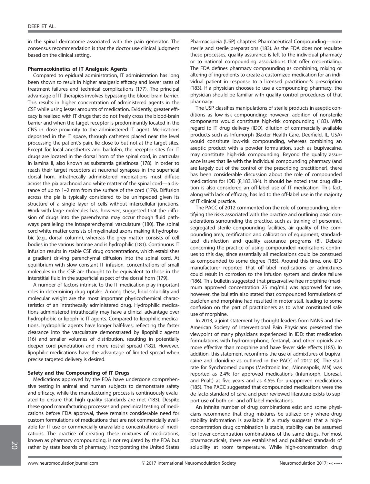in the spinal dermatome associated with the pain generator. The consensus recommendation is that the doctor use clinical judgment based on the clinical setting.

#### Pharmacokinetics of IT Analgesic Agents

Compared to epidural administration, IT administration has long been shown to result in higher analgesic efficacy and lower rates of treatment failures and technical complications (177). The principal advantage of IT therapies involves bypassing the blood-brain barrier. This results in higher concentration of administered agents in the CSF while using lesser amounts of medication. Evidently, greater efficacy is realized with IT drugs that do not freely cross the blood-brain barrier and when the target receptor is predominantly located in the CNS in close proximity to the administered IT agent. Medications deposited in the IT space, through catheters placed near the level processing the patient's pain, lie close to but not at the target sites. Except for local anesthetics and baclofen, the receptor sites for IT drugs are located in the dorsal horn of the spinal cord, in particular in lamina II, also known as substantia gelatinosa (178). In order to reach their target receptors at neuronal synapses in the superficial dorsal horn, intrathecally administered medications must diffuse across the pia arachnoid and white matter of the spinal cord—a distance of up to 1–2 mm from the surface of the cord (179). Diffusion across the pia is typically considered to be unimpeded given its structure of a single layer of cells without intercellular junctions. Work with large molecules has, however, suggested that the diffusion of drugs into the parenchyma may occur though fluid pathways paralleling the intraparenchymal vasculature (180). The spinal cord white matter consists of myelinated axons making it hydrophobic (e.g., dorsal column), whereas the grey matter consists of cell bodies in the various laminae and is hydrophilic (181). Continuous IT infusion results in stable CSF drug concentrations, which establishes a gradient driving parenchymal diffusion into the spinal cord. At equilibrium with slow constant IT infusion, concentrations of small molecules in the CSF are thought to be equivalent to those in the interstitial fluid in the superficial aspect of the dorsal horn (179).

A number of factors intrinsic to the IT medication play important roles in determining drug uptake. Among these, lipid solubility and molecular weight are the most important physicochemical characteristics of an intrathecally administered drug. Hydrophilic medications administered intrathecally may have a clinical advantage over hydrophobic or lipophilic IT agents. Compared to lipophilic medications, hydrophilic agents have longer half-lives, reflecting the faster clearance into the vasculature demonstrated by lipophilic agents (16) and smaller volumes of distribution, resulting in potentially deeper cord penetration and more rostral spread (182). However, lipophilic medications have the advantage of limited spread when precise targeted delivery is desired.

#### Safety and the Compounding of IT Drugs

Medications approved by the FDA have undergone comprehensive testing in animal and human subjects to demonstrate safety and efficacy, while the manufacturing process is continuously evaluated to ensure that high quality standards are met (183). Despite these good manufacturing processes and preclinical testing of medications before FDA approval, there remains considerable need for custom formulations of medications that are not commercially available for IT use or commercially unavailable concentrations of medications. The practice of creating these mixtures of medications, known as pharmacy compounding, is not regulated by the FDA but rather by state boards of pharmacy, incorporating the United States

Pharmacopeia (USP) chapters Pharmaceutical Compounding—nonsterile and sterile preparations (183). As the FDA does not regulate these processes, quality assurance is left to the individual pharmacy or to national compounding associations that offer credentialing. The FDA defines pharmacy compounding as combining, mixing or altering of ingredients to create a customized medication for an individual patient in response to a licensed practitioner's prescription (183). If a physician chooses to use a compounding pharmacy, the physician should be familiar with quality control procedures of that pharmacy.

The USP classifies manipulations of sterile products in aseptic conditions as low-risk compounding; however, addition of nonsterile components would constitute high-risk compounding (183). With regard to IT drug delivery (IDD), dilution of commercially available products such as Infumorph (Baxter Health Care, Deerfield, IL, USA) would constitute low-risk compounding, whereas combining an aseptic product with a powder formulation, such as bupivacaine, may constitute high-risk compounding. Beyond the quality assurance issues that lie with the individual compounding pharmacy (and are largely out of the control of the prescribing practitioner), there has been considerable discussion about the role of compounded medications for IDD (8,183,184). It should be noted that drug dilution is also considered an off-label use of IT medication. This fact, along with lack of efficacy, has led to the off-label use in the majority of IT clinical practice.

The PACC of 2012 commented on the role of compounding, identifying the risks associated with the practice and outlining basic considerations surrounding the practice, such as training of personnel, segregated sterile compounding facilities, air quality of the compounding area, certification and calibration of equipment, standardized disinfection and quality assurance programs (8). Debate concerning the practice of using compounded medications continues to this day, since essentially all medications could be construed as compounded to some degree (185). Around this time, one IDD manufacturer reported that off-label medications or admixtures could result in corrosion to the infusion system and device failure (186). This bulletin suggested that preservative-free morphine (maximum approved concentration 25 mg/mL) was approved for use, however, the bulletin also stated that compounded formulations of baclofen and morphine had resulted in motor stall, leading to some confusion on the part of practitioners as to what constituted safe use of morphine.

In 2013, a joint statement by thought leaders from NANS and the American Society of Interventional Pain Physicians presented the viewpoint of many physicians experienced in IDD: that medication formulations with hydromorphone, fentanyl, and other opioids are more effective than morphine and have fewer side effects (185). In addition, this statement reconfirms the use of admixtures of bupivacaine and clonidine as outlined in the PACC of 2012 (8). The stall rate for Synchromed pumps (Medtronic Inc., Minneapolis, MN) was reported as 2.4% for approved medications (Infumorph, Lioresal, and Prialt) at five years and as 4.5% for unapproved medications (185). The PACC suggested that compounded medications were the de facto standard of care, and peer-reviewed literature exists to support use of both on- and off-label medications.

An infinite number of drug combinations exist and some physicians recommend that drug mixtures be utilized only where drug stability information is available. If a study suggests that a highconcentration drug combination is stable, stability can be assumed for lower-concentration combinations of the same drugs. For most pharmaceuticals, there are established and published standards of solubility at room temperature. While high-concentration drug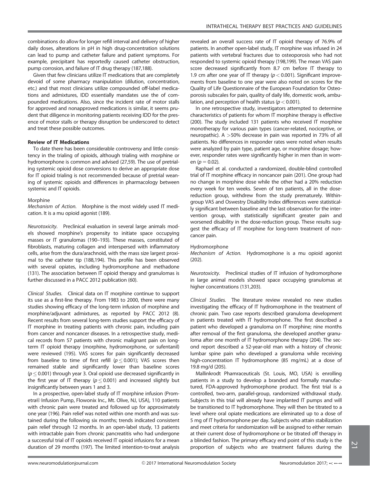combinations do allow for longer refill interval and delivery of higher daily doses, alterations in pH in high drug-concentration solutions can lead to pump and catheter failure and patient symptoms. For example, precipitant has reportedly caused catheter obstruction, pump corrosion, and failure of IT drug therapy (187,188).

Given that few clinicians utilize IT medications that are completely devoid of some pharmacy manipulation (dilution, concentration, etc.) and that most clinicians utilize compounded off-label medications and admixtures, IDD essentially mandates use the of compounded medications. Also, since the incident rate of motor stalls for approved and nonapproved medications is similar, it seems prudent that diligence in monitoring patients receiving IDD for the presence of motor stalls or therapy disruption be underscored to detect and treat these possible outcomes.

#### Review of IT Medications

To date there has been considerable controversy and little consistency in the trialing of opioids, although trialing with morphine or hydromorphone is common and advised (27,59). The use of pretrialing systemic opioid dose conversions to derive an appropriate dose for IT opioid trialing is not recommended because of pretrial weaning of systemic opioids and differences in pharmacology between systemic and IT opioids.

#### Morphine

Mechanism of Action. Morphine is the most widely used IT medication. It is a mu opioid agonist (189).

Neurotoxicity. Preclinical evaluation in several large animals models showed morphine's propensity to initiate space occupying masses or IT granulomas (190–193). These masses, constituted of fibroblasts, maturing collagen and interspersed with inflammatory cells, arise from the dura/arachnoid, with the mass size largest proximal to the catheter tip (188,194). This profile has been observed with several opiates, including hydromorphone and methadone (131). The association between IT opioid therapy and granulomas is further discussed in a PACC 2012 publication (60).

Clinical Studies. Clinical data on IT morphine continue to support its use as a first-line therapy. From 1983 to 2000, there were many studies showing efficacy of the long-term infusion of morphine and morphine/adjuvant admixtures, as reported by PACC 2012 (8). Recent results from several long-term studies support the efficacy of IT morphine in treating patients with chronic pain, including pain from cancer and noncancer diseases. In a retrospective study, medical records from 57 patients with chronic malignant pain on longterm IT opioid therapy (morphine, hydromorphone, or sufentanil) were reviewed (195). VAS scores for pain significantly decreased from baseline to time of first refill ( $p \le 0.001$ ); VAS scores then remained stable and significantly lower than baseline scores  $(p \le 0.001)$  through year 3. Oral opioid use decreased significantly in the first year of IT therapy ( $p \le 0.001$ ) and increased slightly but insignificantly between years 1 and 3.

In a prospective, open-label study of IT morphine infusion (Prometra® Infusion Pump, Flowonix Inc., Mt. Olive, NJ, USA), 110 patients with chronic pain were treated and followed up for approximately one year (196). Pain relief was noted within one month and was sustained during the following six months; trends indicated consistent pain relief through 12 months. In an open-label study, 13 patients with intractable pain from chronic pancreatitis who had undergone a successful trial of IT opioids received IT opioid infusions for a mean duration of 29 months (197). The limited intention-to-treat analysis

revealed an overall success rate of IT opioid therapy of 76.9% of patients. In another open-label study, IT morphine was infused in 24 patients with vertebral fractures due to osteoporosis who had not responded to systemic opioid therapy (198,199). The mean VAS pain score decreased significantly from 8.7 cm before IT therapy to 1.9 cm after one year of IT therapy ( $p < 0.001$ ). Significant improvements from baseline to one year were also noted on scores for the Quality of Life Questionnaire of the European Foundation for Osteoporosis subscales for pain, quality of daily life, domestic work, ambulation, and perception of health status ( $p < 0.001$ ).

In one retrospective study, investigators attempted to determine characteristics of patients for whom IT morphine therapy is effective (200). The study included 131 patients who received IT morphine monotherapy for various pain types (cancer-related, nociceptive, or neuropathic). A >50% decrease in pain was reported in 73% of all patients. No differences in responder rates were noted when results were analyzed by pain type, patient age, or morphine dosage; however, responder rates were significantly higher in men than in women ( $p = 0.02$ ).

Raphael et al. conducted a randomized, double-blind controlled trial of IT morphine efficacy in noncancer pain (201). One group had no change in morphine dose while the other had a 20% reduction every week for ten weeks. Seven of ten patients, all in the dosereduction group, withdrew from the study prematurely. Withingroup VAS and Oswestry Disability Index differences were statistically significant between baseline and the last observation for the intervention group, with statistically significant greater pain and worsened disability in the dose-reduction group. These results suggest the efficacy of IT morphine for long-term treatment of noncancer pain.

#### Hydromorphone

Mechanism of Action. Hydromorphone is a mu opioid agonist (202).

Neurotoxicity. Preclinical studies of IT infusion of hydromorphone in large animal models showed space occupying granulomas at higher concentrations (131,203).

Clinical Studies. The literature review revealed no new studies investigating the efficacy of IT hydromorphone in the treatment of chronic pain. Two case reports described granuloma development in patients treated with IT hydromorphone. The first described a patient who developed a granuloma on IT morphine; nine months after removal of the first granuloma, she developed another granuloma after one month of IT hydromorphone therapy (204). The second report described a 52-year-old man with a history of chronic lumbar spine pain who developed a granuloma while receiving high-concentration IT hydromorphone (85 mg/mL) at a dose of 19.8 mg/d (205).

Mallinkrodt Phamraceuticals (St. Louis, MO, USA) is enrolling patients in a study to develop a branded and formally manufactured, FDA-approved hydromorphone product. The first trial is a controlled, two-arm, parallel-group, randomized withdrawal study. Subjects in this trial will already have implanted IT pumps and will be transitioned to IT hydromorphone. They will then be titrated to a level where oral opiate medications are eliminated up to a dose of 5 mg of IT hydromorphone per day. Subjects who attain stabilization and meet criteria for randomization will be assigned to either remain at their current dose of hydromorphone or be titrated off therapy in a blinded fashion. The primary efficacy end point of this study is the proportion of subjects who are treatment failures during the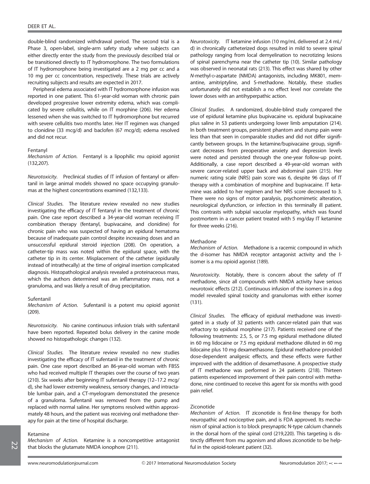double-blind randomized withdrawal period. The second trial is a Phase 3, open-label, single-arm safety study where subjects can either directly enter the study from the previously described trial or be transitioned directly to IT hydromorphone. The two formulations of IT hydromorphone being investigated are a 2 mg per cc and a 10 mg per cc concentration, respectively. These trials are actively recruiting subjects and results are expected in 2017.

Peripheral edema associated with IT hydromorphone infusion was reported in one patient. This 61-year-old woman with chronic pain developed progressive lower extremity edema, which was complicated by severe cellulitis, while on IT morphine (206). Her edema lessened when she was switched to IT hydromorphone but recurred with severe cellulitis two months later. Her IT regimen was changed to clonidine (33 mcg/d) and baclofen (67 mcg/d); edema resolved and did not recur.

#### Fentanyl

Mechanism of Action. Fentanyl is a lipophilic mu opioid agonist (132,207).

Neurotoxicity. Preclinical studies of IT infusion of fentanyl or alfentanil in large animal models showed no space occupying granulomas at the highest concentrations examined (132,133).

Clinical Studies. The literature review revealed no new studies investigating the efficacy of IT fentanyl in the treatment of chronic pain. One case report described a 34-year-old woman receiving IT combination therapy (fentanyl, bupivacaine, and clonidine) for chronic pain who was suspected of having an epidural hematoma because of inadequate pain control despite increasing doses and an unsuccessful epidural steroid injection (208). On operation, a catheter-tip mass was noted within the epidural space, with the catheter tip in its center. Misplacement of the catheter (epidurally instead of intrathecally) at the time of original insertion complicated diagnosis. Histopathological analysis revealed a proteinaceous mass, which the authors determined was an inflammatory mass, not a granuloma, and was likely a result of drug precipitation.

#### Sufentanil

Mechanism of Action. Sufentanil is a potent mu opioid agonist (209).

Neurotoxicity. No canine continuous infusion trials with sufentanil have been reported. Repeated bolus delivery in the canine mode showed no histopathologic changes (132).

Clinical Studies. The literature review revealed no new studies investigating the efficacy of IT sufentanil in the treatment of chronic pain. One case report described an 86-year-old woman with FBSS who had received multiple IT therapies over the course of two years (210). Six weeks after beginning IT sufentanil therapy (12–17.2 mcg/ d), she had lower extremity weakness, sensory changes, and intractable lumbar pain, and a CT-myelogram demonstrated the presence of a granuloma. Sufentanil was removed from the pump and replaced with normal saline. Her symptoms resolved within approximately 48 hours, and the patient was receiving oral methadone therapy for pain at the time of hospital discharge.

#### Ketamine

 $\gtrsim$ 

Mechanism of Action. Ketamine is a noncompetitive antagonist that blocks the glutamate NMDA ionophore (211).

Neurotoxicity. IT ketamine infusion (10 mg/mL delivered at 2.4 mL/ d) in chronically catheterized dogs resulted in mild to severe spinal pathology ranging from local demyelination to necrotizing lesions of spinal parenchyma near the catheter tip (10). Similar pathology was observed in neonatal rats (213). This effect was shared by other N-methyl-D-aspartate (NMDA) antagonists, including MK801, memantine, amitriptyline, and S-methadone. Notably, these studies unfortunately did not establish a no effect level nor correlate the lower doses with an antihyperpathic action.

Clinical Studies. A randomized, double-blind study compared the use of epidural ketamine plus bupivacaine vs. epidural bupivacaine plus saline in 53 patients undergoing lower limb amputation (214). In both treatment groups, persistent phantom and stump pain were less than that seen in comparable studies and did not differ significantly between groups. In the ketamine/bupivacaine group, significant decreases from preoperative anxiety and depression levels were noted and persisted through the one-year follow-up point. Additionally, a case report described a 49-year-old woman with severe cancer-related upper back and abdominal pain (215). Her numeric rating scale (NRS) pain score was 6, despite 96 days of IT therapy with a combination of morphine and bupivacaine. IT ketamine was added to her regimen and her NRS score decreased to 3. There were no signs of motor paralysis, psychomimetic alteration, neurological dysfunction, or infection in this terminally ill patient. This contrasts with subpial vacuolar myelopathy, which was found postmortem in a cancer patient treated with 5 mg/day IT ketamine for three weeks (216).

#### Methadone

Mechanism of Action. Methadone is a racemic compound in which the d-isomer has NMDA receptor antagonist activity and the lisomer is a mu opioid agonist (189).

Neurotoxicity. Notably, there is concern about the safety of IT methadone, since all compounds with NMDA activity have serious neurotoxic effects (212). Continuous infusion of the isomers in a dog model revealed spinal toxicity and granulomas with either isomer (131).

Clinical Studies. The efficacy of epidural methadone was investigated in a study of 32 patients with cancer-related pain that was refractory to epidural morphine (217). Patients received one of the following treatments: 2.5, 5, or 7.5 mg epidural methadone diluted in 60 mg lidocaine or 7.5 mg epidural methadone diluted in 60 mg lidocaine plus 10 mg dexamethasone. Epidural methadone provided dose-dependent analgesic effects, and these effects were further improved with the addition of dexamethasone. A prospective study of IT methadone was performed in 24 patients (218). Thirteen patients experienced improvement of their pain control with methadone, nine continued to receive this agent for six months with good pain relief.

#### Ziconotide

Mechanism of Action. IT ziconotide is first-line therapy for both neuropathic and nociceptive pain, and is FDA approved. Its mechanism of spinal action is to block presynaptic N-type calcium channels in the dorsal horn of the spinal cord (219,220). This targeting is distinctly different from mu agonism and allows ziconotide to be helpful in the opioid-tolerant patient (32).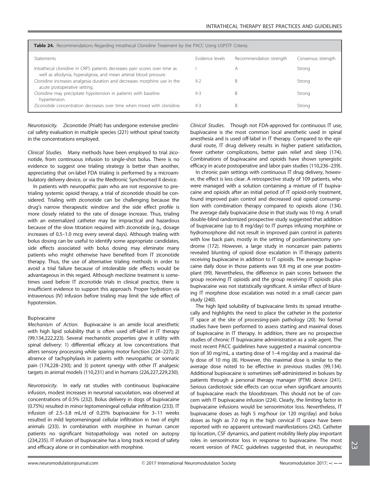| <b>Table 24.</b> Recommendations Regarding Intrathecal Clonidine Treatment by the PACC Using USPSTF Criteria.                                   |                 |                         |                    |  |  |  |
|-------------------------------------------------------------------------------------------------------------------------------------------------|-----------------|-------------------------|--------------------|--|--|--|
| Statements                                                                                                                                      | Evidence levels | Recommendation strength | Consensus strength |  |  |  |
| Intrathecal clonidine in CRPS patients decreases pain scores over time as<br>well as allodynia, hyperalgesia, and mean arterial blood pressure. |                 | A                       | Strong             |  |  |  |
| Clonidine increases analgesia duration and decreases morphine use in the<br>acute postoperative setting.                                        | $  -2$          | B                       | Strong             |  |  |  |
| Clonidine may precipitate hypotension in patients with baseline<br>hypertension.                                                                | $II-3$          | B                       | Strong             |  |  |  |
| Ziconotide concentration decreases over time when mixed with clonidine.                                                                         | $II-3$          | B                       | Strong             |  |  |  |

Neurotoxicity. Ziconotide (Prialt) has undergone extensive preclinical safety evaluation in multiple species (221) without spinal toxicity in the concentrations employed.

Clinical Studies. Many methods have been employed to trial ziconotide, from continuous infusion to single-shot bolus. There is no evidence to suggest one trialing strategy is better than another, appreciating that on-label FDA trialing is performed by a microambulatory delivery device, or via the Medtronic Synchromed II device.

In patients with neuropathic pain who are not responsive to pretrialing systemic opioid therapy, a trial of ziconotide should be considered. Trialing with ziconotide can be challenging because the drug's narrow therapeutic window and the side effect profile is more closely related to the rate of dosage increase. Thus, trialing with an externalized catheter may be impractical and hazardous because of the slow titration required with ziconotide (e.g., dosage increases of 0.5–1.0 mcg every several days). Although trialing with bolus dosing can be useful to identify some appropriate candidates, side effects associated with bolus dosing may eliminate many patients who might otherwise have benefited from IT ziconotide therapy. Thus, the use of alternative trialing methods in order to avoid a trial failure because of intolerable side effects would be advantageous in this regard. Although meclizine treatment is sometimes used before IT ziconotide trials in clinical practice, there is insufficient evidence to support this approach. Proper hydration via intravenous (IV) infusion before trialing may limit the side effect of hypotension.

## Bupivacaine

Mechanism of Action. Bupivacaine is an amide local anesthetic with high lipid solubility that is often used off-label in IT therapy (99,134,222,223). Several mechanistic properties give it utility with spinal delivery: 1) differential efficacy at low concentrations that alters sensory processing while sparing motor function (224–227); 2) absence of tachyphylaxis in patients with neuropathic or somatic pain (174,228–230); and 3) potent synergy with other IT analgesic targets in animal models (110,231) and in humans (226,227,229,230).

Neurotoxicity. In early rat studies with continuous bupivacaine infusion, modest increases in neuronal vacuolation, was observed at concentrations of 0.5% (232). Bolus delivery in dogs of bupivacaine (0.75%) resulted in minor leptomeningeal cellular infiltration (233). IT infusion of 2.5–3.8 mL/d of 0.25% bupivacaine for 3–11 weeks resulted in mild leptomeningeal cellular infiltration in two of eight animals (233). In combination with morphine in human cancer patients no significant histopathology was noted on autopsy (234,235). IT infusion of bupivacaine has a long track record of safety and efficacy alone or in combination with morphine.

Clinical Studies. Though not FDA-approved for continuous IT use, bupivacaine is the most common local anesthetic used in spinal anesthesia and is used off-label in IT therapy. Compared to the epidural route, IT drug delivery results in higher patient satisfaction, fewer catheter complications, better pain relief and sleep (174). Combinations of bupivacaine and opioids have shown synergistic efficacy in acute postoperative and labor pain studies (110,236–239).

In chronic pain settings with continuous IT drug delivery, however, the effect is less clear. A retrospective study of 109 patients, who were managed with a solution containing a mixture of IT bupivacaine and opioids after an initial period of IT opioid-only treatment, found improved pain control and decreased oral opioid consumption with combination therapy compared to opioids alone (134). The average daily bupivacaine dose in that study was 10 mg. A small double-blind randomized prospective study suggested that addition of bupivacaine (up to 8 mg/day) to IT pumps infusing morphine or hydromorphone did not result in improved pain control in patients with low back pain, mostly in the setting of postlaminectomy syndrome (172). However, a large study in noncancer pain patients revealed blunting of opioid dose escalation in IT-therapy patients receiving bupivacaine in addition to IT opioids. The average bupivacaine daily dose in those patients was 9.8 mg at one year postimplant (99). Nevertheless, the difference in pain scores between the group receiving IT opioids and the group receiving IT opioids plus bupivacaine was not statistically significant. A similar effect of blunting IT morphine dose escalation was noted in a small cancer pain study (240).

The high lipid solubility of bupivacaine limits its spread intrathecally and highlights the need to place the catheter in the posterior IT space at the site of processing-pain pathology (20). No formal studies have been performed to assess starting and maximal doses of bupivacaine in IT therapy. In addition, there are no prospective studies of chronic IT bupivacaine administration as a sole agent. The most recent PACC guidelines have suggested a maximal concentration of 30 mg/mL, a starting dose of 1–4 mg/day and a maximal daily dose of 10 mg (8). However, this maximal dose is similar to the average dose noted to be effective in previous studies (99,134). Additional bupivacaine is sometimes self-administered in boluses by patients through a personal therapy manager (PTM) device (241). Serious cardiotoxic side effects can occur when significant amounts of bupivacaine reach the bloodstream. This should not be of concern with IT bupivacaine infusion (224). Clearly, the limiting factor in bupivacaine infusions would be sensorimotor loss. Nevertheless, IT bupivacaine doses as high 5 mg/hour (or 120 mg/day) and bolus doses as high as 7.0 mg in the high cervical IT space have been reported with no apparent untoward manifestations (242). Catheter tip location, CSF dynamics, and patient mobility likely play important roles in sensorimotor loss in response to bupivacaine. The most recent version of PACC guidelines suggested that, in neuropathic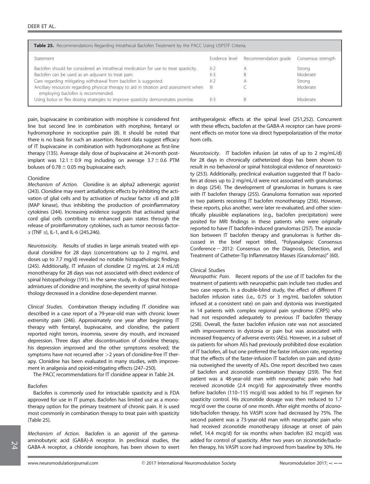| Table 25. Recommendations Regarding Intrathecal Baclofen Treatment by the PACC Using USPSTF Criteria.                                                                                                             |                            |                      |                              |  |  |  |  |
|-------------------------------------------------------------------------------------------------------------------------------------------------------------------------------------------------------------------|----------------------------|----------------------|------------------------------|--|--|--|--|
| Statement                                                                                                                                                                                                         | Evidence level             | Recommendation grade | Consensus strength           |  |  |  |  |
| Baclofen should be considered an intrathecal medication for use to treat spasticity.<br>Baclofen can be used as an adjuvant to treat pain.<br>Care regarding mitigating withdrawal from baclofen is suggested.    | $  -2$<br>$II-3$<br>$  -2$ | A<br>B<br>A          | Strong<br>Moderate<br>Strong |  |  |  |  |
| Ancillary resources regarding physical therapy to aid in titration and assessment when<br>employing baclofen is recommended.<br>Using bolus or flex dosing strategies to improve spasticity demonstrates promise. | Ш<br>$II-3$                | B                    | Moderate<br>Moderate         |  |  |  |  |

pain, bupivacaine in combination with morphine is considered first line but second line in combination with morphine, fentanyl or hydromorphone in nociceptive pain (8). It should be noted that there is no basis for such an assertion. Recent data suggest efficacy of IT bupivacaine in combination with hydromorphone as first-line therapy (135). Average daily dose of bupivacaine at 24-month postimplant was  $12.1 \pm 0.9$  mg including on average  $3.7 \pm 0.6$  PTM boluses of 0.78  $\pm$  0.05 mg bupivacaine each.

## Clonidine

Mechanism of Action. Clonidine is an alpha2 adrenergic agonist (243). Clonidine may exert antiallodynic effects by inhibiting the activation of glial cells and by activation of nuclear factor  $\kappa$ B and p38 (MAP kinase), thus inhibiting the production of proinflammatory cytokines (244). Increasing evidence suggests that activated spinal cord glial cells contribute to enhanced pain states through the release of proinflammatory cytokines, such as tumor necrosis factor- $\alpha$  (TNF  $\alpha$ ), IL-1, and IL-6 (245,246).

Neurotoxicity. Results of studies in large animals treated with epidural clonidine for 28 days (concentrations up to 2 mg/mL and doses up to 7.7 mg/d) revealed no notable histopathologic findings (245). Additionally, IT infusion of clonidine (2 mg/mL at 2.4 mL/d) monotherapy for 28 days was not associated with direct evidence of spinal histopathology (191). In the same study, in dogs that received admixtures of clonidine and morphine, the severity of spinal histopathology decreased in a clonidine dose-dependent manner.

Clinical Studies. Combination therapy including IT clonidine was described in a case report of a 79-year-old man with chronic lower extremity pain (246). Approximately one year after beginning IT therapy with fentanyl, bupivacaine, and clonidine, the patient reported night terrors, insomnia, severe dry mouth, and increased depression. Three days after discontinuation of clonidine therapy, his depression improved and the other symptoms resolved; the symptoms have not recurred after >2 years of clonidine-free IT therapy. Clonidine has been evaluated in many studies, with improvement in analgesia and opioid-mitigating effects (247–250).

The PACC recommendations for IT clonidine appear in Table 24.

## Baclofen

Baclofen is commonly used for intractable spasticity and is FDA approved for use in IT pumps. Baclofen has limited use as a monotherapy option for the primary treatment of chronic pain. It is used most commonly in combination therapy to treat pain with spasticity (Table 25).

Mechanism of Action. Baclofen is an agonist of the gammaaminobutyric acid (GABA)-A receptor. In preclinical studies, the GABA-A receptor, a chloride ionophore, has been shown to exert antihyperalgesic effects at the spinal level (251,252). Concurrent with these effects, baclofen at the GABA-A receptor can have prominent effects on motor tone via direct hyperpolarization of the motor horn cells.

Neurotoxicity. IT baclofen infusion (at rates of up to 2 mg/mL/d) for 28 days in chronically catheterized dogs has been shown to result in no behavioral or spinal histological evidence of neurotoxicity (253). Additionally, preclinical evaluation suggested that IT baclofen at doses up to 2 mg/mL/d were not associated with granulomas in dogs (254). The development of granulomas in humans is rare with IT baclofen therapy (255). Granuloma formation was reported in two patients receiving IT baclofen monotherapy (256). However, these reports, plus another, were later re-evaluated, and other scientifically plausible explanations (e.g., baclofen precipitation) were posited for MRI findings in these patients who were originally reported to have IT baclofen-induced granulomas (257). The association between IT baclofen therapy and granulomas is further discussed in the brief report titled, "Polyanalgesic Consensus Conference  $-$  2012: Consensus on the Diagnosis, Detection, and Treatment of Catheter-Tip Inflammatory Masses (Granulomas)" (60).

## Clinical Studies

Neuropathic Pain. Recent reports of the use of IT baclofen for the treatment of patients with neuropathic pain include two studies and two case reports. In a double-blind study, the effect of different IT baclofen infusion rates (i.e., 0.75 or 3 mg/mL baclofen solution infused at a consistent rate) on pain and dystonia was investigated in 14 patients with complex regional pain syndrome (CRPS) who had not responded adequately to previous IT baclofen therapy (258). Overall, the faster baclofen infusion rate was not associated with improvements in dystonia or pain but was associated with increased frequency of adverse events (AEs). However, in a subset of six patients for whom AEs had previously prohibited dose escalation of IT baclofen, all but one preferred the faster infusion rate, reporting that the effects of the faster-infusion IT baclofen on pain and dystonia outweighed the severity of AEs. One report described two cases of baclofen and ziconotide combination therapy (259). The first patient was a 48-year-old man with neuropathic pain who had received ziconotide (2.4 mcg/d) for approximately three months before baclofen (110–115 mcg/d) was added to his IT regimen for spasticity control. His ziconotide dosage was then reduced to 1.7 mcg/d over the course of one month. After eight months of ziconotide/baclofen therapy, his VASPI score had decreased by 75%. The second patient was a 73-year-old man with neuropathic pain who had received ziconotide monotherapy (dosage at onset of pain relief, 14.4 mcg/d) for six months when baclofen (62 mcg/d) was added for control of spasticity. After two years on ziconotide/baclofen therapy, his VASPI score had improved from baseline by 30%. He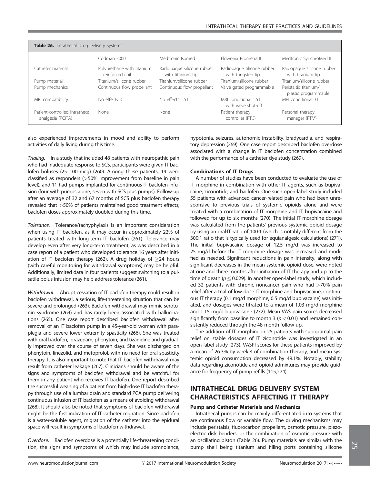| Table 26. Intrathecal Drug Delivery Systems.        |                                               |                                                 |                                                 |                                                 |  |  |  |
|-----------------------------------------------------|-----------------------------------------------|-------------------------------------------------|-------------------------------------------------|-------------------------------------------------|--|--|--|
|                                                     | Codman 3000                                   | Medtronic Isomed                                | Flowonix Prometra II                            | Medtronic SynchroMed II                         |  |  |  |
| Catheter material                                   | Polyurethane with titanium<br>reinforced coil | Radiopaque silicone rubber<br>with titanium tip | Radiopaque silicone rubber<br>with tungsten tip | Radiopaque silicone rubber<br>with titanium tip |  |  |  |
| Pump material                                       | Titanium/silicone rubber                      | Titanium/silicone rubber                        | Titanium/silicone rubber                        | Titanium/silicone rubber                        |  |  |  |
| Pump mechanics                                      | Continuous flow propellant                    | Continuous flow propellant                      | Valve gated programmable                        | Peristaltic titanium/<br>plastic programmable   |  |  |  |
| MRI compatibility                                   | No effects 3T                                 | No effects 1.5T                                 | MRI conditional 1.5T<br>with valve shut-off     | MRI conditional 3T                              |  |  |  |
| Patient-controlled intrathecal<br>analgesia (PCITA) | None                                          | None                                            | Patient therapy<br>controller (PTC)             | Personal therapy<br>manager (PTM)               |  |  |  |

also experienced improvements in mood and ability to perform activities of daily living during this time.

Trialing. In a study that included 48 patients with neuropathic pain who had inadequate response to SCS, participants were given IT baclofen boluses (25–100 mcg) (260). Among these patients, 14 were classified as responders (>50% improvement from baseline in pain level), and 11 had pumps implanted for continuous IT baclofen infusion (four with pumps alone, seven with SCS plus pumps). Follow-up after an average of 32 and 67 months of SCS plus baclofen therapy revealed that >50% of patients maintained good treatment effects; baclofen doses approximately doubled during this time.

Tolerance. Tolerance/tachyphylaxis is an important consideration when using IT baclofen, as it may occur in approximately 22% of patients treated with long-term IT baclofen (261). Tolerance may develop even after very long-term treatment, as was described in a case report of a patient who developed tolerance 16 years after initiation of IT baclofen therapy (262). A drug holiday of  $\geq$ 24 hours (with careful monitoring for withdrawal symptoms) may be helpful. Additionally, limited data in four patients suggest switching to a pulsatile bolus infusion may help address tolerance (261).

Withdrawal. Abrupt cessation of IT baclofen therapy could result in baclofen withdrawal, a serious, life-threatening situation that can be severe and prolonged (263). Baclofen withdrawal may mimic serotonin syndrome (264) and has rarely been associated with hallucinations (265). One case report described baclofen withdrawal after removal of an IT baclofen pump in a 45-year-old woman with paraplegia and severe lower extremity spasticity (266). She was treated with oral baclofen, lorazepam, phenytoin, and tizanidine and gradually improved over the course of seven days. She was discharged on phenytoin, linezolid, and metoprolol, with no need for oral spasticity therapy. It is also important to note that IT baclofen withdrawal may result from catheter leakage (267). Clinicians should be aware of the signs and symptoms of baclofen withdrawal and be watchful for them in any patient who receives IT baclofen. One report described the successful weaning of a patient from high-dose IT baclofen therapy through use of a lumbar drain and standard PCA pump delivering continuous infusion of IT baclofen as a means of avoiding withdrawal (268). It should also be noted that symptoms of baclofen withdrawal might be the first indication of IT catheter migration. Since baclofen is a water-soluble agent, migration of the catheter into the epidural space will result in symptoms of baclofen withdrawal.

Overdose. Baclofen overdose is a potentially life-threatening condition, the signs and symptoms of which may include somnolence, hypotonia, seizures, autonomic instability, bradycardia, and respiratory depression (269). One case report described baclofen overdose associated with a change in IT baclofen concentration combined with the performance of a catheter dye study (269).

## Combinations of IT Drugs

A number of studies have been conducted to evaluate the use of IT morphine in combination with other IT agents, such as bupivacaine, ziconotide, and baclofen. One such open-label study included 55 patients with advanced cancer-related pain who had been unresponsive to previous trials of systemic opioids alone and were treated with a combination of IT morphine and IT bupivacaine and followed for up to six months (270). The initial IT morphine dosage was calculated from the patients' previous systemic opioid dosage by using an oral:IT ratio of 100:1 (which is notably different from the 300:1 ratio that is typically used for equianalgesic calculations) (271). The initial bupivacaine dosage of 12.5 mg/d was increased to 25 mg/d before the IT morphine dosage was increased and modified as needed. Significant reductions in pain intensity, along with significant decreases in the mean systemic opioid dose, were noted at one and three months after initiation of IT therapy and up to the time of death ( $p < 0.029$ ). In another open-label study, which included 32 patients with chronic noncancer pain who had >70% pain relief after a trial of low-dose IT morphine and bupivacaine, continuous IT therapy (0.1 mg/d morphine, 0.5 mg/d bupivacaine) was initiated, and dosages were titrated to a mean of 1.03 mg/d morphine and 1.15 mg/d bupivacaine (272). Mean VAS pain scores decreased significantly from baseline to month 3 ( $p < 0.01$ ) and remained consistently reduced through the 48-month follow-up.

The addition of IT morphine in 25 patients with suboptimal pain relief on stable dosages of IT ziconotide was investigated in an open-label study (273). VASPI scores for these patients improved by a mean of 26.3% by week 4 of combination therapy, and mean systemic opioid consumption decreased by 49.1%. Notably, stability data regarding ziconotide and opioid admixtures may provide guidance for frequency of pump refills (115,274).

# INTRATHECAL DRUG DELIVERY SYSTEM CHARACTERISTICS AFFECTING IT THERAPY

## Pump and Catheter Materials and Mechanics

Intrathecal pumps can be mainly differentiated into systems that are continuous flow or variable flow. The driving mechanisms may include peristalsis, fluorocarbon propellant, osmotic pressure, piezoelectric disk benders, or the combination of osmotic pressure with an oscillating piston (Table 26). Pump materials are similar with the pump shell being titanium and filling ports containing silicone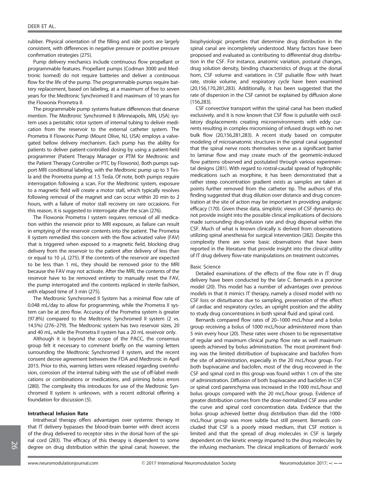rubber. Physical orientation of the filling and side ports are largely consistent, with differences in negative pressure or positive pressure confirmation strategies (275).

Pump delivery mechanics include continuous flow propellant or programmable features. Propellant pumps (Codman 3000 and Medtronic Isomed) do not require batteries and deliver a continuous flow for the life of the pump. The programmable pumps require battery replacement, based on labeling, at a maximum of five to seven years for the Medtronic Synchromed II and maximum of 10 years for the Flowonix Prometra II.

The programmable pump systems feature differences that deserve mention. The Medtronic Synchromed II (Minneapolis, MN, USA) system uses a peristaltic rotor system of internal tubing to deliver medication from the reservoir to the external catheter system. The Prometra II Flowonix Pump (Mount Olive, NJ, USA) employs a valvegated bellow delivery mechanism. Each pump has the ability for patients to deliver patient-controlled dosing by using a patient-held programmer (Patient Therapy Manager or PTM for Medtronic and the Patient Therapy Controller or PTC by Flowonix). Both pumps support MRI conditional labeling, with the Medtronic pump up to 3 Tesla and the Prometra pump at 1.5 Tesla. Of note, both pumps require interrogation following a scan. For the Medtronic system, exposure to a magnetic field will create a motor stall, which typically resolves following removal of the magnet and can occur within 20 min to 2 hours, with a failure of motor stall recovery on rare occasions. For this reason, it is suggested to interrogate after the scan (276).

The Flowonix Prometra I system requires removal of all medication within the reservoir prior to MRI exposure, as failure can result in emptying of the reservoir contents into the patient. The Prometra II system remedied this concern with the flow activated valve (FAV) that is triggered when exposed to a magnetic field, blocking drug delivery from the reservoir to the patient after delivery of less than or equal to 10  $\mu$ L (275). If the contents of the reservoir are expected to be less than 1 mL, they should be removed prior to the MRI because the FAV may not activate. After the MRI, the contents of the reservoir have to be removed entirety to manually reset the FAV, the pump interrogated and the contents replaced in sterile fashion, with elapsed time of 3 min (275).

The Medtronic Synchromed II System has a minimal flow rate of 0.048 mL/day to allow for programming, while the Prometra II system can be at zero flow. Accuracy of the Prometra system is greater (97.8%) compared to the Medtronic Synchromed II system (2 vs. 14.5%) (276–279). The Medtronic system has two reservoir sizes, 20 and 40 mL, while the Prometra II system has a 20 mL reservoir only.

Although it is beyond the scope of the PACC, the consensus group felt it necessary to comment briefly on the warning letters surrounding the Medtronic Synchromed II system, and the recent consent decree agreement between the FDA and Medtronic in April 2015. Prior to this, warning letters were released regarding overinfusion, corrosion of the internal tubing with the use of off-label medications or combinations or medications, and priming bolus errors (280). The complexity this introduces for use of the Medtronic Synchromed II system is unknown, with a recent editorial offering a foundation for discussion (5).

### Intrathecal Infusion Rate

Intrathecal therapy offers advantages over systemic therapy in that IT delivery bypasses the blood-brain barrier with direct access of the drug delivered to receptor sites in the dorsal horn of the spinal cord (283). The efficacy of this therapy is dependent to some degree on drug distribution within the spinal canal; however, the

biophysiologic properties that determine drug distribution in the spinal canal are incompletely understood. Many factors have been proposed and evaluated as contributing to differential drug distribution in the CSF. For instance, anatomic variation, postural changes, drug solution density, binding characteristics of drugs at the dorsal horn, CSF volume and variations in CSF pulsatile flow with heart rate, stroke volume, and respiratory cycle have been examined (20,156,170,281,283). Additionally, it has been suggested that the rate of dispersion in the CSF cannot be explained by diffusion alone (156,283).

CSF convective transport within the spinal canal has been studied exclusively, and it is now known that CSF flow is pulsatile with oscillatory displacements creating microenvironments with eddy currents resulting in complex micromixing of infused drugs with no net bulk flow (20,156,281,283). A recent study based on computer modeling of microanatomic structures in the spinal canal suggested that the spinal nerve roots themselves serve as a significant barrier to laminar flow and may create much of the geometric-induced flow patterns observed and postulated through various experimental designs (281). With regard to rostral-caudal spread of hydrophilic medications such as morphine, it has been demonstrated that a rather steep concentration gradient exists as samples are taken at points further removed from the catheter tip. The authors of this finding suggested that drug dilution over distance and drug concentration at the site of action may be important in providing analgesic efficacy (170). Given these data, simplistic views of CSF dynamics do not provide insight into the possible clinical implications of decisions made surrounding drug-infusion rate and drug dispersal within the CSF. Much of what is known clinically is derived from observations utilizing spinal anesthesia for surgical intervention (282). Despite this complexity there are some basic observations that have been reported in the literature that provide insight into the clinical utility of IT drug delivery flow-rate manipulations on treatment outcomes.

#### Basic Science

Detailed examinations of the effects of the flow rate in IT drug delivery have been conducted by the late C. Bernards in a porcine model (20). This model has a number of advantages over previous models in that it mimics IT therapy, namely a closed model with no CSF loss or disturbance due to sampling, preservation of the effect of cardiac and respiratory cycles, an upright position and the ability to study drug concentrations in both spinal fluid and spinal cord.

Bernards compared flow rates of 20–1000 mcL/hour and a bolus group receiving a bolus of 1000 mcL/hour administered more than 5 min every hour (20). These rates were chosen to be representative of regular and maximum clinical pump flow rate as well maximum speeds achieved by bolus administration. The most prominent finding was the limited distribution of bupivacaine and baclofen from the site of administration, especially in the 20 mcL/hour group. For both bupivacaine and baclofen, most of the drug recovered in the CSF and spinal cord in this group was found within 1 cm of the site of administration. Diffusion of both bupivacaine and baclofen in CSF or spinal cord parenchyma was increased in the 1000 mcL/hour and bolus groups compared with the 20 mcL/hour group. Evidence of greater distribution comes from the dose-normalized CSF area under the curve and spinal cord concentration data. Evidence that the bolus group achieved better drug distribution than did the 1000 mcL/hour group was more subtle but still present. Bernards concluded that CSF is a poorly mixed medium, that CSF motion is limited and that the spread of drug molecules in CSF is largely dependent on the kinetic energy imparted to the drug molecules by the infusing mechanism. The clinical implications of Bernards' work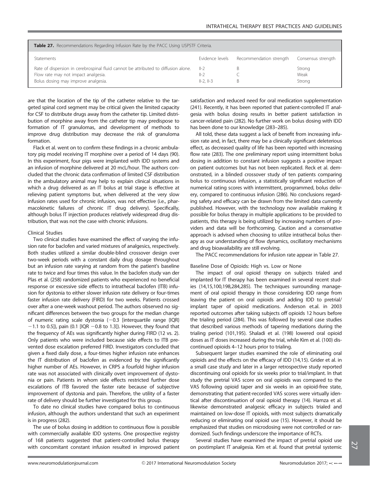| Table 27. Recommendations Regarding Infusion Rate by the PACC Using USPSTF Criteria.                                                                             |                                 |                         |                          |  |
|------------------------------------------------------------------------------------------------------------------------------------------------------------------|---------------------------------|-------------------------|--------------------------|--|
| <b>Statements</b>                                                                                                                                                | Evidence levels                 | Recommendation strength | Consensus strength       |  |
| Rate of dispersion in cerebrospinal fluid cannot be attributed to diffusion alone.<br>Flow rate may not impact analgesia.<br>Bolus dosing may improve analgesia. | $II-2$<br>$II-2$<br>$  -2.  -3$ | В                       | Strong<br>Weak<br>Strong |  |

are that the location of the tip of the catheter relative to the targeted spinal cord segment may be critical given the limited capacity for CSF to distribute drugs away from the catheter tip. Limited distribution of morphine away from the catheter tip may predispose to formation of IT granulomas, and development of methods to improve drug distribution may decrease the risk of granuloma formation.

Flack et al. went on to confirm these findings in a chronic ambulatory pig model receiving IT morphine over a period of 14 days (90). In this experiment, four pigs were implanted with IDD systems and an infusion of morphine delivered at 20 mcL/hour. The authors concluded that the chronic data confirmation of limited CSF distribution in the ambulatory animal may help to explain clinical situations in which a drug delivered as an IT bolus at trial stage is effective at relieving patient symptoms but, when delivered at the very slow infusion rates used for chronic infusion, was not effective (i.e., pharmacokinetic failures of chronic IT drug delivery). Specifically, although bolus IT injection produces relatively widespread drug distribution, that was not the case with chronic infusions.

#### Clinical Studies

Two clinical studies have examined the effect of varying the infusion rate for baclofen and varied mixtures of analgesics, respectively. Both studies utilized a similar double-blind crossover design over two-week periods with a constant daily drug dosage throughout but an infusion rate varying at random from the patient's baseline rate to twice and four times this value. In the baclofen study van der Plas et al. (258) randomized patients who experienced no beneficial response or excessive side effects to intrathecal baclofen (ITB) infusion for dystonia to either slower infusion rate delivery or four-times faster infusion rate delivery (FIRD) for two weeks. Patients crossed over after a one-week washout period. The authors observed no significant differences between the two groups for the median change of numeric rating scale dystonia  $(-0.3$  [interquartile range  ${IQR}$ ]  $-1.1$  to 0.5]), pain (0.1 [IQR  $-0.8$  to 1.3]). However, they found that the frequency of AEs was significantly higher during FIRD (12 vs. 2). Only patients who were included because side effects to ITB prevented dose escalation preferred FIRD. Investigators concluded that given a fixed daily dose, a four-times higher infusion rate enhances the IT distribution of baclofen as evidenced by the significantly higher number of AEs. However, in CRPS a fourfold higher infusion rate was not associated with clinically overt improvement of dystonia or pain. Patients in whom side effects restricted further dose escalations of ITB favored the faster rate because of subjective improvement of dystonia and pain. Therefore, the utility of a faster rate of delivery should be further investigated for this group.

To date no clinical studies have compared bolus to continuous infusion, although the authors understand that such an experiment is in progress (282).

The use of bolus dosing in addition to continuous flow is possible with commercially available IDD systems. One prospective registry of 168 patients suggested that patient-controlled bolus therapy with concomitant constant infusion resulted in improved patient satisfaction and reduced need for oral medication supplementation (241). Recently, it has been reported that patient-controlled IT analgesia with bolus dosing results in better patient satisfaction in cancer-related pain (282). No further work on bolus dosing with IDD has been done to our knowledge (283–285).

All told, these data suggest a lack of benefit from increasing infusion rate and, in fact, there may be a clinically significant deleterious effect, as decreased quality of life has been reported with increasing flow rate (283). The one preliminary report using intermittent bolus dosing in addition to constant infusion suggests a positive impact on patient outcomes but has not been replicated. Reck et al. demonstrated, in a blinded crossover study of ten patients comparing bolus to continuous infusion, a statistically significant reduction of numerical rating scores with intermittent, programmed, bolus delivery, compared to continuous infusion (286). No conclusions regarding safety and efficacy can be drawn from the limited data currently published. However, with the technology now available making it possible for bolus therapy in multiple applications to be provided to patients, this therapy is being utilized by increasing numbers of providers and data will be forthcoming. Caution and a conservative approach is advised when choosing to utilize intrathecal bolus therapy as our understanding of flow dynamics, oscillatory mechanisms and drug bioavailability are still evolving.

The PACC recommendations for infusion rate appear in Table 27.

#### Baseline Dose of Opioids: High vs. Low or None

The impact of oral opioid therapy on subjects trialed and implanted for IT therapy has been examined in several recent studies (14,15,100,198,284,285). The techniques surrounding management of oral opioid therapy in those considering IDD range from leaving the patient on oral opioids and adding IDD to pretrial/ implant taper of opioid medications. Anderson et.al. in 2003 reported outcomes after taking subjects off opioids 12 hours before the trialing period (284). This was followed by several case studies that described various methods of tapering mediations during the trialing period (101,195). Shaladi et al. (198) lowered oral opioid doses as IT doses increased during the trial, while Kim et al. (100) discontinued opioids 4–12 hours prior to trialing.

Subsequent larger studies examined the role of eliminating oral opioids and the effects on the efficacy of IDD (14,15). Grider et al. in a small case study and later in a larger retrospective study reported discontinuing oral opioids for six weeks prior to trial/implant. In that study the pretrial VAS score on oral opioids was compared to the VAS following opioid taper and six weeks in an opioid-free state, demonstrating that patient-recorded VAS scores were virtually identical after discontinuation of oral opioid therapy (14). Hamza et al. likewise demonstrated analgesic efficacy in subjects trialed and maintained on low-dose IT opioids, with most subjects dramatically reducing or eliminating oral opioid use (15). However, it should be emphasized that studies on microdosing were not controlled or randomized. Such findings underscore the importance of RCTs.

Several studies have examined the impact of pretrial opioid use on postimplant IT analgesia. Kim et al. found that pretrial systemic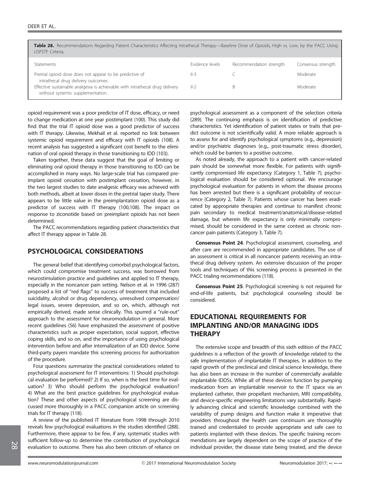Table 28. Recommendations Regarding Patient Characteristics Affecting Intrathecal Therapy—Baseline Dose of Opioids, High vs. Low, by the PACC Using USPSTF Criteria.

| Statements                                                                                                        | Evidence levels | Recommendation strength | Consensus strength |
|-------------------------------------------------------------------------------------------------------------------|-----------------|-------------------------|--------------------|
| Pretrial opioid dose does not appear to be predictive of<br>intrathecal drug delivery outcomes.                   |                 |                         | Moderate           |
| Effective sustainable analgesia is achievable with intrathecal drug delivery<br>without systemic supplementation. | $II-2$          |                         | Moderate           |

opioid requirement was a poor predictor of IT dose, efficacy, or need to change medication at one year postimplant (100). This study did find that the trial IT opioid dose was a good predictor of success with IT therapy. Likewise, Mekhail et al. reported no link between systemic opioid requirement and efficacy with IT opioids (108). A recent analysis has suggested a significant cost benefit to the elimination of oral opioid therapy in those transitioning to IDD (103).

Taken together, these data suggest that the goal of limiting or eliminating oral opioid therapy in those transitioning to IDD can be accomplished in many ways. No large-scale trial has compared preimplant opioid cessation with postimplant cessation, however, in the two largest studies to date analgesic efficacy was achieved with both methods, albeit at lower doses in the pretrial taper study. There appears to be little value in the preimplantation opioid dose as a predictor of success with IT therapy (100,108). The impact on response to ziconotide based on preimplant opioids has not been determined.

The PACC recommendations regarding patient characteristics that affect IT therapy appear in Table 28.

# PSYCHOLOGICAL CONSIDERATIONS

The general belief that identifying comorbid psychological factors, which could compromise treatment success, was borrowed from neurostimulation practice and guidelines and applied to IT therapy, especially in the noncancer pain setting. Nelson et al. in 1996 (287) proposed a list of "red flags" to success of treatment that included suicidality, alcohol or drug dependency, unresolved compensation/ legal issues, severe depression, and so on, which, although not empirically derived, made sense clinically. This spurred a "rule-out" approach to the assessment for neuromodulation in general. More recent guidelines (56) have emphasized the assessment of positive characteristics such as proper expectation, social support, effective coping skills, and so on, and the importance of using psychological intervention before and after internalization of an IDD device. Some third-party payers mandate this screening process for authorization of the procedure.

Four questions summarize the practical considerations related to psychological assessment for IT interventions: 1) Should psychological evaluation be performed? 2) If so, when is the best time for evaluation? 3) Who should perform the psychological evaluation? 4) What are the best practice guidelines for psychological evaluation? These and other aspects of psychological screening are discussed more thoroughly in a PACC companion article on screening trials for IT therapy (118).

A review of the published IT literature from 1998 through 2010 reveals few psychological evaluations in the studies identified (288). Furthermore, there appear to be few, if any, systematic studies with sufficient follow-up to determine the contribution of psychological evaluation to outcome. There has also been criticism of reliance on

psychological assessment as a component of the selection criteria (289). The continuing emphasis is on identification of predictive characteristics. Yet identification of patient states or traits that predict outcome is not scientifically valid. A more reliable approach is to assess for and identify psychological symptoms (e.g., depression) and/or psychiatric diagnoses (e.g., post-traumatic stress disorder), which could be barriers to a positive outcome.

As noted already, the approach to a patient with cancer-related pain should be somewhat more flexible. For patients with significantly compromised life expectancy (Category 1, Table 7), psychological evaluation should be considered optional. We encourage psychological evaluation for patients in whom the disease process has been arrested but there is a significant probability of reoccurrence (Category 2, Table 7). Patients whose cancer has been eradicated by appropriate therapies and continue to manifest chronic pain secondary to medical treatment/anatomical/disease-related damage, but wherein life expectancy is only minimally compromised, should be considered in the same context as chronic noncancer pain patients (Category 3, Table 7).

Consensus Point 24. Psychological assessment, counseling, and after care are recommended in appropriate candidates. The use of an assessment is critical in all noncancer patients receiving an intrathecal drug delivery system. An extensive discussion of the proper tools and techniques of this screening process is presented in the PACC trialing recommendations (118).

Consensus Point 25. Psychological screening is not required for end-of-life patients, but psychological counseling should be considered.

# EDUCATIONAL REQUIREMENTS FOR IMPLANTING AND/OR MANAGING IDDS **THERAPY**

The extensive scope and breadth of this sixth edition of the PACC guidelines is a reflection of the growth of knowledge related to the safe implementation of implantable IT therapies. In addition to the rapid growth of the preclinical and clinical science knowledge, there has also been an increase in the number of commercially available implantable IDDSs. While all of these devices function by pumping medication from an implantable reservoir to the IT space via an implanted catheter, their propellant mechanism, MRI compatibility, and device-specific engineering limitations vary substantially. Rapidly advancing clinical and scientific knowledge combined with the variability of pump designs and function make it imperative that providers throughout the health care continuum are thoroughly trained and credentialed to provide appropriate and safe care to patients implanted with these devices. The specific training recommendations are largely dependent on the scope of practice of the individual provider, the disease state being treated, and the device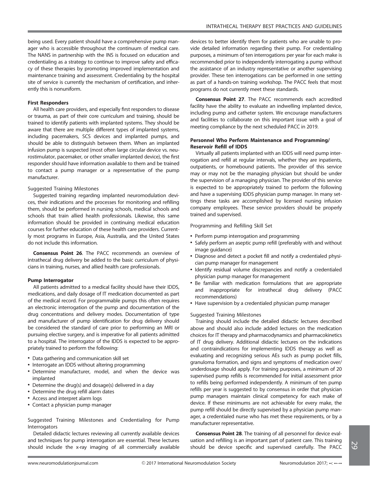being used. Every patient should have a comprehensive pump manager who is accessible throughout the continuum of medical care. The NANS in partnership with the INS is focused on education and credentialing as a strategy to continue to improve safety and efficacy of these therapies by promoting improved implementation and maintenance training and assessment. Credentialing by the hospital site of service is currently the mechanism of certification, and inherently this is nonuniform.

#### First Responders

All health care providers, and especially first responders to disease or trauma, as part of their core curriculum and training, should be trained to identify patients with implanted systems. They should be aware that there are multiple different types of implanted systems, including pacemakers, SCS devices and implanted pumps, and should be able to distinguish between them. When an implanted infusion pump is suspected (most often large circular device vs. neurostimulator, pacemaker, or other smaller implanted device), the first responder should have information available to them and be trained to contact a pump manager or a representative of the pump manufacturer.

#### Suggested Training Milestones

Suggested training regarding implanted neuromodulation devices, their indications and the processes for monitoring and refilling them, should be performed in nursing schools, medical schools and schools that train allied health professionals. Likewise, this same information should be provided in continuing medical education courses for further education of these health care providers. Currently most programs in Europe, Asia, Australia, and the United States do not include this information.

Consensus Point 26. The PACC recommends an overview of intrathecal drug delivery be added to the basic curriculum of physicians in training, nurses, and allied health care professionals.

#### Pump Interrogator

All patients admitted to a medical facility should have their IDDS, medications, and daily dosage of IT medication documented as part of the medical record. For programmable pumps this often requires an electronic interrogation of the pump and documentation of the drug concentrations and delivery modes. Documentation of type and manufacturer of pump identification for drug delivery should be considered the standard of care prior to performing an MRI or pursuing elective surgery, and is imperative for all patients admitted to a hospital. The interrogator of the IDDS is expected to be appropriately trained to perform the following:

- Data gathering and communication skill set
- Interrogate an IDDS without altering programming
- Determine manufacturer, model, and when the device was implanted
- Determine the drug(s) and dosage(s) delivered in a day
- Determine the drug refill alarm dates
- Access and interpret alarm logs
- Contact a physician pump manager

Suggested Training Milestones and Credentialing for Pump Interrogators

Detailed didactic lectures reviewing all currently available devices and techniques for pump interrogation are essential. These lectures should include the x-ray imaging of all commercially available devices to better identify them for patients who are unable to provide detailed information regarding their pump. For credentialing purposes, a minimum of ten interrogations per year for each make is recommended prior to independently interrogating a pump without the assistance of an industry representative or another supervising provider. These ten interrogations can be performed in one setting as part of a hands-on training workshop. The PACC feels that most programs do not currently meet these standards.

Consensus Point 27. The PACC recommends each accredited facility have the ability to evaluate an indwelling implanted device, including pump and catheter system. We encourage manufacturers and facilities to collaborate on this important issue with a goal of meeting compliance by the next scheduled PACC in 2019.

#### Personnel Who Perform Maintenance and Programming/ Reservoir Refill of IDDS

Virtually all patients implanted with an IDDS will need pump interrogation and refill at regular intervals, whether they are inpatients, outpatients, or homebound patients. The provider of this service may or may not be the managing physician but should be under the supervision of a managing physician. The provider of this service is expected to be appropriately trained to perform the following and have a supervising IDDS physician pump manager. In many settings these tasks are accomplished by licensed nursing infusion company employees. These service providers should be properly trained and supervised.

Programming and Refilling Skill Set

- Perform pump interrogation and programming
- Safely perform an aseptic pump refill (preferably with and without image guidance)
- Diagnose and detect a pocket fill and notify a credentialed physician pump manager for management
- Identify residual volume discrepancies and notify a credentialed physician pump manager for management
- Be familiar with medication formulations that are appropriate and inappropriate for intrathecal drug delivery (PACC recommendations)
- Have supervision by a credentialed physician pump manager

Suggested Training Milestones

Training should include the detailed didactic lectures described above and should also include added lectures on the medication choices for IT therapy and pharmacodynamics and pharmacokinetics of IT drug delivery. Additional didactic lectures on the indications and contraindications for implementing IDDS therapy as well as evaluating and recognizing serious AEs such as pump pocket fills, granuloma formation, and signs and symptoms of medication over/ underdosage should apply. For training purposes, a minimum of 20 supervised pump refills is recommended for initial assessment prior to refills being performed independently. A minimum of ten pump refills per year is suggested to by consensus in order that physician pump managers maintain clinical competency for each make of device. If these minimums are not achievable for every make, the pump refill should be directly supervised by a physician pump manager, a credentialed nurse who has met these requirements, or by a manufacturer representative.

Consensus Point 28. The training of all personnel for device evaluation and refilling is an important part of patient care. This training should be device specific and supervised carefully. The PACC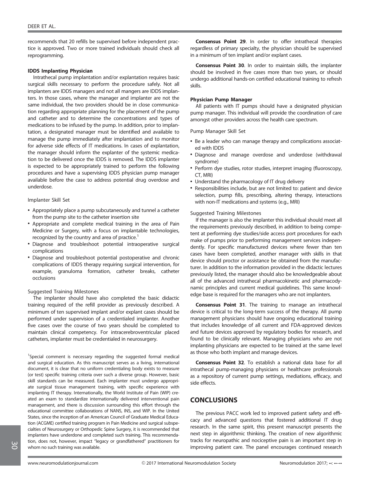recommends that 20 refills be supervised before independent practice is approved. Two or more trained individuals should check all reprogramming.

#### IDDS Implanting Physician

Intrathecal pump implantation and/or explantation requires basic surgical skills necessary to perform the procedure safely. Not all implanters are IDDS managers and not all mangers are IDDS implanters. In those cases, where the manager and implanter are not the same individual, the two providers should be in close communication regarding appropriate planning for the placement of the pump and catheter and to determine the concentrations and types of medications to be infused by the pump. In addition, prior to implantation, a designated manager must be identified and available to manage the pump immediately after implantation and to monitor for adverse side effects of IT medications. In cases of explantation, the manager should inform the explanter of the systemic medication to be delivered once the IDDS is removed. The IDDS implanter is expected to be appropriately trained to perform the following procedures and have a supervising IDDS physician pump manager available before the case to address potential drug overdose and underdose.

#### Implanter Skill Set

- Appropriately place a pump subcutaneously and tunnel a catheter from the pump site to the catheter insertion site
- Appropriate and complete medical training in the area of Pain Medicine or Surgery, with a focus on implantable technologies, recognized by the country and area of practice.<sup>1</sup>
- Diagnose and troubleshoot potential intraoperative surgical complications
- Diagnose and troubleshoot potential postoperative and chronic complications of IDDS therapy requiring surgical intervention, for example, granuloma formation, catheter breaks, catheter occlusions

## Suggested Training Milestones

The implanter should have also completed the basic didactic training required of the refill provider as previously described. A minimum of ten supervised implant and/or explant cases should be performed under supervision of a credentialed implanter. Another five cases over the course of two years should be completed to maintain clinical competency. For intracerebroventricular placed catheters, implanter must be credentialed in neurosurgery.

<sup>1</sup>Special comment is necessary regarding the suggested formal medical and surgical education. As this manuscript serves as a living, international document, it is clear that no uniform credentialing body exists to measure (or test) specific training criteria over such a diverse group. However, basic skill standards can be measured. Each implanter must undergo appropriate surgical tissue management training, with specific experience with implanting IT therapy. Internationally, the World Institute of Pain (WIP) created an exam to standardize internationally delivered interventional pain management, and there is discussion surrounding this effort through the educational committee collaborations of NANS, INS, and WIP. In the United States, since the inception of an American Council of Graduate Medical Education (ACGME) certified training program in Pain Medicine and surgical subspecialties of Neurosurgery or Orthopedic Spine Surgery, it is recommended that implanters have underdone and completed such training. This recommendation, does not, however, impact "legacy or grandfathered" practitioners for whom no such training was available.

Consensus Point 29. In order to offer intrathecal therapies regardless of primary specialty, the physician should be supervised in a minimum of ten implant and/or explant cases.

Consensus Point 30. In order to maintain skills, the implanter should be involved in five cases more than two years, or should undergo additional hands-on certified educational training to refresh skills.

#### Physician Pump Manager

All patients with IT pumps should have a designated physician pump manager. This individual will provide the coordination of care amongst other providers across the health care spectrum.

Pump Manager Skill Set

- Be a leader who can manage therapy and complications associated with IDDS
- Diagnose and manage overdose and underdose (withdrawal syndrome)
- Perform dye studies, rotor studies, interpret imaging (fluoroscopy, CT, MRI)
- Understand the pharmacology of IT drug delivery
- Responsibilities include, but are not limited to: patient and device selection, pump fills, prescribing, altering therapy, interactions with non-IT medications and systems (e.g., MRI)

#### Suggested Training Milestones

If the manager is also the implanter this individual should meet all the requirements previously described, in addition to being competent at performing dye studies/side access port procedures for each make of pumps prior to performing management services independently. For specific manufactured devices where fewer than ten cases have been completed, another manager with skills in that device should proctor or assistance be obtained from the manufacturer. In addition to the information provided in the didactic lectures previously listed, the manager should also be knowledgeable about all of the advanced intrathecal pharmacokinetic and pharmacodynamic principles and current medical guidelines. This same knowledge base is required for the managers who are not implanters.

Consensus Point 31. The training to manage an intrathecal device is critical to the long-term success of the therapy. All pump management physicians should have ongoing educational training that includes knowledge of all current and FDA-approved devices and future devices approved by regulatory bodies for research, and found to be clinically relevant. Managing physicians who are not implanting physicians are expected to be trained at the same level as those who both implant and manage devices.

Consensus Point 32. To establish a national data base for all intrathecal pump-managing physicians or healthcare professionals as a repository of current pump settings, mediations, efficacy, and side effects.

# CONCLUSIONS

The previous PACC work led to improved patient safety and efficacy and advanced questions that fostered additional IT drug research. In the same spirit, this present manuscript presents the next step in algorithmic thinking. The creation of new algorithmic tracks for neuropathic and nociceptive pain is an important step in improving patient care. The panel encourages continued research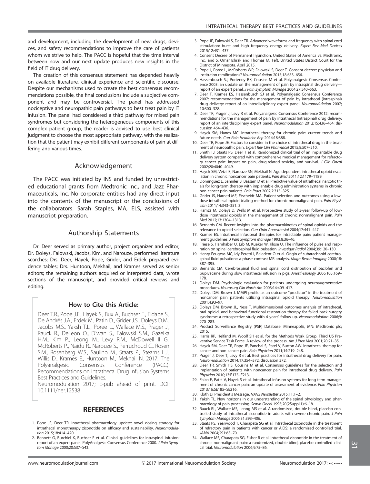and development, including the development of new drugs, devices, and safety recommendations to improve the care of patients whom we strive to help. The PACC is hopeful that the time interval between now and our next update produces new insights in the field of IT drug delivery.

The creation of this consensus statement has depended heavily on available literature, clinical experience and scientific discourse. Despite our mechanisms used to create the best consensus recommendations possible, the final conclusions include a subjective component and may be controversial. The panel has addressed nociceptive and neuropathic pain pathways to best treat pain by IT infusion. The panel had considered a third pathway for mixed pain syndromes but considering the heterogeneous components of this complex patient group, the reader is advised to use best clinical judgment to choose the most appropriate pathway, with the realization that the patient may exhibit different components of pain at differing and various times.

# Acknowledgement

The PACC was initiated by INS and funded by unrestricted educational grants from Medtronic Inc., and Jazz Pharmaceuticals, Inc. No corporate entities had any direct input into the contents of the manuscript or the conclusions of the collaborators. Sarah Staples, MA, ELS, assisted with manuscript preparation.

## Authorship Statements

Dr. Deer served as primary author, project organizer and editor; Dr. Doleys, Falowski, Jacobs, Kim, and Narouze, performed literature searches; Drs. Deer, Hayek, Pope, Grider, and Erdek prepared evidence tables; Drs. Huntoon, Mekhail, and Krames served as senior editors; the remaining authors acquired or interpreted data, wrote sections of the manuscript, and provided critical reviews and editing.

#### How to Cite this Article:

Deer T.R., Pope J.E., Hayek S., Bux A., Buchser E., Eldabe S., De Andrés J.A., Erdek M., Patin D., Grider J.S., Doleys D.M., Jacobs M.S., Yaksh T.L., Poree L., Wallace M.S., Prager J., Rauck R., DeLeon O., Diwan S., Falowski S.M., Gazelka H.M., Kim P., Leong M., Levy R.M., McDowell II G., McRoberts P., Naidu R., Narouze S., Perruchoud C., Rosen S.M., Rosenberg W.S., Saulino M., Staats P., Stearns L.J., Willis D., Krames E., Huntoon M., Mekhail N. 2017. The Polyanalgesic Consensus Conference (PACC): Recommendations on Intrathecal Drug Infusion Systems Best Practices and Guidelines. Neuromodulation 2017; E-pub ahead of print. DOI:

10.1111/ner.12538

## **REFERENCES**

- 1. Pope JE, Deer TR. Intrathecal pharmacology update: novel dosing strategy for intrathecal monotherapy ziconotide on efficacy and sustainability. Neuromodulation 2015;18:414–420.
- 2. Bennett G, Burchiel K, Buchser E et al. Clinical guidelines for intraspinal infusion: report of an expert panel. PolyAnalgesic Consensus Conference 2000. J Pain Symptom Manage 2000;20:S37–S43.
- 3. Pope JE, Falowski S, Deer TR. Advanced waveforms and frequency with spinal cord stimulation: burst and high frequency energy delivery. Expert Rev Med Devices 2015;12:431–437.
- 4. Consent Decree of Permanent Injunction. United States of America vs. Medtronic, Inc., and S. Omar Ishrak and Thomas M. Teft. United States District Court for the District of Minnesota. April 2015.
- 5. Pope J, Poree L, McRoberts WP, Falowski S, Deer T. Consent decree: physician and institution ramifications? Neuromodulation 2015;18:653–656.
- 6. Hassenbusch SJ, Portenoy RK, Cousins M et al. Polyanalgesic Consensus Conference 2003: an update on the management of pain by intraspinal drug delivery report of an expert panel. J Pain Symptom Manage 2004;27:540–563.
- 7. Deer T, Krames ES, Hassenbusch SJ et al. Polyanalgesic Consensus Conference 2007: recommendations for the management of pain by intrathecal (intraspinal) drug delivery: report of an interdisciplinary expert panel. Neuromodulation 2007; 10:300–328.
- 8. Deer TR, Prager J, Levy R et al. Polyanalgesic Consensus Conference 2012: recommendations for the management of pain by intrathecal (intraspinal) drug delivery: report of an interdisciplinary expert panel. Neuromodulation 2012;15:436–464; discussion 464–436.
- 9. Hayek SM, Hanes MC. Intrathecal therapy for chronic pain: current trends and future needs. Curr Pain Headache Rep 2014;18:388.
- 10. Deer TR, Pope JE. Factors to consider in the choice of intrathecal drug in the treatment of neuropathic pain. Expert Rev Clin Pharmacol 2015;8:507–510.
- 11. Smith TJ, Staats PS, Deer T et al. Randomized clinical trial of an implantable drug delivery system compared with comprehensive medical management for refractory cancer pain: impact on pain, drug-related toxicity, and survival. J Clin Oncol 2002;20:4040–4049.
- 12. Hayek SM, Veizi IE, Narouze SN, Mekhail N. Age-dependent intrathecal opioid escalation in chronic noncancer pain patients. Pain Med 2011;12:1179–1189.
- 13. Dominguez E, Sahinler B, Bassam D et al. Predictive value of intrathecal narcotic trials for long-term therapy with implantable drug administration systems in chronic non-cancer pain patients. Pain Pract 2002;2:315–325.
- 14. Grider JS, Harned ME, Etscheidt MA. Patient selection and outcomes using a lowdose intrathecal opioid trialing method for chronic nonmalignant pain. Pain Physician 2011;14:343–351. 3
- 15. Hamza M, Doleys D, Wells M et al. Prospective study of 3-year follow-up of lowdose intrathecal opioids in the management of chronic nonmalignant pain. Pain Med 2012;13:1304–1313.
- 16. Bernards CM. Recent insights into the pharmacokinetics of spinal opioids and the relevance to opioid selection. Curr Opin Anaesthesiol 2004;17:441–447.
- 17. Krames ES. Intrathecal infusional therapies for intractable pain: patient management guidelines. J Pain Symptom Manage 1993;8:36–46.
- 18. Friese S, Hamhaber U, Erb M, Kueker W, Klose U. The influence of pulse and respiration on spinal cerebrospinal fluid pulsation. Investigat Radiol 2004;39:120–130.
- 19. Henry-Feugeas MC, Idy-Peretti I, Baledent O et al. Origin of subarachnoid cerebrospinal fluid pulsations: a phase-contrast MR analysis. Magn Reson Imaging 2000;18: 387–395.
- 20. Bernards CM. Cerebrospinal fluid and spinal cord distribution of baclofen and bupivacaine during slow intrathecal infusion in pigs. Anesthesiology 2006;105:169– 178.
- 21. Doleys DM. Psychologic evaluation for patients undergoing neuroaugmentative procedures. Neurosurg Clin North Am 2003;14:409–417.
- 22. Doleys DM, Brown J. MMPI profile as an outcome "predictor" in the treatment of noncancer pain patients utilizing intraspinal opioid therapy. Neuromodulation 2001;4:93–97.
- 23. Doleys DM, Brown JL, Ness T. Multidimensional outcomes analysis of intrathecal, oral opioid, and behavioral-functional restoration therapy for failed back surgery syndrome: a retrospective study with 4 years' follow-up. Neuromodulation 2006;9: 270–283.
- 24. Product Surveillance Registry (PSR) Database. Minneapolis, MN: Medtronic plc; 2015.
- 25. Harris RP, Helfand M, Woolf SH et al. for the Methods Work Group, Third US Preventive Service Task Force. A review of the process. Am J Prev Med 2001;20:21–35.
- 26. Hayek SM, Deer TR, Pope JE, Panchal S, Patel V, Burton AW. Intrathecal therapy for cancer and non-cancer pain. Pain Physician 2011;14:219–248.
- 27. Prager J, Deer T, Levy R et al. Best practices for intrathecal drug delivery for pain. Neuromodulation 2014;17:354–372; discussion 372.
- 28. Deer TR, Smith HS, Cousins M et al. Consensus guidelines for the selection and implantation of patients with noncancer pain for intrathecal drug delivery. Pain Physician 2010;13:E175–E213.
- 29. Falco F, Patel V, Hayek S et al. Intrathecal infusion systems for long-term management of chronic cancer pain: an update of assessment of evidence. Pain Physician 2013;16:SE185–SE216.
- 30. Kloth D. President's Message. NANS Newsletter 2015;11:1–2.
- 31. Yaksh TL. New horizons in our understanding of the spinal physiology and pharmacology of pain processing. Semin Oncol 1993;20(2Suppl.1):6–18.
- 32. Rauck RL, Wallace MS, Leong MS et al. A randomized, double-blind, placebo controlled study of intrathecal ziconotide in adults with severe chronic pain. J Pain Symptom Manage 2006;31:393–406.
- 33. Staats PS, Yearwood T, Charapata SG et al. Intrathecal ziconotide in the treatment of refractory pain in patients with cancer or AIDS: a randomized controlled trial. JAMA 2004;291:63–70.
- 34. Wallace MS, Charapata SG, Fisher R et al. Intrathecal ziconotide in the treatment of chronic nonmalignant pain: a randomized, double-blind, placebo-controlled clinical trial. Neuromodulation 2006;9:75–86.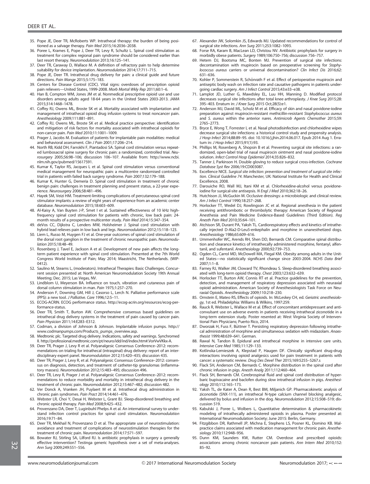- 35. Pope JE, Deer TR, McRoberts WP. Intrathecal therapy: the burden of being positioned as a salvage therapy. Pain Med 2015;16:2036–2038.
- 36. Poree L, Krames E, Pope J, Deer TR, Levy R, Schultz L. Spinal cord stimulation as treatment for complex regional pain syndrome should be considered earlier than last resort therapy. Neuromodulation 2013;16:125–141.
- 37. Deer TR, Caraway D, Wallace M. A definition of refractory pain to help determine suitability for device implantation. Neuromodulation 2014;17:711–715.
- 38. Pope JE, Deer TR. Intrathecal drug delivery for pain: a clinical guide and future directions. Pain Mange 2015;5:175–183.
- 39. Centers for Disease Control (CDC). Vital signs: overdoses of prescription opioid pain relievers—United States, 1999-2008. Morb Mortal Wkly Rep 2011;60:1–6.
- 40. Han B, Compton WM, Jones JM et al. Nonmedical prescriptive opioid use and use disorders among adults aged 18-64 years in the United States 2003-2013. JAMA 2015;314:1468–1478.
- 41. Coffey RJ, Owens ML, Broste SK et al. Mortality associated with implantation and management of intrathecal opioid drug infusion systems to treat noncancer pain. Anesthesiology 2009;111:881–891.
- 42. Coffey RJ, Owens ML, Broste SK et al. Medical practice perspective: identification and mitigation of risk factors for mortality associated with intrathecal opioids for non-cancer pain. Pain Med 2010;11:1001–1009.
- 43. Prager J, Jacobs M. Evaluation of patients for implantable pain modalities: medical and behavioral assessment. Clin J Pain 2001;17:206–214.
- 44. North RB, Kidd DH, Farrokhi F, Piantadosi SA. Spinal cord stimulation versus repeated lumbosacral spine surgery for chronic pain: a randomized, controlled trial. Neurosurgery 2005;56:98–106; discussion 106–107. Available from: [http://www.ncbi.](http://www.ncbi.nlm.nih.gov/pubmed/15617591) [nlm.nih.gov/pubmed/15617591](http://www.ncbi.nlm.nih.gov/pubmed/15617591).
- 45. Kumar K, Taylor RS, Jacques L et al. Spinal cord stimulation versus conventional medical management for neuropathic pain: a multicentre randomised controlled trial in patients with failed back surgery syndrome. Pain 2007;132:179–188.
- 46. Kumar K, Hunter G, Demeria D. Spinal cord stimulation in treatment of chronic benign pain: challenges in treatment planning and present status, a 22-year experience. Neurosurgery 2006;58:481–496.
- 47. Hayek SM, Veizi HM. Treatment-limiting complications of percutaneous spinal cord stimulator implants: a review of eight years of experience from an academic center database. Neuromodulation 2015;18:603–609.
- 48. Al-Kaisy A, Van Buyten J-P, Smet I et al. Sustained effectiveness of 10 kHz highfrequency spinal cord stimulation for patients with chronic, low back pain: 24 month results of a prospective multicenter study. Pain Med 2014;15:347–354.
- 49. deVos CC, Dijkstra C, Lenders MW, Holsheimer J. Spinal cord stimulation with hybrid lead relieves pain in low back and legs. Neuromodulation 2012;15:118–123.
- 50. Liem L, Russo M, Huygen FJ et al. One-year outcomes of spinal cord stimulation of the dorsal root ganglion in the treatment of chronic neuropathic pain. Neuromodulation 2015;18:48–49.
- 51. Rosenberg J, Tavel E, Jackson A et al. Development of new pain affects the longterm patient experience with spinal cord stimulation. Presented at the 7th World Congress World Institute of Pain; May 2014; Maastricht, The Netherlands. (WIP-0412).
- 52. Saulino M, Stearns L, (moderators). Intrathecal Therapies: Basic Challenges. Concurrent session presented at: North American Neuromodulation Society 19th Annual Meeting; Dec. 2015; Las Vegas, NV.
- 53. Lindblom U, Meyerson BA. Influence on touch, vibration and cutaneous pain of dorsal column stimulation in man. Pain 1975;1:257–270.
- 54. Anderson F, Downing GM, Hill J, Casorso L, Lerch N. Palliative performance scale (PPS): a new tool. J Palliative. Care 1996;12:5–11.
- 55. ECOG-ACRIN. ECOG performance status. [http://ecog-acrin.org/resources/ecog-per](http://ecog-acrin.org/resources/ecog-performance-status)[formance-status](http://ecog-acrin.org/resources/ecog-performance-status).
- 56. Deer TR, Smith T, Burton AW. Comprehensive consensus based guidelines on intrathecal drug delivery systems in the treatment of pain caused by cancer pain. Pain Physician 2011;14:E283–E312.
- 57. Codman, a division of Johnson & Johnson. Implantable infusion pumps. [http://](http://www.codmanpumps.com/Products_pumps_overview.asp) [www.codmanpumps.com/Products\\_pumps\\_overview.asp.](http://www.codmanpumps.com/Products_pumps_overview.asp)
- 58. Medtronic plc. Targeted drug delivery. Indications, safety and warnings. Synchromed II. [http://professional.medtronic.com/pt/neuro/idd/ind/index.htm#.VorVwVKkx-A.](http://professional.medtronic.com/pt/neuro/idd/ind/index.htm#.VorVwVKkx-A)
- 59. Deer TR, Prager J, Levy R et al. Polyanalgesic Consensus Conference–2012: recommendations on trialing for intrathecal (intraspinal) drug delivery: report of an interdisciplinary expert panel. Neuromodulation 2012;15:420–435; discussion 435.
- 60. Deer TR, Prager J, Levy R, et al. Polyanalgesic Consensus Conference–2012: consensus on diagnosis, detection, and treatment of catheter-tip granulomas (inflammatory masses). Neuromodulation 2012;15:483–495; discussion 496.
- 61. Deer TR, Levy R, Prager J et al. Polyanalgesic Consensus Conference–2012: recommendations to reduce morbidity and mortality in intrathecal drug delivery in the treatment of chronic pain. Neuromodulation 2012;15:467–482; discussion 482.
- 62. Ver Donck A, Vranken JH, Puylaert M et al. Intrathecal drug administration in chronic pain syndromes. Pain Pract 2014;14:461–476.
- 63. Webster LR, Choi Y, Desai H, Webster L, Grant BJ. Sleep-disordered breathing and chronic opioid therapy. Pain Med 2008;9:425–432.
- 64. Provenzano DA, Deer T, Luginbuhl Phelps A et al. An international survey to understand infection control practices for spinal cord stimulation. Neuromodulation 2016;19:71–84.
- 65. Deer TR, Mekhail N, Provenzano D et al. The appropriate use of neurostimulation: avoidance and treatment of complications of neurostimulation therapies for the treatment of chronic pain. Neuromodulation 2014;17:571–597.
- 66. Bowater RJ, Stirling SA, Lilford RJ. Is antibiotic prophylaxis in surgery a generally effective intervention? Testinga generic hypothesis over a set of meta-analyses. Ann Surg 2009;249:551–556.
- 67. Alexander JW, Solomkin JS, Edwards MJ. Updated recommendations for control of surgical site infections. Ann Surg 2011;253:1082–1093.
- 68. Forse RA, Karam B, MacLean LD, Christou NV. Antibiotic prophylaxis for surgery in morbidly obese patients. Surgery 1989;106:750–756; discussion 756–757.
- 69. Hetem DJ, Bootsma MC, Bonten MJ. Prevention of surgical site infections: decontamination with mupirocin based on preoperative screening for Staphylococcus aureus carriers or universal decontamination? Clin Infect Dis 2016;62: 631–636.
- 70. Kohler P, Sommerstein R, Schönrath F et al. Effect of perioperative mupirocin and antiseptic body wash on infection rate and causative pathogens in patients undergoing cardiac surgery. Am J Infect Control 2015;43:e33–e38.
- 71. Lamplot JD, Luther G, Mawdsley EL, Luu HH, Manning D. Modified protocol decreases surgical site infections after total knee arthroplasty. J Knee Surg 2015;28: 395–403. Erratum in: J Knee Surg 2015 Oct;28(5):e1.
- 72. Anderson MJ, David ML, Scholz M et al. Efficacy of skin and nasal povidone-iodine preparation against mupirocin-resistant methicillin-resistant Staphylococcus aureus and S. aureus within the anterior nares. Antimicrob Agents Chemother 2015;59: 2765–2773.
- 73. Bryce E, Wong T, Forrester L et al. Nasal photodisinfection and chlorhexidine wipes decrease surgical site infections: a historical control study and propensity analysis. J Hosp Infect 2014;88:89–95. doi: [10.1016/j.jhin.2014.06.017.](info:doi/10.1016/j.jhin.2014.06.017) Epub 2014 Aug 1. Erratum in: J Hosp Infect 2015;91(1):93.
- 74. Phillips M, Rosenberg A, Shopsin B et al. Preventing surgical site infections: a randomized, open-label trial of nasal mupirocin ointment and nasal povidone-iodine solution. Infect Control Hosp Epidemiol 2014;35:826–832.
- 75. Tanner J, Parkinson H. Double gloving to reduce surgical cross-infection. Cochrane Database Syst Rev 2006;19:CD003087.
- 76. Excellence NICE. Surgical site infection: prevention and treatment of surgical site infection. Clinical Guideline 74. Manchester, UK: National Institute for Health and Clinical Excellence, 2008.
- 77. Darouiche RO, Wall MJ, Itani KM et al. Chlorhexidine-alcohol versus povidoneiodine for surgical-site antisepsis. N Engl J Med 2010;362:18–26.
- 78. Hutchison JJ, McGuckin M. Occlusive dressings: a microbiologic and clinical review. Am J Infect Control 1990;18:257–268.
- 79. Horlocker TT, Wedel DJ, Rowlingson JC et al. Regional anesthesia in the patient receiving antithrombotic or thrombolytic therapy: American Society of Regional Anesthesia and Pain Medicine Evidence-Based Guidelines (Third Edition). Reg Anesth Pain Med 2010;35:64–101.
- 80. Atchison SR, Durant PA, Yaksh TL. Cardiorespiratory effects and kinetics of intrathecally injected D-Ala2-D-Leu5-enkephalin and morphine in unanesthetized dogs. Anesthesiology 1986;65:609–616.
- 81. Ummenhofer WC, Arends RH, Shen DD, Bernards CM. Comparative spinal distribution and clearance kinetics of intrathecally administered morphine, fentanyl, alfentanil, and sufentanil. Anesthesiology 2000;92:739–753.
- 82. Ogden CL, Carrol MD, McDowell MA, Flegal KM. Obesity among adults in the United States—no statistically significant change since 2003-2004. NCHS Data Brief 2007;1:1–8.
- 83. Farney RJ, Walker JM, Cloward TV, Rhondeau S. Sleep-disordered breathing associated with long-term opioid therapy. Chest 2003;123:632–639.
- 84. Horlocker TT, Burton AW, Connis RT et al. Practice guidelines for the prevention, detection, and management of respiratory depression associated with neuraxial opioid administration. American Society of Anesthesiologists Task Force on Neuraxial Opioids. Anesthesiology 2009;110:218–230.
- 85. Ornstein E, Mateo RS, Effects of opioids. In: McLeskey CH, ed. Geriatric anesthesiology, 1st ed. Philadelphia: Williams & Wilkins, 1997:259.
- 86. Rauck R, Webster L, Wallace M et al. Effect of concomitant antidepressant and anticonvulsant use on adverse events in patients receiving intrathecal ziconotide in a long-term extension study. Poster resented at: West Virginia Society of Interventional Pain Physicians; Puerto Rico, 2014.
- 87. Dworzak H, Fuss F, Büttner T. Persisting respiratory depression following intrathecal administration of morphine and simultaneous sedation with midazolam. Anaesthesist 1999;48:639–641. German.
- 88. Rawal N, Tandon B. Epidural and intrathecal morphine in intensive care units. Intensive Care Med 1985;11:129–133.
- 89. Kotlinska-Lemieszek A, Klepstad P, Haugen DF. Clinically significant drug-drug interactions involving opioid analgesics used for pain treatment in patients with cancer: a systematic review. Drug Des Devel Ther 2015;169:5255–5267.s
- 90. Flack SH, Anderson CM, Bernards C. Morphine distribution in the spinal cord after chronic infusion in pigs. Anesth Analg 2011;112:460–464.
- 91. Flack SH, Bernards CM. Cerebrospinal fluid and spinal cord distribution of hyperbaric bupivacaine and baclofen during slow intrathecal infusion in pigs. Anesthesiology 2010;112:165–173.
- 92. Yaksh TL, de Kater A, Dean R, Best BM, Miljanich GP. Pharmacokinetic analysis of ziconotide (SNX-111), an intrathecal N-type calcium channel blocking analgesic, delivered by bolus and infusion in the dog. Neuromodulation 2012;15:508–519; discussion 519.
- 93. Kabulski J, Poree L, Wolbers L, Quantitative determination & pharmacokinetic modeling of intrathecally administered opioids in plasma. Poster presented at: International Neuromodulation Society; June 2015: Berlin, Germany.
- 94. Fitzgibbon DR, Rathmell JP, Michna E, Stephens LS, Posner KL, Domino KB. Malpractice claims associated with medication management for chronic pain. Anesthesiology 2010;112:948–956.
- 95. Dunn KM, Saunders KW, Rutter CM. Overdose and prescribed opioids: associations among chronic noncancer pain patients. Ann Intern Med 2010;152: 85–92.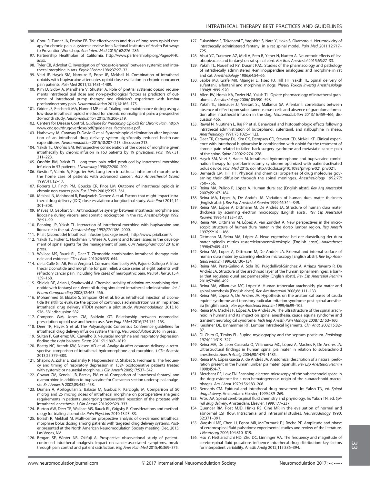- 96. Chou R, Turner JA, Devine EB. The effectiveness and risks of long-term opioid therapy for chronic pain: a systemic review for a National Institutes of Health Pathways to Prevention Workshop. Ann Intern Med 2015;162:276–286.
- 97. Partnership Healthplan of California. [http://www.partnershiphp.org/Pages/PHC.](http://www.partnershiphp.org/Pages/PHC.aspx) [aspx](http://www.partnershiphp.org/Pages/PHC.aspx).
- 98. Tyler CB, Advokat C. Investigation of "cross-tolerance" between systemic and intrathecal morphine in rats. Physiol Behav 1986;37:27–32.
- 99. Veizi IE, Hayek SM, Narouze S, Pope JE, Mekhail N. Combination of intrathecal opioids with bupivacaine attenuates opioid dose escalation in chronic noncancer pain patients. Pain Med 2011;12:1481–1489.
- 100. Kim D, Sidov A, Mandhare V, Shuster A. Role of pretrial systemic opioid requirements intrathecal trial dose and non-psychological factors as predictors of outcome of intrathecal pump therapy: one clinician's experience with lumbar postlaminectomy pain. Neuromodulation 2011;14:165–175.
- 101. Grider JS, Etscheidt MA, Harned ME et al. Trialing and maintenance dosing using a low-dose intrathecal opioid method for chronic nonmalignant pain: a prospective 36-month study. Neuromodulation 2015;19:206–219.
- 102. Centers for Disease Control. Guideline for Prescribing Opioids for Chronic Pain. [http://](http://www.cdc.gov/drugoverdose/pdf/guidelines_factsheet-a.pdf) [www.cdc.gov/drugoverdose/pdf/guidelines\\_factsheet-a.pdf.](http://www.cdc.gov/drugoverdose/pdf/guidelines_factsheet-a.pdf)
- 103. Hatheway JA, Caraway D, David G et al. Systemic opioid elimination after implantation of an intrathecal drug delivery system significantly reduced health-care expenditures. Neuromodulation 2015;18:207–213; discussion 213.
- 104. Yaksh TL, Onofrio BM. Retrospective consideration of the doses of morphine given intrathecally by chronic infusion in 163 patients by 19 physicians. Pain 1987;31: 211–223.
- 105. Onofrio BM, Yaksh TL. Long-term pain relief produced by intrathecal morphine infusion in 53 patients. J Neurosurg 1990;72:200–209.
- 106. Gestin Y, Vainio A, Pégurier AM. Long-term intrathecal infusion of morphine in the home care of patients with advanced cancer. Acta Anaesthesiol Scand 1997;41:12–17.
- 107. Roberts LJ, Finch PM, Goucke CR, Price LM. Outcome of intrathecal opioids in chronic non-cancer pain. Eur J Pain 2001;5:353–361.
- 108. Mekhail N, Mahboobi R, Farajzadeh Deroee A et al. Factors that might impact intrathecal drug delivery (IDD) dose escalation: a longitudinal study. Pain Pract 2014;14: 301–308.
- 109. Maves TJ, Gebhart GF. Antinociceptive synergy between intrathecal morphine and lidocaine during visceral and somatic nociception in the rat. Anesthesiology 1992; 76:91–99.
- 110. Penning JP, Yaksh TL. Interaction of intrathecal morphine with bupivacaine and lidocaine in the rat. Anesthesiology 1992;77:1186–2000.
- 111. Prialt (ziconotide) Intrathecal Infusion [package insert].<http://www.prialt.com/>.
- 112. Yaksh TL, Fisher C, Hochman T, Wiese A. Current and future issues in the development of spinal agents for the management of pain. Curr Neuropharmacol 2016; in press.
- 113. Wallace MS, Rauck RL, Deer T. Ziconotide combination intrathecal therapy: rationale and evidence. Clin J Pain 2010;26:635–644.
- 114. de la Calle Gil AB, Peña Vergara I, Cormane Bornacelly MA, Pajuelo Gallego A. Intrathecal ziconotide and morphine for pain relief: a case series of eight patients with refractory cancer pain, including five cases of neuropathic pain. Neurol Ther 2015;4: 159–168.
- 115. Shields DE, Aclan J, Szatkowski A. Chemical stability of admixtures combining ziconotide with fentanyl or sufentanil during simulated intrathecal administration. Int J Pharm Compounding 2008;12:463–466.
- 116. Mohammed SI, Eldabe S, Simpson KH et al. Bolus intrathecal injection of ziconotide (Prialt®) to evaluate the option of continuous administration via an implanted intrathecal drug delivery (ITDD) system: a pilot study. Neuromodulation 2013;16: 576–581; discussion 582.
- 117. Compton WM, Jones CM, Baldwin GT. Relationship between nonmedical prescription-opioid use and heroin use. New Engl J Med 2016;174:154–163.
- 118. Deer TR, Hayek S et al. The Polyanalgesic Consensus Conference guidelines for intrathecal drug delivery infusion system trialing. Neuromodulation 2016; in press.
- 119. Sultan P, Gutierrez MC, Carvalho B. Neuraxial morphine and respiratory depression: finding the right balance. Drugs 2011;71:1807–1819.
- 120. Beatty NC, Arendt KW, Niesen AD et al. Analgesia after cesarean delivery: a retrospective comparison of intrathecal hydromorphone and morphine. J Clin Anaesth 2013;25:379–383.
- 121. Shapiro A, Zohar E, Zaslansky R, Hoppenstein D, Shabat S, Fredman B. The frequency and timing of respiratory depression in 1524 postoperative patients treated with systemic or neuraxial morphine. J Clin Anesth 2005;17:537–542.
- 122. Cowan CM, Kendall JB, Barclay PM et al. Comparison of intrathecal fentanyl and diamorphine in addition to bupivacaine for Caesarean section under spinal analgesia. Br J Anaesth 2002;89:452–458.
- 123. Duman A, Apiliogullari S, Balasar M, Gurbuz R, Karcioglu M. Comparison of 50 microg and 25 microg doses of intrathecal morphine on postoperative analgesic requirements in patients undergoing transurethral resection of the prostate with intrathecal anesthesia. J Clin Anesth 2010;22:329–333.
- 124. Burton AW, Deer TR, Wallace MS, Rauck RL, Grigsby E. Considerations and methodology for trialing ziconotide. Pain Physician 2010;13:23-33.<br>125. Bolash R, Mekhail M, Multi-center prospective analysis of on-demand intrathecal
- morphine bolus dosing among patients with targeted drug delivery systems. Poster presented at the North American Neuromodulation Society meeting; Dec. 2015; Las Vegas, NV.
- 126. Brogan SE, Winter NB, Okifuji A. Prospective observational study of patient– controlled intrathecal analgesia. Impact on cancer-associated symptoms, breakthrough pain control and patient satisfaction. Reg Anes Pain Med 2015;40:369–375.
- 127. Fukushima S, Takenami T, Yagishita S, Nara Y, Hoka S, Okamoto H. Neurotoxicity of intrathecally administered fentanyl in a rat spinal model. Pain Med 2011;12:717–
- 725. 128. Abut YC, Turkmen AZ, Midi A, Eren B, Yener N, Nurten A. Neurotoxic effects of levobupivacaie and fentanyl on rat spinal cord. Rev Bras Anestesiol 2015;65:27–33.
- 129. Yaksh TL, Noueihed RY, Durant PAC. Studies of the pharmacology and pathology of intrathecally administered 4-anilinopiperidine analogues and morphine in rat and cat. Anesthesiology 1986;64:54–66.
- 130. Sabbe MB, Grafe MR, Mjanger E, Tiseo PJ, Hill HF, Yaksh TL. Spinal delivery of sufentanil, alfentanil and morphine in dogs. Physiol Toxicol Investig Anesthesiology 1994;81:899–920.
- 131. Allen JW, Horais KA, Tozier NA, Yaksh TL. Opiate pharmacology of intrathecal granulomas. Anesthesiology 2006;105:590–598.
- 132. Yaksh TL, Steinauer JJ, Veesart SL, Malkmus SA. Alfentanil: correlations between absence of effect upon subcutaneous mast cells and absence of granuloma formation after intrathecal infusion in the dog. Neuromodulation 2013;16:459–466; discussion 466.
- 133. Rawal N, Nuutinen L, Raj PP et al. Behavioral and histopathologic effects following intrathecal administration of butorphanol, sufentanil, and nalbuphine in sheep. Anesthesiology 1991;75:1025–1123.
- 134. Deer TR, Caraway DL, Kim CK, Dempsey CD, Stewart CD, McNeil KF. Clinical experience with intrathecal bupivacaine in combination with opioid for the treatment of chronic pain related to failed back surgery syndrome and metastatic cancer pain of the spine. Spine J 2002;2:274–278.
- 135. Hayek SM, Veizi E, Hanes M. Intrathecal hydromorphone and bupivacaine combination therapy for post-laminectomy syndrome optimized with patient-activated bolus device. Pain Med 2015; doi [http://dx.doi.org/10.1093/pm/pnv021 pnv021.](http://dx.doi.org/10.1093/pm/pnv021 pnv021)
- 136. Bernards CM, Hill HF. Physical and chemical properties of drug molecules governing their diffusion through the spinal meninges. Anesthesiology 1992;77: 750–756.
- 137. Reina MA, Pulido P, López A. Human dural sac [English abstr]. Rev Arg Anestesiol 2007;65:167–184.
- 138. Reina MA, López A, De Andrés JA. Variation of human dura mater thickness [English abstr]. Rev Esp Anestesiol Reanim 1999;46:344–349.
- 139. Reina MA, López A, Dittmann M, De Andrés JA. Structure of human dura mater thickness by scanning electron microscopy [English abstr]. Rev Esp Anestesiol Reanim 1996;43:135–137.
- 140. Reina MA, Dittmann M, López A, van Zundert A. New perspectives in the microscopic structure of human dura mater in the dorso lumbar region. Reg Anesth 1997;22:161–166.
- 141. Dittmann M, Reina MA, López A. Neue ergebnisse bei der darstellung der dura mater spinalis mittles rasterelektronenmikroskopie [English abstr]. Anaesthesist 1998;47:409–413.
- 142. Reina MA, López A, Dittmann M, De Andrés JA. External and internal surface of human dura mater by scanning electron microscopy [English abstr]. Rev Esp Anestesiol Reanim 1996;43:130–134.
- 143. Reina MA, Prats-Galino A, Sola RG, Puigdellívol-Sánchez A, Arriazu Navarro R, De Andrés JA. Structure of the arachnoid layer of the human spinal meninges: a barrier that regulates dural sac permeability [English abstr]. Rev Esp Anestesiol Reanim 2010;57:486–492.
- 144. Reina MA, Villanueva MC, López A. Human trabecular arachnoids, pia mater and
- spinal anesthesia [English abstr]. *Rev Arg Anestesiol* 2008;66:111–133.<br>145. Reina MA, López A, De Andrés JA. Hypothesis on the anatomical bases of cauda equine syndrome and transitory radicular irritation syndrome post spinal anesthesia [English abstr]. Rev Esp Anestesiol Reanim 1999;46:99–105.
- 146. Reina MA, Machés F, López A, De Andrés JA. The ultrastructure of the spinal arachnoid in humans and its impact on spinal anesthesia, cauda equina syndrome and transient neurological syndrome. Tech Reg Anesth Pain Manage 2008;12:153–160.
- 147. Kershner DE, Binhammer RT. Lumbar Intrathecal ligaments. Clin Anat 2002;15:82– 87.
- 148. Di Chiro G, Timins EL. Supine myelography and the septum posticum. Radiology 1974;111:319–327.
- 149. Reina MA, De Leon Casasola O, Villanueva MC, López A, Maches F, De Andrés JA. Ultrastructural findings in human spinal pia mater in relation to subarachnoid anesthesia. Anesth Analg 2004;98:1479–1485.
- 150. Reina MA, López García A, de Andrés JA. Anatomical description of a natural perforation present in the human lumbar pia mater [Spanish]. Rev Esp Anestesiol Reanim 1998;45:4–7.
- 151. Merchant RE, Low FN. Scanning electron microscopy of the subarachnoid space in the dog: evidence for a non-hematogeneous origin of the subarachnoid macrophages. Am J Anat 1979;156:183–206.
- 152. Bernards CM. Epidural and intrathecal drug movement. In: Yaksh TN, ed. Spinal drug delivery. Amsterdam: Elsevier; 1999:239–269.
- 153. Artru AA, Spinal cerebrospinal fluid chemistry and physiology. In: Yaksh TN, ed. Spinal drug delivery. Amsterdam: Elsevier; 1999:177–237.
- 154. Quencer RM, Post MJD, Hinks RS. Cine MR in the evaluation of normal and abnormal CSF flow. Intracranial and intraspinal studies. Neuroradiology 1990; 32:371–391.
- 155. Wagshul ME, Chen JJ, Egnor MR, McCormack EJ, Roche PE. Amplitude and phase of cerebrospinal fluid pulsations: experimental studies and review of the literature. J Neurosurg 2006;104:810–819.
- 156. Hsu Y, Hettiarachchi HD, Zhu DC, Linninger AA. The frequency and magnitude of cerebrospinal fluid pulsations influence intrathecal drug distribution: key factors for interpatient variability. Anesth Analg 2012;115:386–394.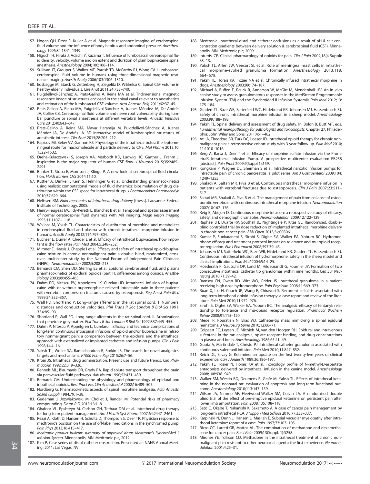- 157. Hogan QH, Prost R, Kulier A et al. Magnetic resonance imaging of cerebrospinal fluid volume and the influence of body habitus and abdominal pressure. Anesthesiology 1996;84:1341–1349.
- 158. Higuchi H, Hirata J, Adachi Y, Kazama T. Influence of lumbosacral cerebrospinal fluid density, velocity, volume and on extent and duration of plain bupivacaine spinal anesthesia. Anesthesiology 2004;100:106–114.
- 159. Sullivan JT, Grouper S, Walker MT, Parrish TB, McCarthy RJ, Wong CA. Lumbosacral cerebrospinal fluid volume in humans using three-dimensional magnetic resonance imaging. Anesth Analg 2006;103:1306–1310.
- 160. Edsbagge M, Starck G, Zetterberg H, Ziegelitz D, Wikkelso C. Spinal CSF volume in healthy elderly individuals. Clin Anat 2011;24:733–740.
- 161. Puigdellívol-Sánchez A, Prats-Galino A, Reina MA et al. Tridimensional magnetic resonance image of structures enclosed in the spinal canal relevant to anesthetists and estimation of the lumbosacral CSF volume. Acta Anaesth Belg 2011;62:37–45.
- 162. Prats-Galino A, Reina MA, Puigdellívol-Sánchez A, Juanes Méndez JA, De Andrés JA, Collier CB. Cerebrospinal fluid volume and nerve root vulnerability during lumbar puncture or spinal anaesthesia at different vertebral levels. Anaesth Intensive Care 2012;40:643–647.
- 163. Prats-Galino A, Reina MA, Mavar Haramija M, Puigdellivol-Sánchez A, Juanes Méndez JA, De Andrés JA. 3D interactive model of lumbar spinal structures of anesthetic interest. Clin Anat 2015;28:205–212.
- 164. Papisov MI, Belov VV, Gannon KS. Physiology of the intrathecal bolus: the leptomeningeal route for macromolecule and particle delivery to CNS. Mol Pharm 2013;10: 1522–1532.
- 165. Dreha-Kulaczewski S, Joseph AA, Merboldt KD, Ludwig HC, Gartner J, Frahm J. Inspiration is the major regulator of human CSF flow. J Neurosci 2015;35:2485– 2491.
- 166. Brinker T, Stopa E, Morrison J, Klinge P. A new look at cerebrospinal fluid circulation. Fluids Barriers CNS 2014;11:10.
- 167. Kuttler A, Dimke T, Kern S, Helmlinger G et al. Understanding pharmacokinetics using realistic computational models of fluid dynamics: biosimulation of drug distribution within the CSF space for intrathecal drugs. J Pharmacokinet Pharmacodyn 2010;37:629–664.
- 168. Nelissen RM. Fluid mechanics of intrathecal drug delivery [thesis]. Lausanne: Federal Institute of Technology, 2008.
- 169. Henry-Feugeas MC, Idy-Peretti L, Blanchet B et al. Temporal and spatial assessment of normal cerebrospinal fluid dynamics with MR imaging. Magn Reson Imaging 1993;11:1107–1118.
- 170. Wallace M, Yaksh TL. Characteristics of distribution of morphine and metabolites in cerebrospinal fluid and plasma with chronic intrathecal morphine infusion in humans. Anesth Analg 2012;114:797–804.
- 171. Buchser E, Durrer A, Chedel E et al. Efficacy of intrathecal bupivacaine: how important is the flow rate? Pain Med 2004;5:248–252.
- 172. Mironer E, Haasis J, Chapple I et al. Efficacy and safety of intrathecal opioid/bupivacaine mixture in chronic nonmalignant pain: a double blind, randomized, crossover, multicenter study by the National Forum of Independent Pain Clinicians (NFIPC). Neuromodulation 2002;5:208–213.
- 173. Bernards CM, Shen DD, Sterling ES et al. Epidural, cerebrospinal fluid, and plasma pharmacokinetics of epidural opioids (part 1): differences among opioids. Anesthesiology 2003;99:455–465.
- 174. Dahm PO, Nitescu PV, Appelgren LK, Curelaru ID. Intrathecal infusion of bupivacaine with or without buprenorphine relieved intractable pain in three patients with vertebral compression fractures caused by osteoporosis. Reg Anest Pain Med 1999;24:352–357.
- 175. Wall PD, Shortland P. Long-range afferents in the rat spinal cord. 1. Numbers, distances and conduction velocities. Phil Trans R Soc London B Biol Sci 1991; 334:85–93.
- 176. Shortland P, Wall PD. Long-range afferents in the rat spinal cord. II. Arborizations that penetrate grey matter. Phil Trans R Soc London B Biol Sci 1992;337:445–455.
- 177. Dahm P, Nitescu P, Appelgren L, Curelaru I. Efficacy and technical complications of long-term continuous intraspinal infusions of opioid and/or bupivacaine in refractory nonmalignant pain: a comparison between the epidural and the intrathecal approach with externalized or implanted catheters and infusion pumps. Clin J Pain 1998;14:4–16.
- 178. Yaksh TL, Woller SA, Ramachandran R, Sorkin LS. The search for novel analgesics: targets and mechanisms. F1000 Prime Rep 2015;26:7–56.
- 179. Kroin JS. Intrathecal drug administration. Present use and future trends. Clin Pharmacokin 1992;22:319–326.
- 180. Rennels ML, Blaumanis OR, Grady PA. Rapid solute transport throughout the brain via paravascular fluid pathways. Adv Neurol 1990;52:431–439.
- 181. Bernards CM. Understanding the physiology and pharmacology of epidural and intrathecal opioids. Best Pract Res Clin Anaesthesiol 2002;16:489–505.
- 182. Nordberg G. Pharmacokinetic aspects of spinal morphine analgesia. Acta Anaesth Scand (Suppl) 1984;79:1–38.
- 183. Gudeman J, Jozwiakowski M, Chollet J, Randell M. Potential risks of pharmacy compounding. Drugs R D 2013;13:1–8.
- 184. Ghafoor VL, Epshteyn M, Carlson GH, Terhaar DM et al. Intrathecal drug therapy
- for long-term patient management. Am J Heath Syst Pharm 2007;64:2447–2461. 185. Rezai A, Kloth D, Hansen H, Schultz D, Thompson S, Deer TR. Physician response to medtronic's position on the use of off-label medications in the synchromed pump. Pain Phys 2013;16:415–417.
- 186. Medtronic product bulletin: summary of approved drugs Medtronic's SynchroMed II Infusion System. Minneapolis, MN: Medtronic plc, 2012.
- 187. Kim P, Case series of distal catheter obstruction. Presented at: NANS Annual Meeting; 2011; Las Vegas, NV.
- 188. Medtronic. Intrathecal distal end catheter occlusions as a result of pH & salt concentration gradients between delivery solution & cerebrospinal fluid (CSF). Minneapolis, MN: Medtronic plc; 2009.
- 189. Inturrisi CE. Clinical pharmacology of opioids for pain. Clin J Pain 2002;18(4 Suppl): S3–13.
- 190. Yaksh TL, Allen JW, Veesart SL et al. Role of meningeal mast cells in intrathecal morphine-evoked granuloma formation. Anesthesiology 2013;118: 664–678.
- 191. Yaksh TL, Horais KA, Tozier NA et al. Chronically infused intrathecal morphine in dogs. Anesthesiology 2003;99:174–187.
- 192. Michael A, Buffen E, Rauck R, Anderson W, McGirt M, Mendenhall HV. An in vivo canine study to assess granulomatous responses in the MedStream Programmable Infusion System (TM) and the SynchroMed II Infusion System®. Pain Med 2012;13: 175–184.
- 193. Gradert TL, Baze WB, Satterfield WC, Hildebrand KR, Johansen MJ, Hassenbusch SJ. Safety of chronic intrathecal morphine infusion in a sheep model. Anesthesiology 2003;99:188–198.
- 194. Yaksh TL. Spinal delivery and assessment of drug safety. In: Bolon B, Butt MT, eds. Fundamental neuropathology for pathologists and toxicologists, Chapter 27. Philadelphia: John Wiley and Sons; 2011:451–462.
- 195. Atli A, Theodore BR, Turk DC, Loeser JD. Intrathecal opioid therapy for chronic nonmalignant pain: a retrospective cohort study with 3-year follow-up. Pain Med 2010; 11:1010–1016.
- 196. Berg A, Barsa J, Deer T et al. Efficacy of morphine sulfate infusion via the Prometra® Intrathecal Infusion Pump. A prospective multicenter evaluation: PB238 [abstract]. Pain Pract 2009;9(Suppl.1):159.
- 197. Kongkam P, Wagner DL, Sherman S et al. Intrathecal narcotic infusion pumps for intractable pain of chronic pancreatitis: a pilot series. Am J Gastroenterol 2009;104: 1249–1255.
- 198. Shaladi A, Saltari MR, Piva B et al. Continuous intrathecal morphine infusion in patients with vertebral fractures due to osteoporosis. Clin J Pain 2007;23:511-517.
- 199. Saltari MR, Shaladi A, Piva B et al. The management of pain from collapse of osteoporotic vertebrae with continuous intrathecal morphine infusion. Neuromodulation 2007;10:167–176.
- 200. Reig E, Abejon D. Continuous morphine infusion: a retrospective study of efficacy, safety, and demographic variables. Neuromodulation 2009;12:122–129.
- 201. Raphael JH, Duarte RV, Southall JL, Nightingale P, Kitas GE. Randomised, doubleblind controlled trial by dose reduction of implanted intrathecal morphine delivery in chronic non-cancer pain. BMJ Open 2013;3:e003061.
- 202. Kumar P, Sunkaraneni S, Sirohi S, Dighe SV, Walker EA, Yoburn BC. Hydromorphone efficacy and treatment protocol impact on tolerance and mu-opioid receptor regulation. Eur J Pharmacol 2008;597:39–45.
- 203. Johansen MJ, Satterfield WC, Baze WB, Hildebrand KR, Gradert TL, Hassenbusch SJ. Continuous intrathecal infusion of hydromorphone: safety in the sheep model and clinical implications. Pain Med 2004;5:14–25.
- 204. Hoederath P, Gautschi OP, Land M, Hildebrandt G, Fournier JY. Formation of two consecutive intrathecal catheter tip granulomas within nine months. Cen Eur Neurosurg 2010;71:39–42.
- 205. Ramsey CN, Owen RD, Witt WO, Grider JS. Intrathecal granuloma in a patient receiving high dose hydromorphone. Pain Physician 2008;11:369-373.
- 206. Ruan X, Liu H, Couch JP, Wang F, Chiravuri S. Recurrent cellulitis associated with long-term intrathecal opioid infusion therapy: a case report and review of the literature. Pain Med 2010;11:972–976.
- 207. Sirohi S, Dighe SV, Walker EA, Yoburn BC. The analgesic efficacy of fentanyl: relationship to tolerance and mu-opioid receptor regulation. Pharmacol Biochem Behav 2008;91:115–120.
- 208. Medel R, Pouratian N, Elias WJ. Catheter-tip mass mimicking a spinal epidural hematoma. J Neurosurg Spine 2010;12:66–71.
- 209. Colpaert FC, Leysen JE, Michiels M, van den Hoogen RH. Epidural and intravenous sufentanil in the rat: analgesia, opiate receptor binding, and drug concentrations in plasma and brain. Anesthesiology 1986;65:41–49.
- 210. Gupta A, Martindale T, Christo PJ. Intrathecal catheter granuloma associated with continuous sufentanil infusion. Pain Med 2010;11:847–852.
- 211. Reich DL, Silvay G. Ketamine: an update on the first twenty-five years of clinical experience. Can J Anaesth 1989;36:186–197.
- 212. Yaksh TL, Tozier N, Horais KA et al. Toxicology profile of N-methyl-D-aspartate antagonists delivered by intrathecal infusion in the canine model. Anesthesiology 2008;108:938–949.
- 213. Walker SM, Westin BD, Deumens R, Grafe M, Yaksh TL. Effects of intrathecal ketamine in the neonatal rat: evaluation of apoptosis and long-term functional outcome. Anesthesiology 2010;113:147–159.
- 214. Wilson JA, Nimmo AF, Fleetwood-Walker SM, Colvin LA. A randomised double blind trial of the effect of pre-emptive epidural ketamine on persistent pain after lower limb amputation. Pain 2008;135:108–118.
- 215. Sato C, Okabe T, Nakanishi K, Sakamoto A. A case of cancer pain management by long-term intrathecal PCA. J Nippon Med School 2010;77:333–337.
- 216. Karpinski N, Dunn J, Hansen L, Masliah E. Subpial vacuolar myelopathy after intrathecal ketamine: report of a case. Pain 1997;73:103–105.
- 217. Rizzo CC, Luretti GR, Mattos AL. The combination of methadone and dexamethasone for cancer pain. Eur J Pain 2009;13(Suppl. 1):S258.
- 218. Mironer YE, Tollison CD. Methadone in the intrathecal treatment of chronic nonmalignant pain resistant to other neuroaxial agents: the first experience. Neuromodulation 2001;4:25–31.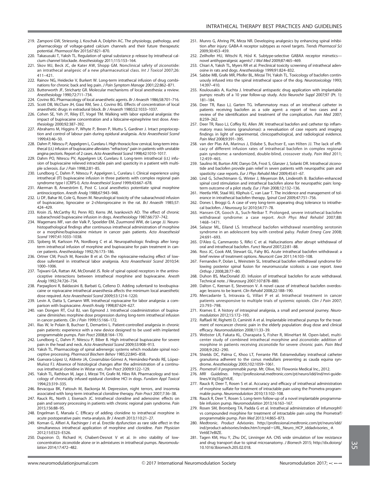- 219. Zamponi GW, Striessnig J, Koschak A, Dolphin AC. The physiology, pathology, and pharmacology of voltage-gated calcium channels and their future therapeutic potential. Pharmacol Rev 2015;67:821–870.
- 220. Takasusuki T, Yaksh TL. Regulation of spinal substance p release by intrathecal calcium channel blockade. Anesthesiology 2011;115:153–164.
- 221. Skov MJ, Beck JC, de Kater AW, Shopp GM. Nonclinical safety of ziconotide: an intrathecal analgesic of a new pharmaceutical class. Int J Toxicol 2007;26: 411–421.
- 222. Rainov NG, Heidecke V, Burkert W. Long-term intrathecal infusion of drug combinations for chronic back and leg pain. J Pain Symptom Manage 2001;22:862–871.
- 223. Butterworth JF, Strichartz GR. Molecular mechanisms of local anesthesia: a review. Anesthesiology 1990;72:711–734.
- 224. Covino BG. Pharmacology of local anaesthetic agents. Br J Anaesth 1986;58:701–716. 225. Scott DB, McClure JH, Giasi RM, Seo J, Covino BG. Effects of concentration of local anaesthetic drugs in extradural block. Br J Anaesth 1980;52:1033–1037.
- 226. Cohen SE, Yeh JY, Riley ET, Vogel TM. Walking with labor epidural analgesia: the impact of bupivacaine concentration and a lidocaine-epinephrine test dose. Anesthesiology 2000;92:387–392.
- 227. Abrahams M, Higgins P, Whyte P, Breen P, Muttu S, Gardiner J. Intact proprioception and control of labour pain during epidural analgesia. Acta Anaesthesiol Scand 1999;43:46–50.
- 228. Dahm P, Nitescu P, Appelgren L, Curelaru I. High thoracic/low cervical, long-term intrathecal (i.t.) infusion of bupivacaine alleviates "refractory" pain in patients with unstable angina pectoris. Report of 2 cases. Acta Anaesthesiol Scand 1998;42:1010–1017.
- 229. Dahm PO, Nitescu PV, Appelgren LK, Curelaru II. Long-term intrathecal (i.t.) infusion of bupivacaine relieved intractable pain and spasticity in a patient with multiple sclerosis. Eur J Pain 1998;2:81–85.
- 230. Lundborg C, Dahm P, Nitescu P, Appelgren L, Curelaru I. Clinical experience using intrathecal (IT) bupivacaine infusion in three patients with complex regional pain syndrome type I (CRPS-I). Acta Anaesthesiol Scand 1999;43:667–678.
- 231. Akerman B, Arweström E, Post C. Local anesthetics potentiate spinal morphine antinociception. Anesth Analg 1988;67:943–948.
- 232. Li DF, Bahar M, Cole G, Rosen M. Neurological toxicity of the subarachnoid infusion of bupivacaine, lignocaine or 2-chloroprocaine in the rat. BrJ Anaesth 1985;57: 424–429.
- 233. Kroin JS, McCarthy RJ, Penn RD, Kerns JM, Ivankovich AD. The effect of chronic subarachnoid bupivacaine infusion in dogs. Anesthesiology 1987;66:737–742.
- 234. Wagemans MF, van der Valk P, Spoelder EM, Zuurmond WW, de Lange JJ. Neurohistopathological findings after continuous intrathecal administration of morphine or a morphine/bupivacaine mixture in cancer pain patients. Acta Anaesthesiol Scand 1997;41:1033–1038.
- 235. Sjoberg M, Karlsson PA, Nordborg C et al. Neuropathologic findings after longterm intrathecal infusion of morphine and bupivacaine for pain treatment in cancer patients. Anesthesiology 1992;76:173–186.
- 236. Ortner CM, Posch M, Roessler B et al. On the ropivacaine-reducing effect of lowdose sufentanil in intrathecal labor analgesia. Acta Anaesthesiol Scand 2010;54: 1000–1006.
- 237. Tejwani GA, Rattan AK, McDonald JS. Role of spinal opioid receptors in the antinociceptive interactions between intrathecal morphine and bupivacaine. Anesth Analg 1992;74:726–734.
- 238. Parpaglioni R, Baldassini B, Barbati G, Celleno D. Adding sufentanil to levobupivacaine or ropivacaine intrathecal anaesthesia affects the minimum local anaesthetic dose required. Acta Anaesthesiol Scand 2009;53:1214–1220.
- 239. Levin A, Datta S, Camann WR. Intrathecal ropivacaine for labor analgesia: a comparison with bupivacaine. Anesth Analg 1998;87:624–627.
- 240. van Dongen RT, Crul BJ, van Egmond J. Intrathecal coadministration of bupivacaine diminishes morphine dose progression during long-term intrathecal infusion in cancer patients. Clin J Pain 1999;15:166–172.
- 241. Ilias W, le Polain B, Buchser E, Demartini L. Patient-controlled analgesia in chronic pain patients: experience with a new device designed to be used with implanted programmable pumps. Pain Pract 2008;8:164–170.
- 242. Lundborg C, Dahm P, Nitescu P, Biber B. High intrathecal bupivacaine for severe pain in the head and neck. Acta Anaesthesiol Scand 2009;53:908–913.
- 243. Yaksh TL. Pharmacology of spinal adrenergic systems which modulate spinal nociceptive processing. Pharmacol Biochem Behav 1985;22:845–858.
- 244. Guevara-López U, Aldrete JA, Covarrubias-Gómez A, Hernández-Pando RE, López-Muñoz FJ. Absence of histological changes after the administration of a continuous intrathecal clonidine in Wistar rats. Pain Pract 2009;9:122–129.
- 245. Yaksh TL, Rathbun M, Jage J, Mirzai TH, Grafe M, Hiles RA. Pharmacology and toxicology of chronically infused epidural clonidine HCl in dogs. Fundam Appl Toxicol 1994;23:319–335.
- 246. Bevacqua BK, Fattouh M, Backonja M. Depression, night terrors, and insomnia associated with long-term intrathecal clonidine therapy. Pain Pract 2007;7:36–38.
- 247. Rauck RL, North J, Eisenach JC. Intrathecal clonidine and adenosine: effects on pain and sensory processing in patients with chronic regional pain syndrome. Pain 2015;156:88–95.
- 248. Engelman E, Marsala C. Efficacy of adding clonidine to intrathecal morphine in acute postoperative pain: meta-analysis. Br J Anesth 2013;110:21–27.
- 249. Koman G, Alfieri A, Rachinger J et al. Erectile dysfunction as rare side effect in the simultaneous intrathecal application of morphine and clonidine. Pain Physician 2012;15:E523–E526.
- 250. Dupoiron D, Richard H, Chabert-Desnot V et al. *In vitro stability of low*concentration ziconotide alone or in admixtures in intrathecal pumps. Neuromodulation 2014;17:472–482.
- 251. Munro G, Ahring PK, Mirza NR. Developing analgesics by enhancing spinal inhibition after injury: GABA-A receptor subtypes as novel targets. Trends Pharmacol Sci 2009;30:453–459.
- 252. Zeilhofer HU, Witschi R, Hösl K. Subtype-selective GABAA receptor mimeticsnovel antihyperalgesic agents? J Mol Med 2009;87:465–469.
- 253. Chiari A, Yaksh TL, Myers RR et al. Preclinical toxicity screening of intrathecal adenosine in rats and dogs. Anesthesiology 1999;91:824–832.
- 254. Sabbe MB, Grafe MR, Pfeifer BL, Mirzai TH, Yaksh TL. Toxicology of baclofen continuously infused into the spinal intrathecal space of the dog. Neurotoxicology 1993; 14:397–410.
- 255. Koulousakis A, Kuchta J. Intrathecal antispastic drug application with implantable pumps: results of a 10 year follow-up study. Acta Neurochir Suppl 2007;97 (Pt. 1): 181–184.
- 256. Deer TR, Raso LJ, Garten TG. Inflammatory mass of an intrathecal catheter in patients receiving baclofen as a sole agent: a report of two cases and a review of the identification and treatment of the complication. Pain Med 2007; 8:259–262.
- 257. Deer TR, Raso LJ, Coffey RJ, Allen JW. Intrathecal baclofen and catheter tip inflammatory mass lesions (granulomas): a reevaluation of case reports and imaging findings in light of experimental, clinicopathological, and radiological evidence. Pain Med 2008;9:391–395.
- 258. van der Plas AA, Marinus J, Eldabe S, Buchser E, van Hilten JJ. The lack of efficacy of different infusion rates of intrathecal baclofen in complex regional pain syndrome: a randomized, double-blind, crossover study. Pain Med 2011; 12:459–465.
- 259. Saulino M, Burton AW, Danyo DA, Frost S, Glanzer J, Solanki DR. Intrathecal ziconotide and baclofen provide pain relief in seven patients with neuropathic pain and spasticity: case reports. Eur J Phys Rehabil Med 2009;45:61–67.
- 260. Lind G, Schechtmann G, Winter J, Meyerson BA, Linderoth B. Baclofen-enhanced spinal cord stimulation and intrathecal baclofen alone for neuropathic pain: longterm outcome of a pilot study. Eur J Pain 2008;12:132–136.
- 261. Heetla HW, Staal MJ, Kliphuis C, van Laar T. The incidence and management of tolerance in intrathecal baclofen therapy. Spinal Cord 2009;47:751–756.
- 262. Dones I, Broggi G. A case of very long-term appearing drug tolerance to intrathecal baclofen. J Neurosurg Sci 2010;54:77–78.
- 263. Hansen CR, Gooch JL, Such-Neibar T. Prolonged, severe intrathecal baclofen withdrawal syndrome: a case report. Arch Phys Med Rehabil 2007;88: 1468–1471.
- 264. Salazar ML, Eiland LS. Intrathecal baclofen withdrawal resembling serotonin syndrome in an adolescent boy with cerebral palsy. Pediatr Emerg Care 2008; 24:691–693.
- 265. D'Aleo G, Cammaroto S, Rifici C et al. Hallucinations after abrupt withdrawal of oral and intrathecal baclofen. Funct Neurol 2007;22:81–88.
- 266. Ross JC, Cook AM, Stewart GL, Fahy BG. Acute intrathecal baclofen withdrawal: a brief review of treatment options. Neurocrit Care 2011;14:103–108.
- 267. Fernandes P, Dolan L, Weinstein SL. Intrathecal baclofen withdrawal syndrome following posterior spinal fusion for neuromuscular scoliosis: a case report. Iowa Orthop J 2008;28:77–80.
- 268. Duhon BS, MacDonald JD. Infusion of intrathecal baclofen for acute withdrawal. Technical note. J Neurosurg 2007;107:878–880.
- 269. Dalton C, Keenan E, Stevenson V. A novel cause of intrathecal baclofen overdosage: lessons to be learnt. Clin Rehabil 2008;22:188–190.
- 270. Mercadante S, Intravaia G, Villari P et al. Intrathecal treatment in cancer patients unresponsive to multiple trials of systemic opioids. Clin J Pain 2007; 23:793–798.
- 271. Krames E. A history of intraspinal analgesia, a small and personal journey. Neuromodulation 2012;15:172–193.
- 272. Raffaeli W, Righetti D, Caminiti A et al. Implantable intrathecal pumps for the treatment of noncancer chronic pain in the elderly population: drug dose and clinical efficacy. Neuromodulation 2008;11:33–39.
- 273. Webster LR, Fakata KL, Charapata S, Fisher R, MineHart M. Open-label, multicenter study of combined intrathecal morphine and ziconotide: addition of morphine in patients receiving ziconotide for severe chronic pain. Pain Med 2008;9:282–290.
- 274. Shields DC, Palma C, Khoo LT, Ferrante FM. Extramedullary intrathecal catheter granuloma adherent to the conus medullaris presenting as cauda equina syndrome. Anesthesiology 2005;102:1059–1061.
- 275. Prometra® II programmable pump. Mt. Olive, NJ: Flowonix Medical Inc., 2012.<br>276. MRI Guidelines. http://professional.medtronic.com/pt/neuro/idd/ind/mri-
- http://professional.medtronic.com/pt/neuro/idd/ind/mri-guide[lines/#.Vq5SgjYrIUE.](http://professional.medtronic.com/pt/neuro/idd/ind/mri-guidelines/#.Vq5SgjYrIUE)
- 277. Rauck R, Deer T, Rosen S et al. Accuracy and efficacy of intrathecal administration of morphine sulfate for treatment of intractable pain using the Prometra programmable pump. Neuromodulation 2010;13:102–108.
- 278. Rauck R, Deer T, Rosen S. Long-term follow-up of a novel implantable programmable infusion pump. Neuromodulation 2013;16:163–167.
- 279. Rosen SM, Bromberg TA, Padda G et al. Intrathecal administration of Infumorph® vs compounded morphine for treatment of intractable pain using the Prometra®
- programmable pump. Pain Med 2013;14:865–873. 280. Medtronic. Product Advisories. [http://professional.medtronic.com/pt/neuro/idd/](http://professional.medtronic.com/pt/neuro/idd/ind/product-advisories/index.htm?cmpid=URL_Neuro_HCP_iddadvisories_-#.Vet6E7eBIZE) [ind/product-advisories/index.htm?cmpid](http://professional.medtronic.com/pt/neuro/idd/ind/product-advisories/index.htm?cmpid=URL_Neuro_HCP_iddadvisories_-#.Vet6E7eBIZE)=[URL\\_Neuro\\_HCP\\_iddadvisories\\_-#.](http://professional.medtronic.com/pt/neuro/idd/ind/product-advisories/index.htm?cmpid=URL_Neuro_HCP_iddadvisories_-#.Vet6E7eBIZE) [Vet6E7eBIZE](http://professional.medtronic.com/pt/neuro/idd/ind/product-advisories/index.htm?cmpid=URL_Neuro_HCP_iddadvisories_-#.Vet6E7eBIZE).
- 281. Tagen KM, Hsu Y, Zhu DC, Linninger AA. CNS wide simulation of low resistance and drug transport due to spinal microanatomy. J Biomech 2015; [http://dx.doiorg/](http://dx.doiorg/10.1016/Jbiomech.205.02.018) [10.1016/Jbiomech.205.02.018](http://dx.doiorg/10.1016/Jbiomech.205.02.018).